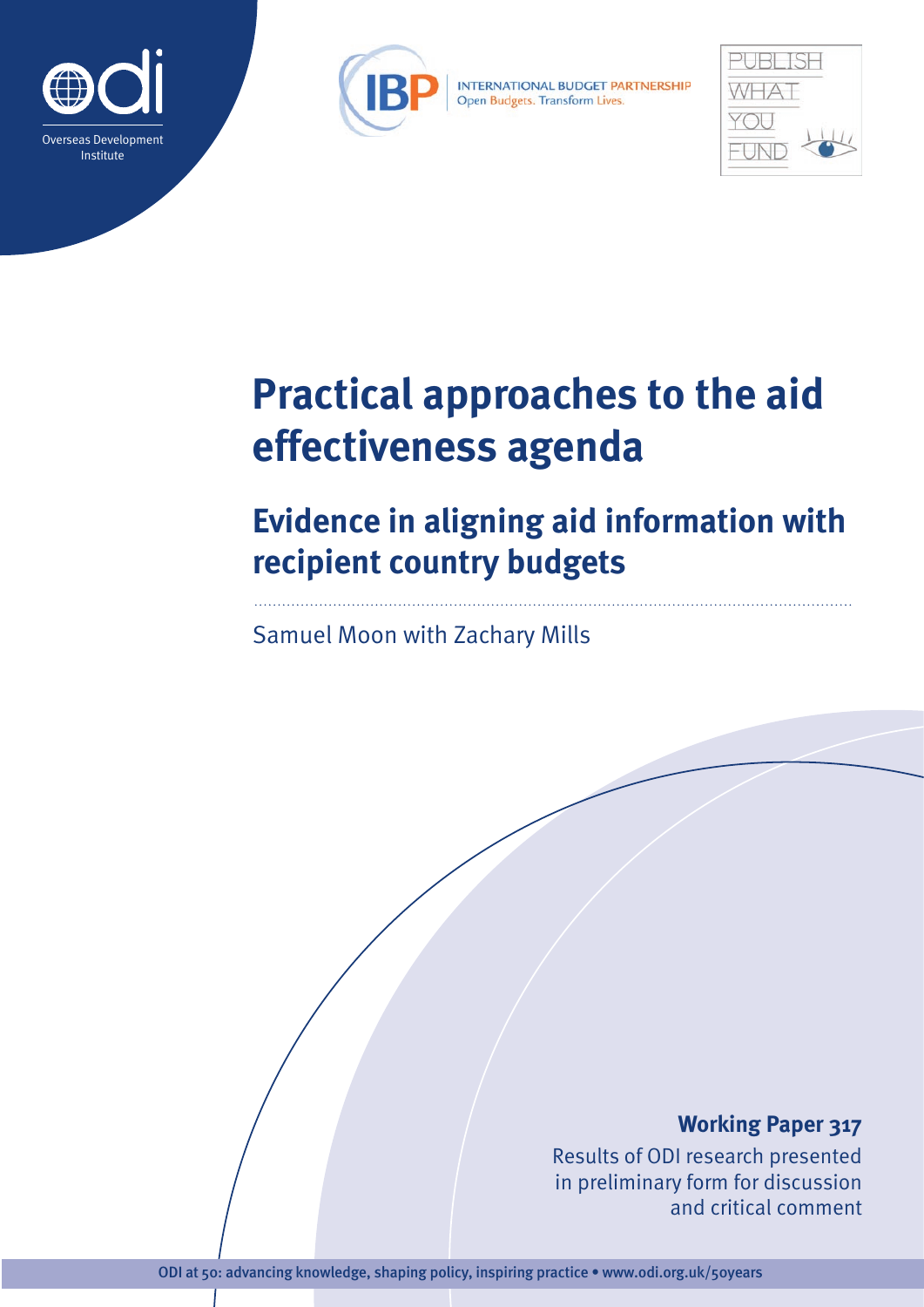



INTERNATIONAL BUDGET PARTNERSHIP Open Budgets. Transform Lives.



# **Practical approaches to the aid effectiveness agenda**

# **Evidence in aligning aid information with recipient country budgets**

Samuel Moon with Zachary Mills

## **Working Paper 317**

Results of ODI research presented in preliminary form for discussion and critical comment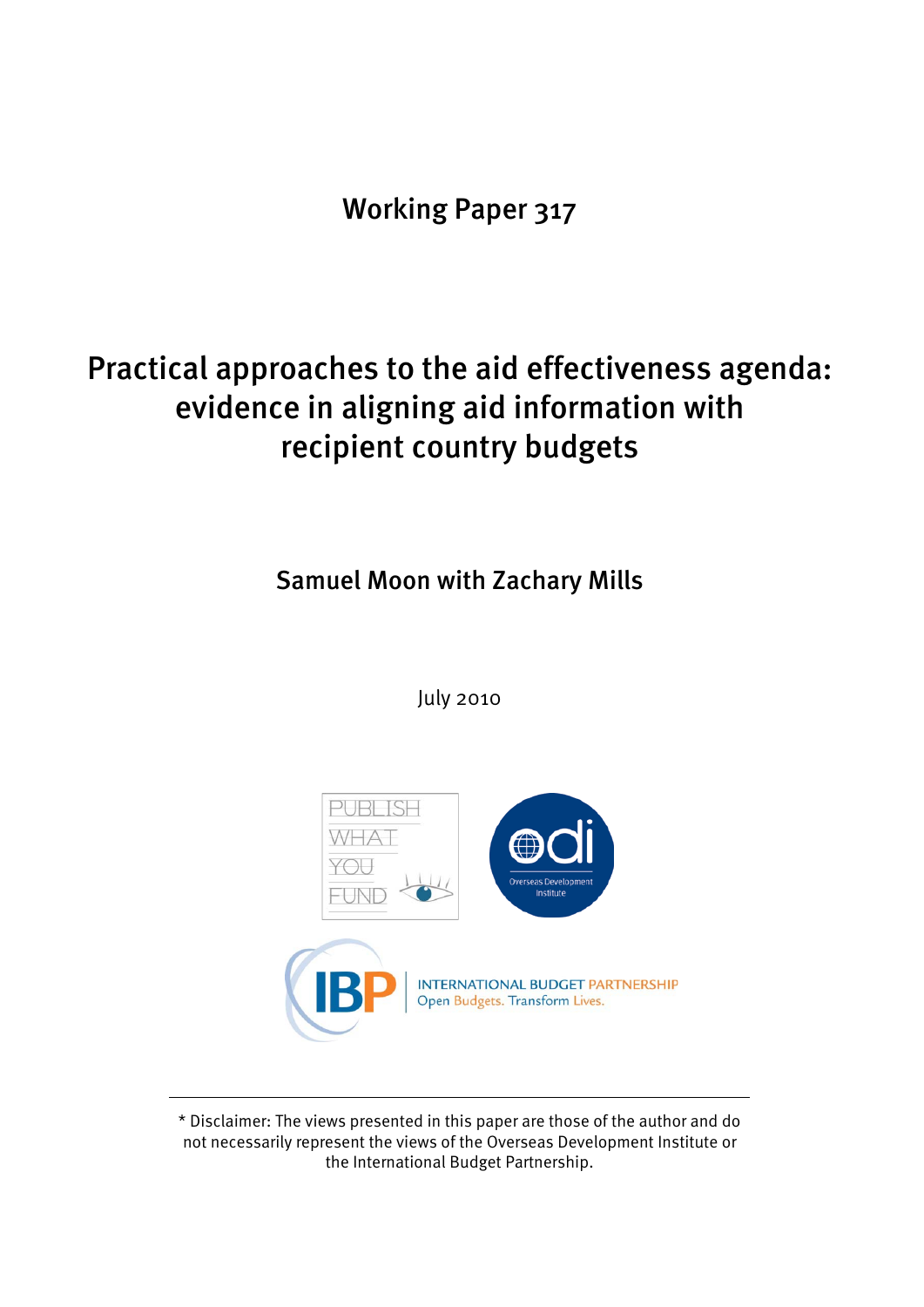Working Paper 317

## Practical approaches to the aid effectiveness agenda: evidence in aligning aid information with recipient country budgets

Samuel Moon with Zachary Mills

July 2010



\* Disclaimer: The views presented in this paper are those of the author and do not necessarily represent the views of the Overseas Development Institute or the International Budget Partnership.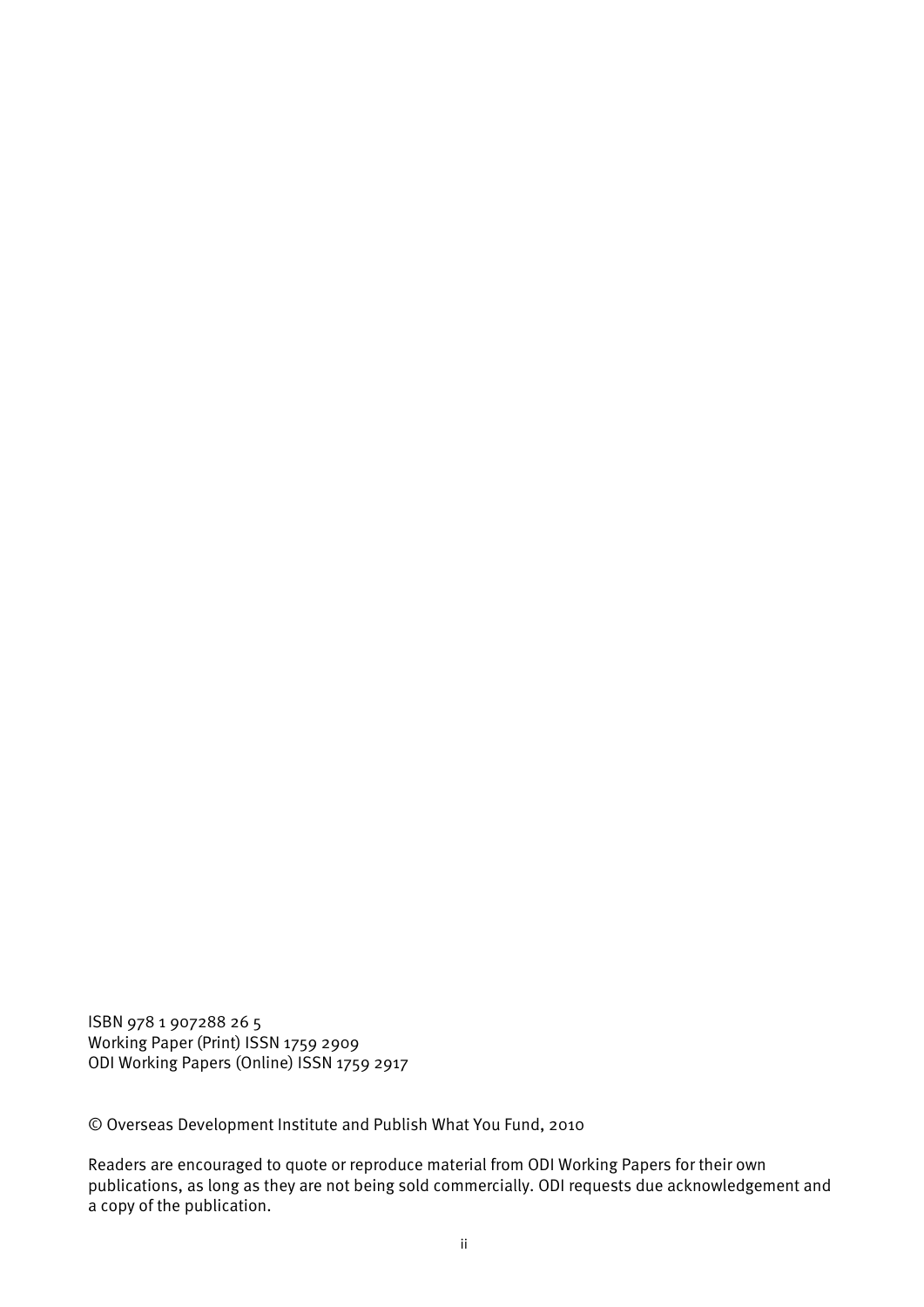ISBN 978 1 907288 26 5 Working Paper (Print) ISSN 1759 2909 ODI Working Papers (Online) ISSN 1759 2917

© Overseas Development Institute and Publish What You Fund, 2010

Readers are encouraged to quote or reproduce material from ODI Working Papers for their own publications, as long as they are not being sold commercially. ODI requests due acknowledgement and a copy of the publication.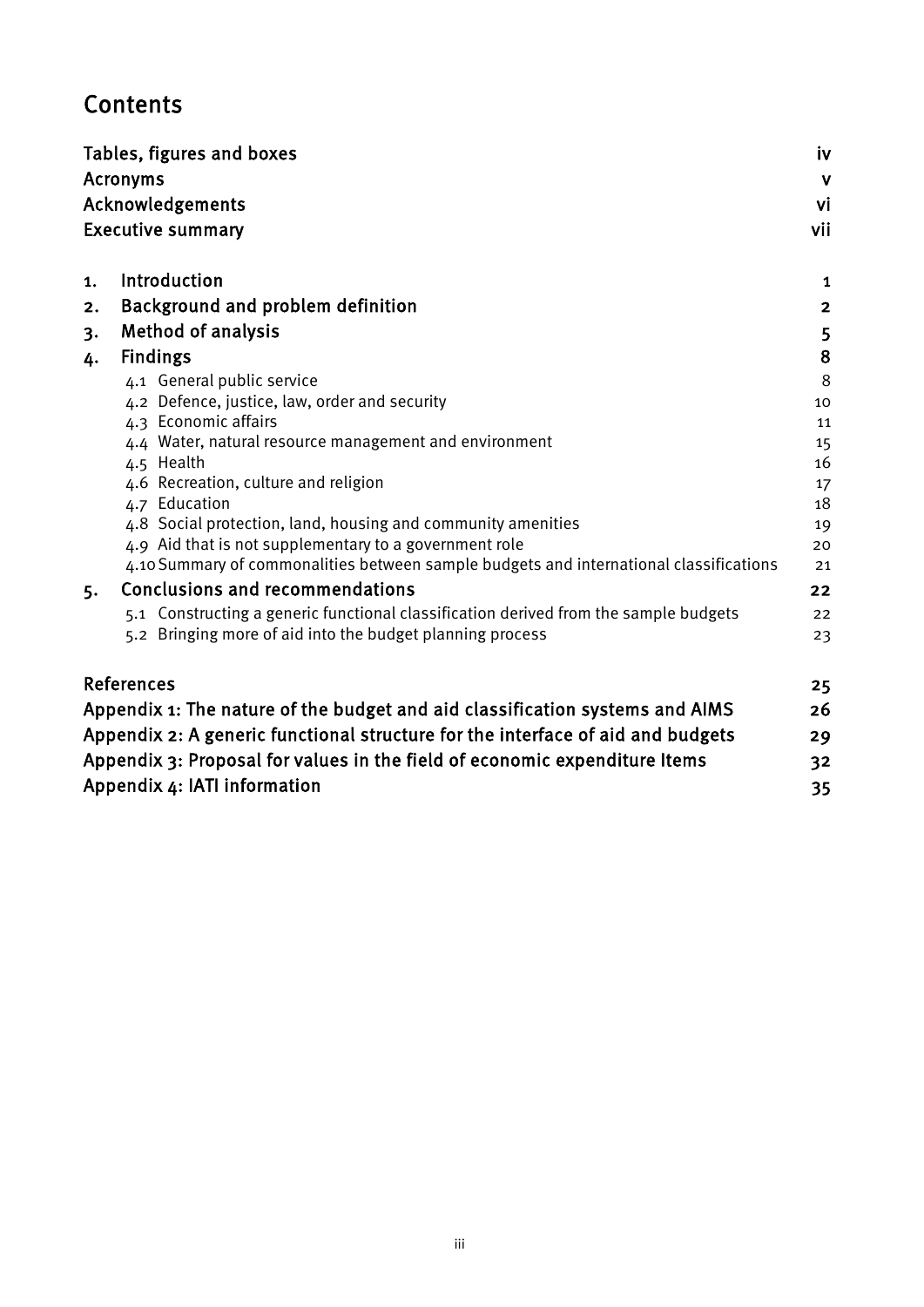## **Contents**

|    | Tables, figures and boxes                                                              | iv                      |  |  |  |
|----|----------------------------------------------------------------------------------------|-------------------------|--|--|--|
|    | <b>Acronyms</b>                                                                        | $\mathbf v$             |  |  |  |
|    | Acknowledgements                                                                       |                         |  |  |  |
|    | <b>Executive summary</b>                                                               | vii                     |  |  |  |
| 1. | Introduction                                                                           | 1                       |  |  |  |
| 2. | Background and problem definition                                                      | $\overline{\mathbf{2}}$ |  |  |  |
| 3. | <b>Method of analysis</b>                                                              | 5                       |  |  |  |
| 4. | <b>Findings</b>                                                                        | 8                       |  |  |  |
|    | 4.1 General public service                                                             | 8                       |  |  |  |
|    | 4.2 Defence, justice, law, order and security                                          | 10                      |  |  |  |
|    | 4.3 Economic affairs                                                                   | 11                      |  |  |  |
|    | 4.4 Water, natural resource management and environment                                 | 15                      |  |  |  |
|    | 4.5 Health                                                                             | 16                      |  |  |  |
|    | 4.6 Recreation, culture and religion                                                   | 17                      |  |  |  |
|    | 4.7 Education                                                                          | 18                      |  |  |  |
|    | 4.8 Social protection, land, housing and community amenities                           | 19                      |  |  |  |
|    | 4.9 Aid that is not supplementary to a government role                                 | 20                      |  |  |  |
|    | 4.10 Summary of commonalities between sample budgets and international classifications | 21                      |  |  |  |
| 5. | <b>Conclusions and recommendations</b>                                                 | 22                      |  |  |  |
|    | 5.1 Constructing a generic functional classification derived from the sample budgets   | 22                      |  |  |  |
|    | 5.2 Bringing more of aid into the budget planning process                              | 23                      |  |  |  |
|    | <b>References</b>                                                                      | 25                      |  |  |  |
|    | Appendix 1: The nature of the budget and aid classification systems and AIMS           | 26                      |  |  |  |
|    | Appendix 2: A generic functional structure for the interface of aid and budgets        | 29                      |  |  |  |
|    | Appendix 3: Proposal for values in the field of economic expenditure Items             | 32                      |  |  |  |
|    | Appendix 4: IATI information                                                           | 35                      |  |  |  |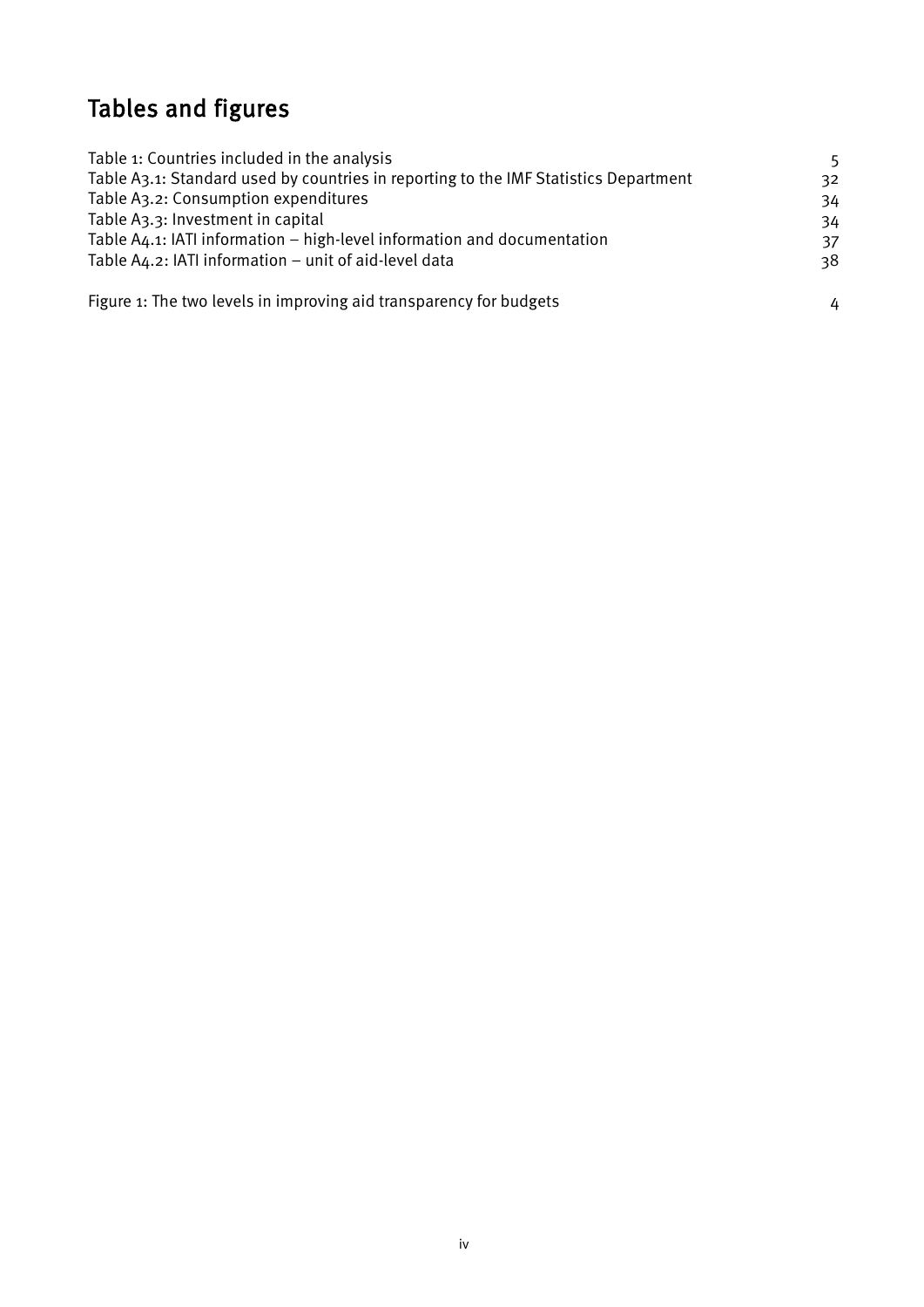## <span id="page-4-0"></span>Tables and figures

| Table 1: Countries included in the analysis                                          | 5  |
|--------------------------------------------------------------------------------------|----|
| Table A3.1: Standard used by countries in reporting to the IMF Statistics Department | 32 |
| Table A3.2: Consumption expenditures                                                 | 34 |
| Table A3.3: Investment in capital                                                    | 34 |
| Table A4.1: IATI information – high-level information and documentation              | 37 |
| Table A4.2: IATI information - unit of aid-level data                                | 38 |
| Figure 1: The two levels in improving aid transparency for budgets                   | 4  |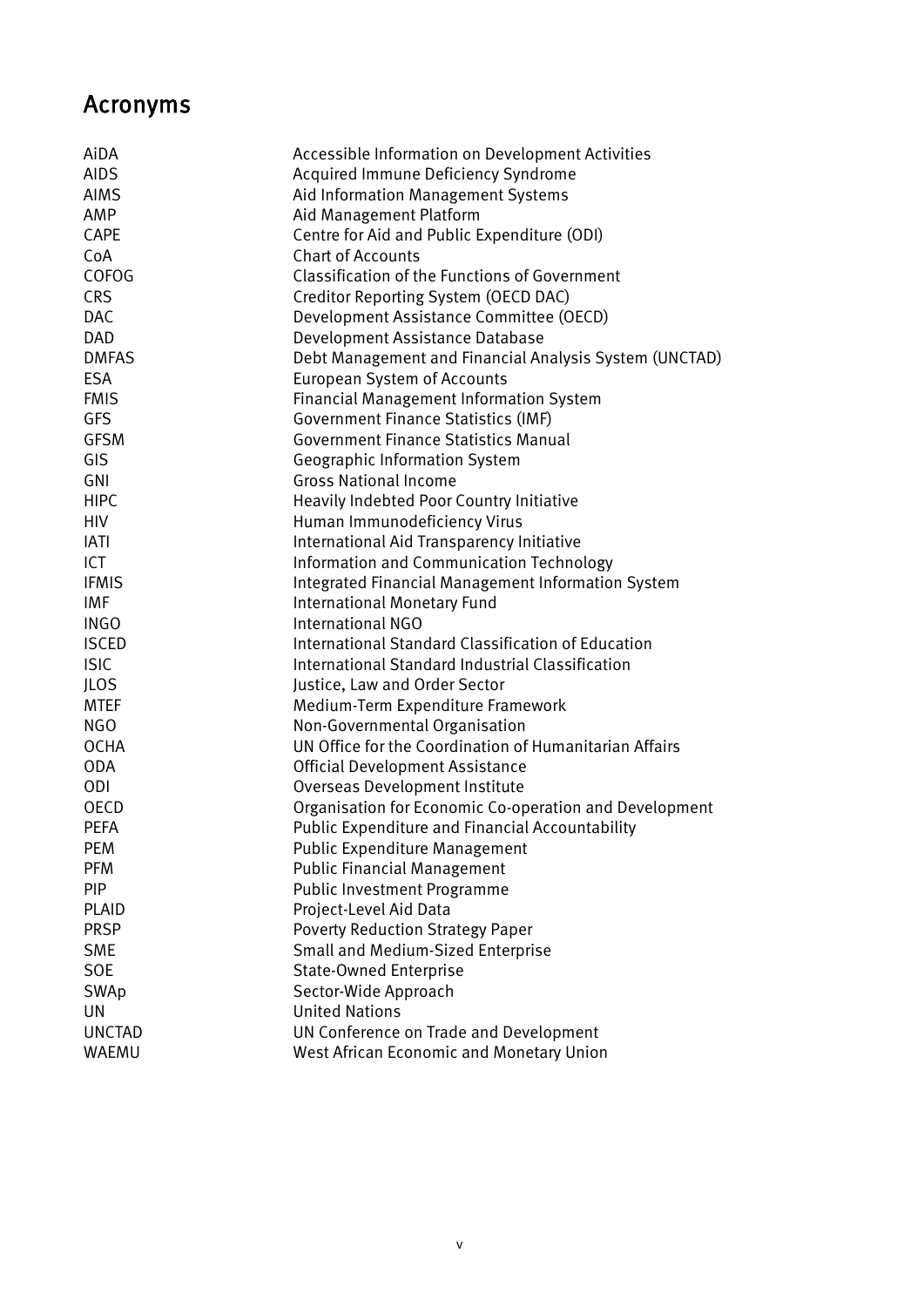## <span id="page-5-0"></span>Acronyms

| AiDA          | Accessible Information on Development Activities       |
|---------------|--------------------------------------------------------|
| <b>AIDS</b>   | Acquired Immune Deficiency Syndrome                    |
| <b>AIMS</b>   | Aid Information Management Systems                     |
| AMP           | Aid Management Platform                                |
| CAPE          | Centre for Aid and Public Expenditure (ODI)            |
| CoA           | <b>Chart of Accounts</b>                               |
| <b>COFOG</b>  | <b>Classification of the Functions of Government</b>   |
| <b>CRS</b>    | Creditor Reporting System (OECD DAC)                   |
| <b>DAC</b>    | Development Assistance Committee (OECD)                |
| <b>DAD</b>    | Development Assistance Database                        |
| <b>DMFAS</b>  | Debt Management and Financial Analysis System (UNCTAD) |
| <b>ESA</b>    | <b>European System of Accounts</b>                     |
| <b>FMIS</b>   | <b>Financial Management Information System</b>         |
| <b>GFS</b>    | Government Finance Statistics (IMF)                    |
| <b>GFSM</b>   | <b>Government Finance Statistics Manual</b>            |
| GIS           | Geographic Information System                          |
| GNI           | <b>Gross National Income</b>                           |
| <b>HIPC</b>   | Heavily Indebted Poor Country Initiative               |
| <b>HIV</b>    | Human Immunodeficiency Virus                           |
| <b>IATI</b>   | International Aid Transparency Initiative              |
| <b>ICT</b>    | Information and Communication Technology               |
| <b>IFMIS</b>  | Integrated Financial Management Information System     |
| <b>IMF</b>    | <b>International Monetary Fund</b>                     |
| <b>INGO</b>   | <b>International NGO</b>                               |
| <b>ISCED</b>  | International Standard Classification of Education     |
| <b>ISIC</b>   | International Standard Industrial Classification       |
| <b>JLOS</b>   | Justice, Law and Order Sector                          |
| <b>MTEF</b>   | Medium-Term Expenditure Framework                      |
| <b>NGO</b>    | Non-Governmental Organisation                          |
| <b>OCHA</b>   | UN Office for the Coordination of Humanitarian Affairs |
| <b>ODA</b>    | <b>Official Development Assistance</b>                 |
| <b>ODI</b>    | Overseas Development Institute                         |
| <b>OECD</b>   | Organisation for Economic Co-operation and Development |
| <b>PEFA</b>   | Public Expenditure and Financial Accountability        |
| <b>PEM</b>    | Public Expenditure Management                          |
| <b>PFM</b>    | <b>Public Financial Management</b>                     |
| <b>PIP</b>    | <b>Public Investment Programme</b>                     |
| <b>PLAID</b>  | Project-Level Aid Data                                 |
| <b>PRSP</b>   | <b>Poverty Reduction Strategy Paper</b>                |
| <b>SME</b>    | Small and Medium-Sized Enterprise                      |
| <b>SOE</b>    | <b>State-Owned Enterprise</b>                          |
| SWAp          | Sector-Wide Approach                                   |
| UN            | <b>United Nations</b>                                  |
| <b>UNCTAD</b> | UN Conference on Trade and Development                 |
| WAEMU         | West African Economic and Monetary Union               |
|               |                                                        |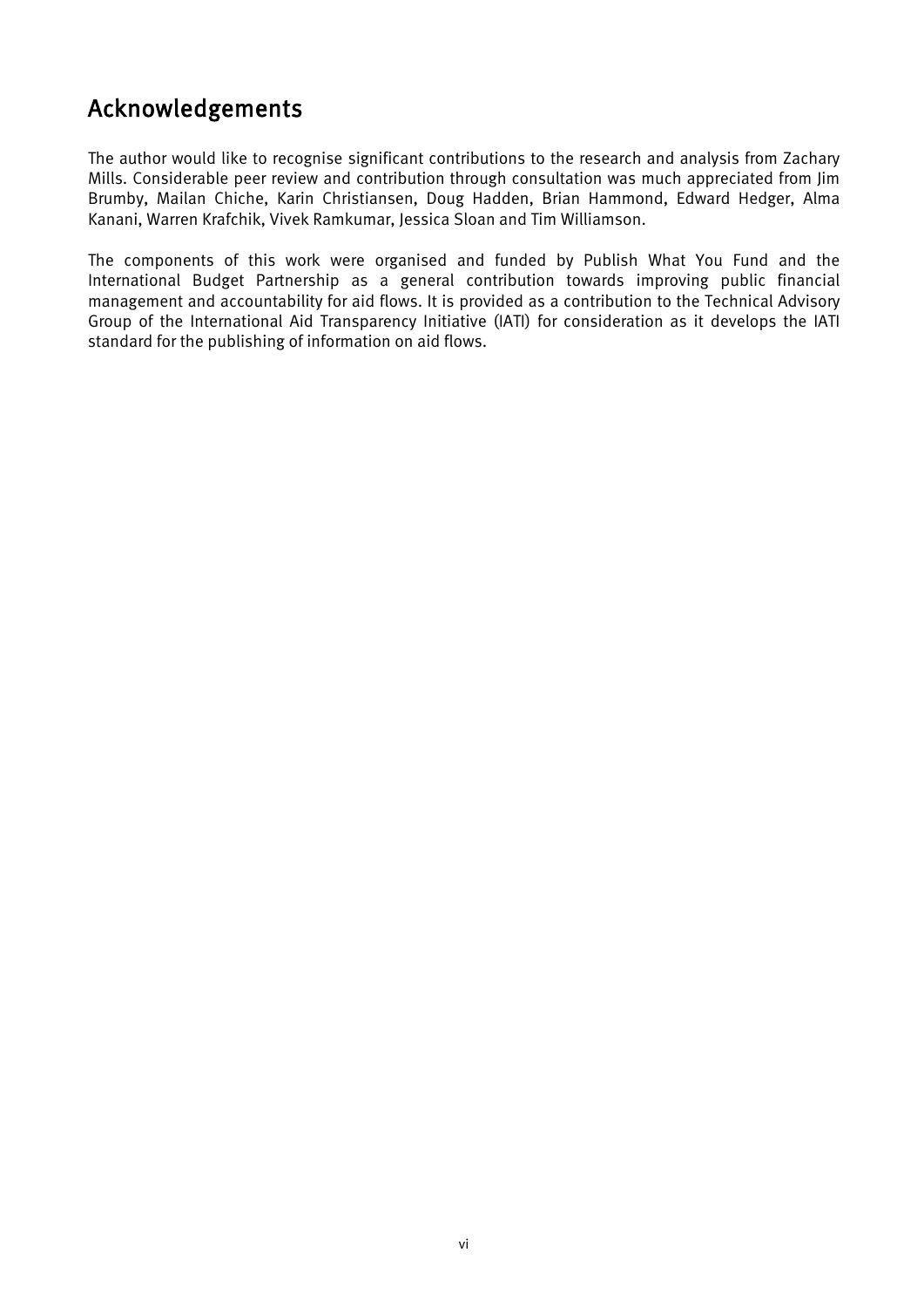## <span id="page-6-0"></span>Acknowledgements

The author would like to recognise significant contributions to the research and analysis from Zachary Mills. Considerable peer review and contribution through consultation was much appreciated from Jim Brumby, Mailan Chiche, Karin Christiansen, Doug Hadden, Brian Hammond, Edward Hedger, Alma Kanani, Warren Krafchik, Vivek Ramkumar, Jessica Sloan and Tim Williamson.

The components of this work were organised and funded by Publish What You Fund and the International Budget Partnership as a general contribution towards improving public financial management and accountability for aid flows. It is provided as a contribution to the Technical Advisory Group of the International Aid Transparency Initiative (IATI) for consideration as it develops the IATI standard for the publishing of information on aid flows.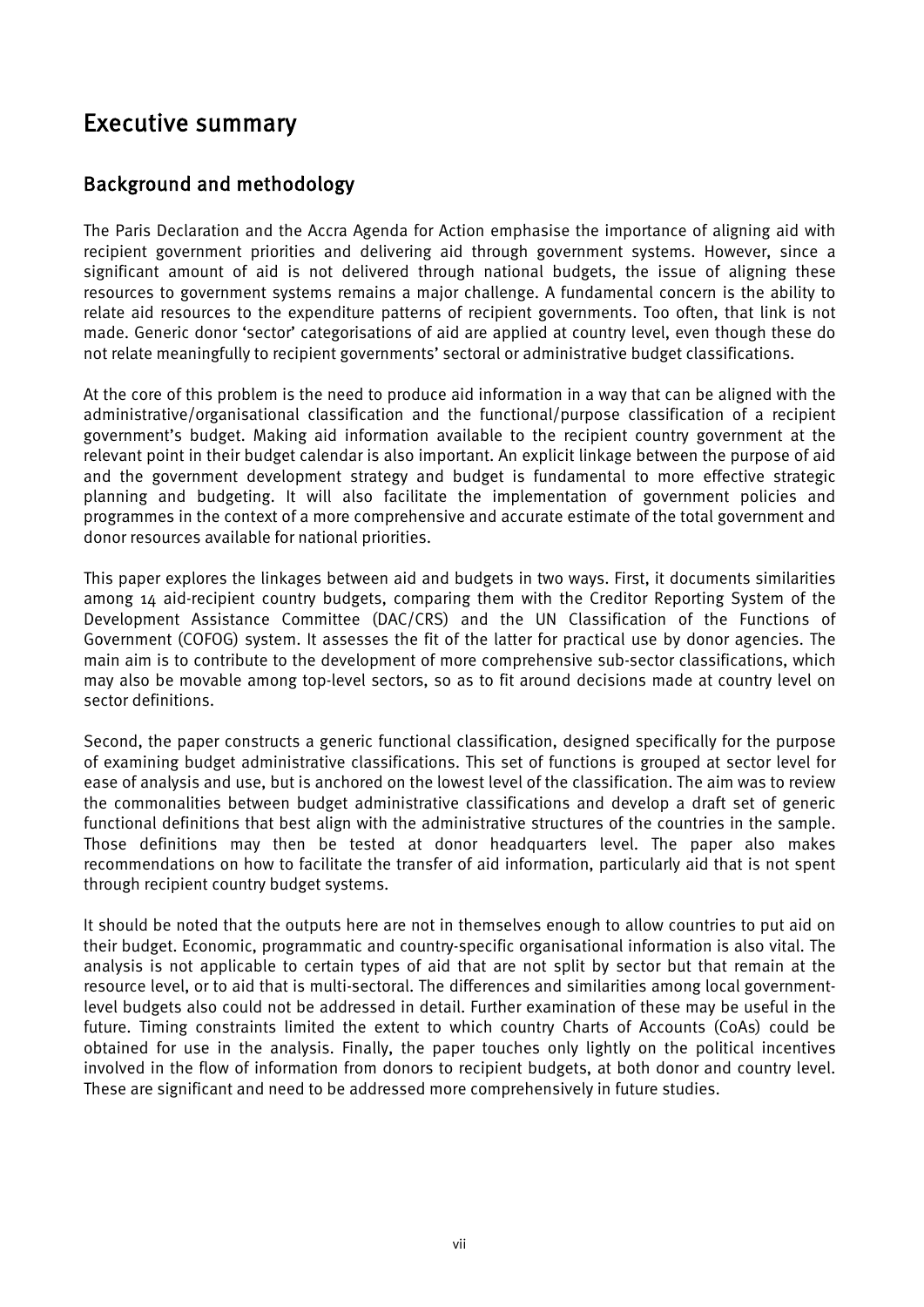## <span id="page-7-0"></span>Executive summary

### Background and methodology

The Paris Declaration and the Accra Agenda for Action emphasise the importance of aligning aid with recipient government priorities and delivering aid through government systems. However, since a significant amount of aid is not delivered through national budgets, the issue of aligning these resources to government systems remains a major challenge. A fundamental concern is the ability to relate aid resources to the expenditure patterns of recipient governments. Too often, that link is not made. Generic donor 'sector' categorisations of aid are applied at country level, even though these do not relate meaningfully to recipient governments' sectoral or administrative budget classifications.

At the core of this problem is the need to produce aid information in a way that can be aligned with the administrative/organisational classification and the functional/purpose classification of a recipient government's budget. Making aid information available to the recipient country government at the relevant point in their budget calendar is also important. An explicit linkage between the purpose of aid and the government development strategy and budget is fundamental to more effective strategic planning and budgeting. It will also facilitate the implementation of government policies and programmes in the context of a more comprehensive and accurate estimate of the total government and donor resources available for national priorities.

This paper explores the linkages between aid and budgets in two ways. First, it documents similarities among 14 aid-recipient country budgets, comparing them with the Creditor Reporting System of the Development Assistance Committee (DAC/CRS) and the UN Classification of the Functions of Government (COFOG) system. It assesses the fit of the latter for practical use by donor agencies. The main aim is to contribute to the development of more comprehensive sub-sector classifications, which may also be movable among top-level sectors, so as to fit around decisions made at country level on sector definitions.

Second, the paper constructs a generic functional classification, designed specifically for the purpose of examining budget administrative classifications. This set of functions is grouped at sector level for ease of analysis and use, but is anchored on the lowest level of the classification. The aim was to review the commonalities between budget administrative classifications and develop a draft set of generic functional definitions that best align with the administrative structures of the countries in the sample. Those definitions may then be tested at donor headquarters level. The paper also makes recommendations on how to facilitate the transfer of aid information, particularly aid that is not spent through recipient country budget systems.

It should be noted that the outputs here are not in themselves enough to allow countries to put aid on their budget. Economic, programmatic and country-specific organisational information is also vital. The analysis is not applicable to certain types of aid that are not split by sector but that remain at the resource level, or to aid that is multi-sectoral. The differences and similarities among local governmentlevel budgets also could not be addressed in detail. Further examination of these may be useful in the future. Timing constraints limited the extent to which country Charts of Accounts (CoAs) could be obtained for use in the analysis. Finally, the paper touches only lightly on the political incentives involved in the flow of information from donors to recipient budgets, at both donor and country level. These are significant and need to be addressed more comprehensively in future studies.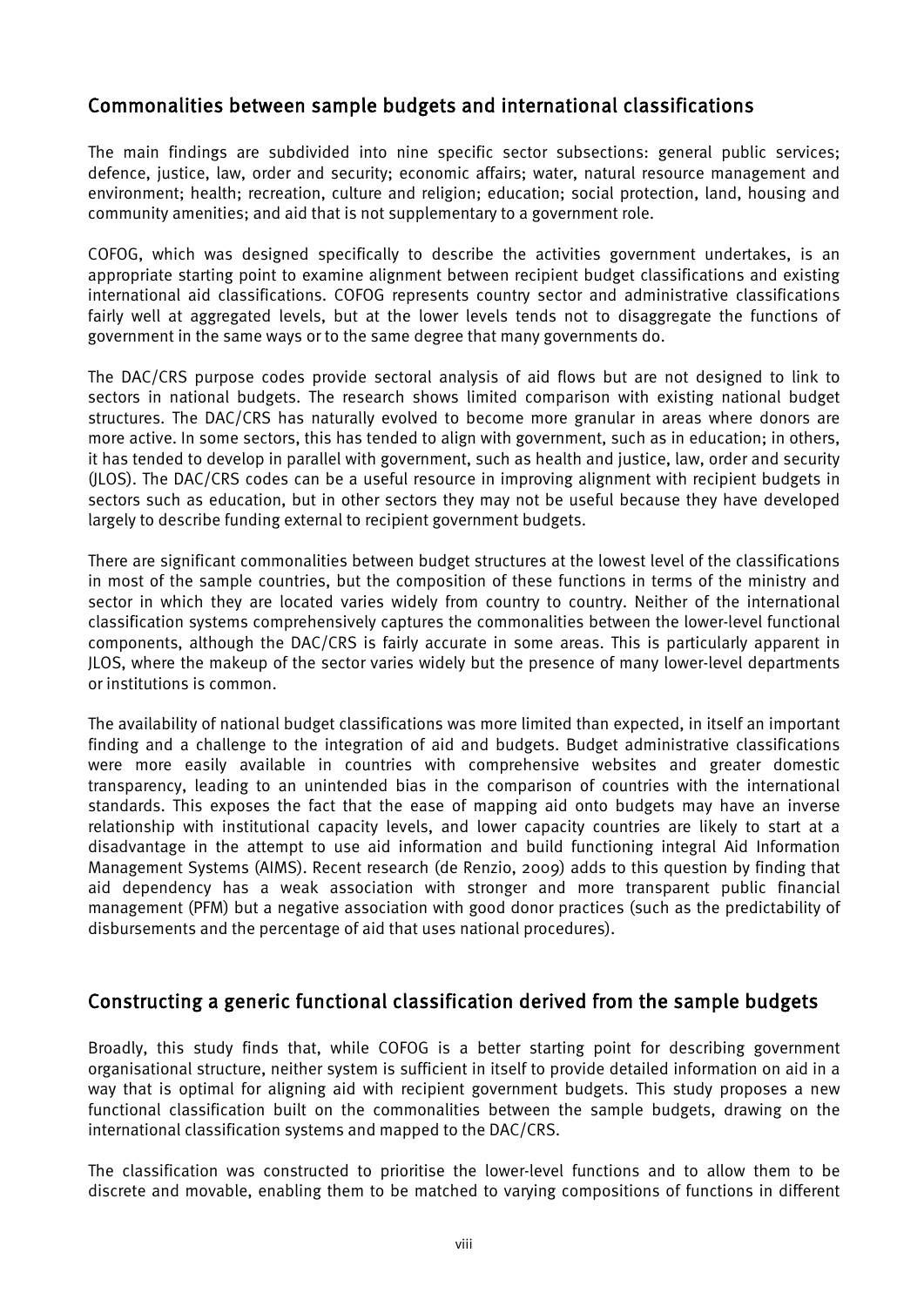### Commonalities between sample budgets and international classifications

The main findings are subdivided into nine specific sector subsections: general public services; defence, justice, law, order and security; economic affairs; water, natural resource management and environment; health; recreation, culture and religion; education; social protection, land, housing and community amenities; and aid that is not supplementary to a government role.

COFOG, which was designed specifically to describe the activities government undertakes, is an appropriate starting point to examine alignment between recipient budget classifications and existing international aid classifications. COFOG represents country sector and administrative classifications fairly well at aggregated levels, but at the lower levels tends not to disaggregate the functions of government in the same ways or to the same degree that many governments do.

The DAC/CRS purpose codes provide sectoral analysis of aid flows but are not designed to link to sectors in national budgets. The research shows limited comparison with existing national budget structures. The DAC/CRS has naturally evolved to become more granular in areas where donors are more active. In some sectors, this has tended to align with government, such as in education; in others, it has tended to develop in parallel with government, such as health and justice, law, order and security (JLOS). The DAC/CRS codes can be a useful resource in improving alignment with recipient budgets in sectors such as education, but in other sectors they may not be useful because they have developed largely to describe funding external to recipient government budgets.

There are significant commonalities between budget structures at the lowest level of the classifications in most of the sample countries, but the composition of these functions in terms of the ministry and sector in which they are located varies widely from country to country. Neither of the international classification systems comprehensively captures the commonalities between the lower-level functional components, although the DAC/CRS is fairly accurate in some areas. This is particularly apparent in JLOS, where the makeup of the sector varies widely but the presence of many lower-level departments or institutions is common.

The availability of national budget classifications was more limited than expected, in itself an important finding and a challenge to the integration of aid and budgets. Budget administrative classifications were more easily available in countries with comprehensive websites and greater domestic transparency, leading to an unintended bias in the comparison of countries with the international standards. This exposes the fact that the ease of mapping aid onto budgets may have an inverse relationship with institutional capacity levels, and lower capacity countries are likely to start at a disadvantage in the attempt to use aid information and build functioning integral Aid Information Management Systems (AIMS). Recent research (de Renzio, 2009) adds to this question by finding that aid dependency has a weak association with stronger and more transparent public financial management (PFM) but a negative association with good donor practices (such as the predictability of disbursements and the percentage of aid that uses national procedures).

#### Constructing a generic functional classification derived from the sample budgets

Broadly, this study finds that, while COFOG is a better starting point for describing government organisational structure, neither system is sufficient in itself to provide detailed information on aid in a way that is optimal for aligning aid with recipient government budgets. This study proposes a new functional classification built on the commonalities between the sample budgets, drawing on the international classification systems and mapped to the DAC/CRS.

The classification was constructed to prioritise the lower-level functions and to allow them to be discrete and movable, enabling them to be matched to varying compositions of functions in different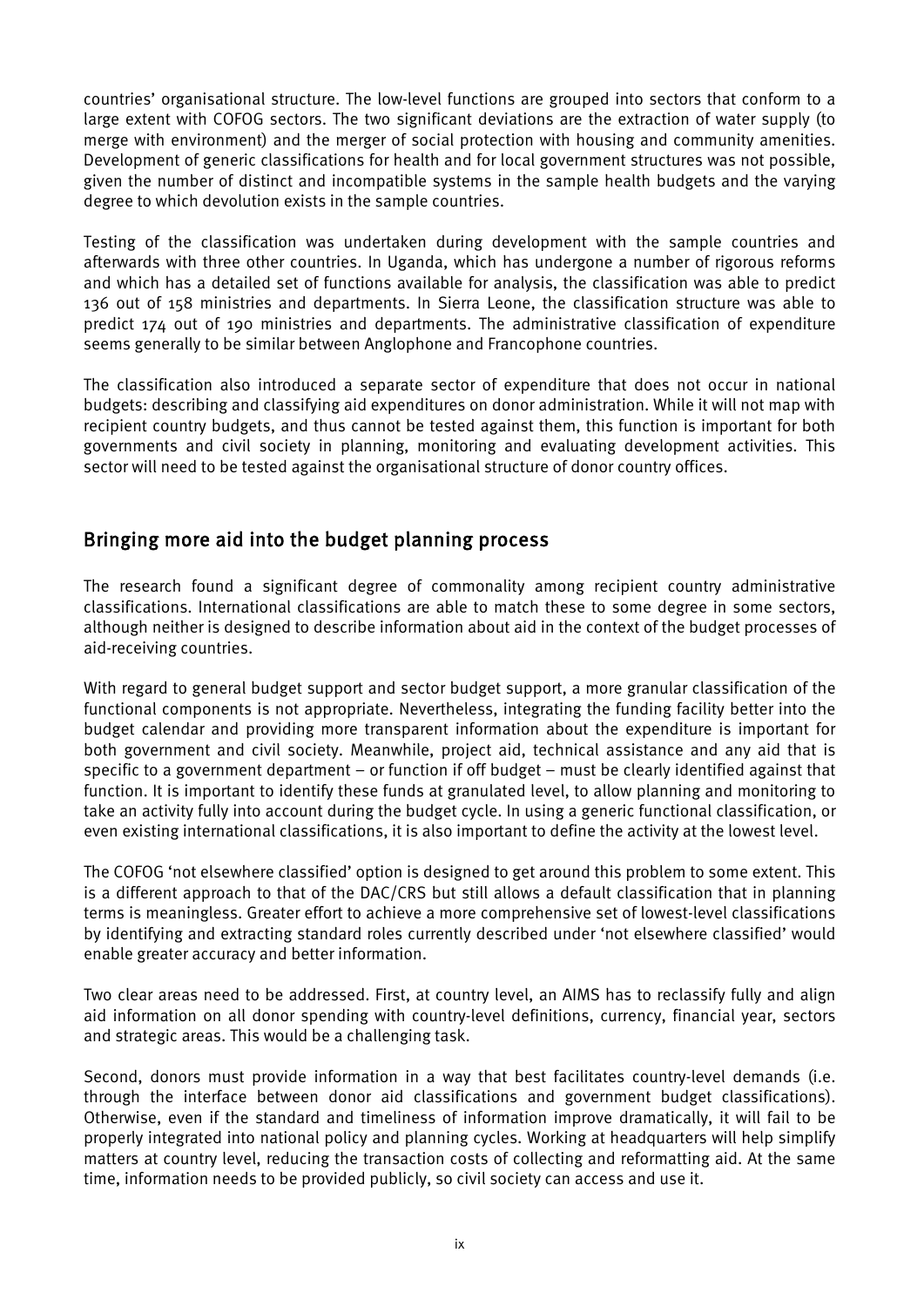countries' organisational structure. The low-level functions are grouped into sectors that conform to a large extent with COFOG sectors. The two significant deviations are the extraction of water supply (to merge with environment) and the merger of social protection with housing and community amenities. Development of generic classifications for health and for local government structures was not possible, given the number of distinct and incompatible systems in the sample health budgets and the varying degree to which devolution exists in the sample countries.

Testing of the classification was undertaken during development with the sample countries and afterwards with three other countries. In Uganda, which has undergone a number of rigorous reforms and which has a detailed set of functions available for analysis, the classification was able to predict 136 out of 158 ministries and departments. In Sierra Leone, the classification structure was able to predict 174 out of 190 ministries and departments. The administrative classification of expenditure seems generally to be similar between Anglophone and Francophone countries.

The classification also introduced a separate sector of expenditure that does not occur in national budgets: describing and classifying aid expenditures on donor administration. While it will not map with recipient country budgets, and thus cannot be tested against them, this function is important for both governments and civil society in planning, monitoring and evaluating development activities. This sector will need to be tested against the organisational structure of donor country offices.

### Bringing more aid into the budget planning process

The research found a significant degree of commonality among recipient country administrative classifications. International classifications are able to match these to some degree in some sectors, although neither is designed to describe information about aid in the context of the budget processes of aid-receiving countries.

With regard to general budget support and sector budget support, a more granular classification of the functional components is not appropriate. Nevertheless, integrating the funding facility better into the budget calendar and providing more transparent information about the expenditure is important for both government and civil society. Meanwhile, project aid, technical assistance and any aid that is specific to a government department – or function if off budget – must be clearly identified against that function. It is important to identify these funds at granulated level, to allow planning and monitoring to take an activity fully into account during the budget cycle. In using a generic functional classification, or even existing international classifications, it is also important to define the activity at the lowest level.

The COFOG 'not elsewhere classified' option is designed to get around this problem to some extent. This is a different approach to that of the DAC/CRS but still allows a default classification that in planning terms is meaningless. Greater effort to achieve a more comprehensive set of lowest-level classifications by identifying and extracting standard roles currently described under 'not elsewhere classified' would enable greater accuracy and better information.

Two clear areas need to be addressed. First, at country level, an AIMS has to reclassify fully and align aid information on all donor spending with country-level definitions, currency, financial year, sectors and strategic areas. This would be a challenging task.

Second, donors must provide information in a way that best facilitates country-level demands (i.e. through the interface between donor aid classifications and government budget classifications). Otherwise, even if the standard and timeliness of information improve dramatically, it will fail to be properly integrated into national policy and planning cycles. Working at headquarters will help simplify matters at country level, reducing the transaction costs of collecting and reformatting aid. At the same time, information needs to be provided publicly, so civil society can access and use it.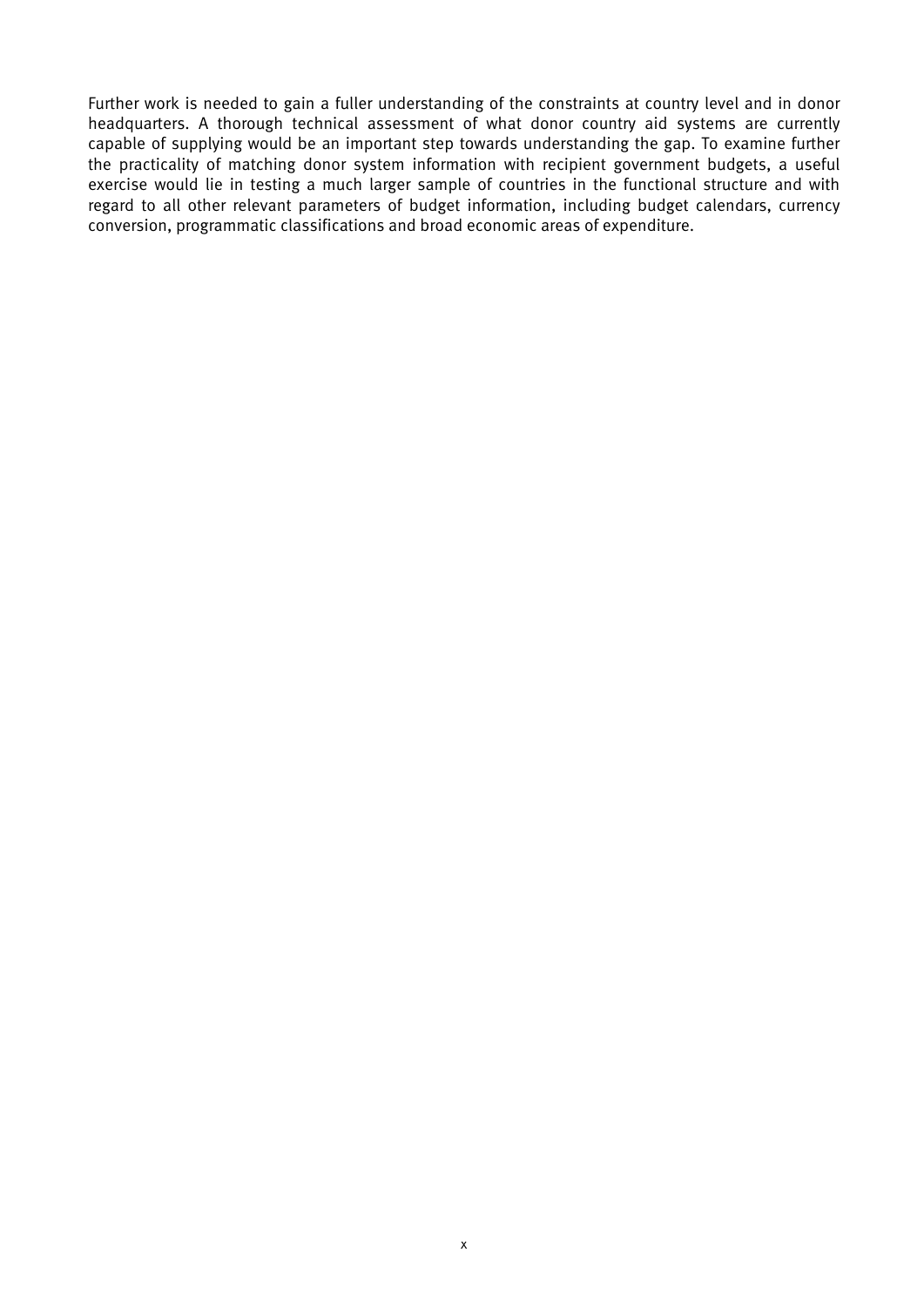Further work is needed to gain a fuller understanding of the constraints at country level and in donor headquarters. A thorough technical assessment of what donor country aid systems are currently capable of supplying would be an important step towards understanding the gap. To examine further the practicality of matching donor system information with recipient government budgets, a useful exercise would lie in testing a much larger sample of countries in the functional structure and with regard to all other relevant parameters of budget information, including budget calendars, currency conversion, programmatic classifications and broad economic areas of expenditure.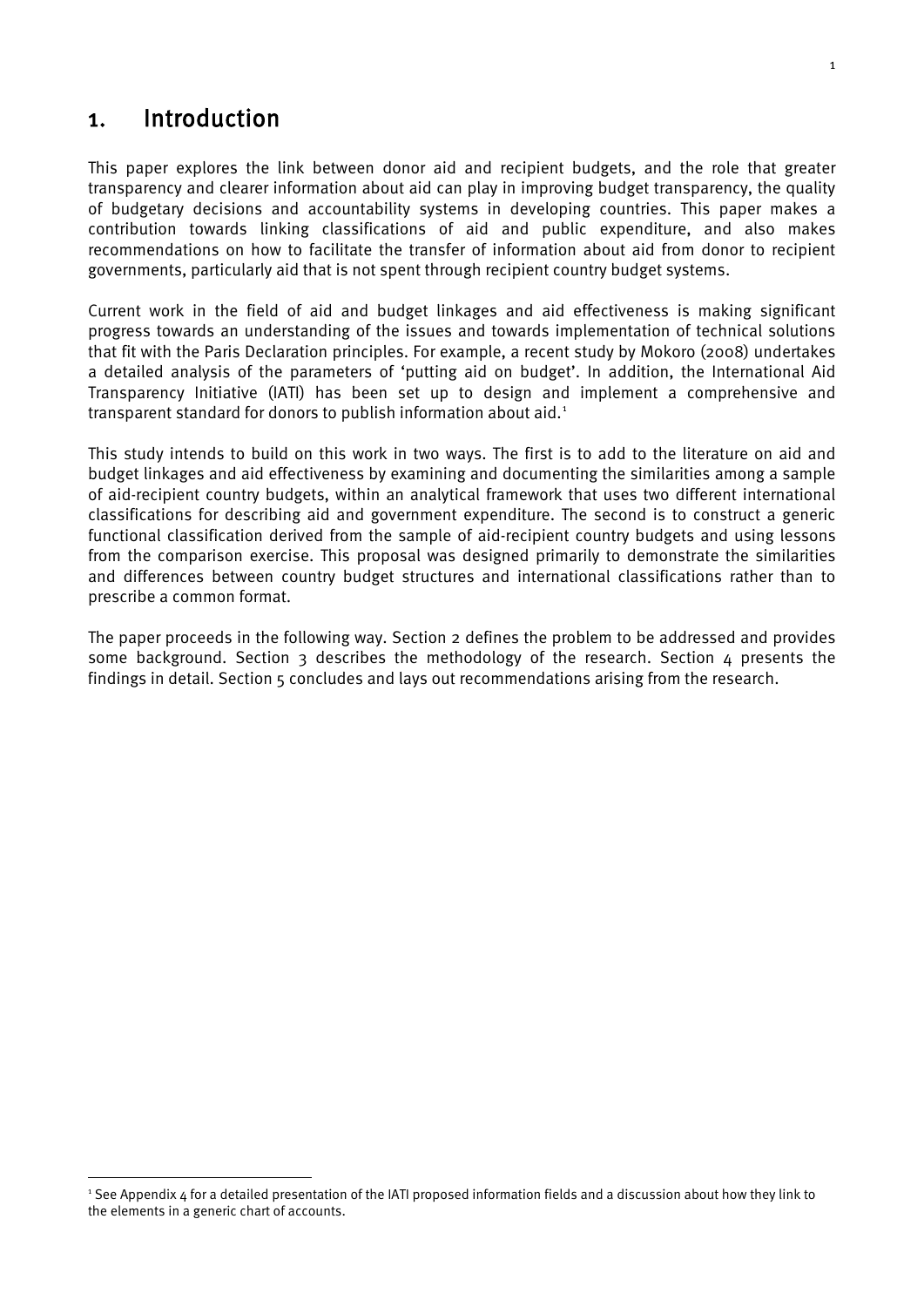## <span id="page-11-0"></span>1. Introduction

This paper explores the link between donor aid and recipient budgets, and the role that greater transparency and clearer information about aid can play in improving budget transparency, the quality of budgetary decisions and accountability systems in developing countries. This paper makes a contribution towards linking classifications of aid and public expenditure, and also makes recommendations on how to facilitate the transfer of information about aid from donor to recipient governments, particularly aid that is not spent through recipient country budget systems.

Current work in the field of aid and budget linkages and aid effectiveness is making significant progress towards an understanding of the issues and towards implementation of technical solutions that fit with the Paris Declaration principles. For example, a recent study by Mokoro (2008) undertakes a detailed analysis of the parameters of 'putting aid on budget'. In addition, the International Aid Transparency Initiative (IATI) has been set up to design and implement a comprehensive and transparent standard for donors to publish information about aid. [1](#page-11-1)

This study intends to build on this work in two ways. The first is to add to the literature on aid and budget linkages and aid effectiveness by examining and documenting the similarities among a sample of aid-recipient country budgets, within an analytical framework that uses two different international classifications for describing aid and government expenditure. The second is to construct a generic functional classification derived from the sample of aid-recipient country budgets and using lessons from the comparison exercise. This proposal was designed primarily to demonstrate the similarities and differences between country budget structures and international classifications rather than to prescribe a common format.

The paper proceeds in the following way. Section 2 defines the problem to be addressed and provides some background. Section 3 describes the methodology of the research. Section  $\Delta$  presents the findings in detail. Section 5 concludes and lays out recommendations arising from the research.

<span id="page-11-1"></span> <sup>1</sup> See Appendix 4 for a detailed presentation of the IATI proposed information fields and a discussion about how they link to the elements in a generic chart of accounts.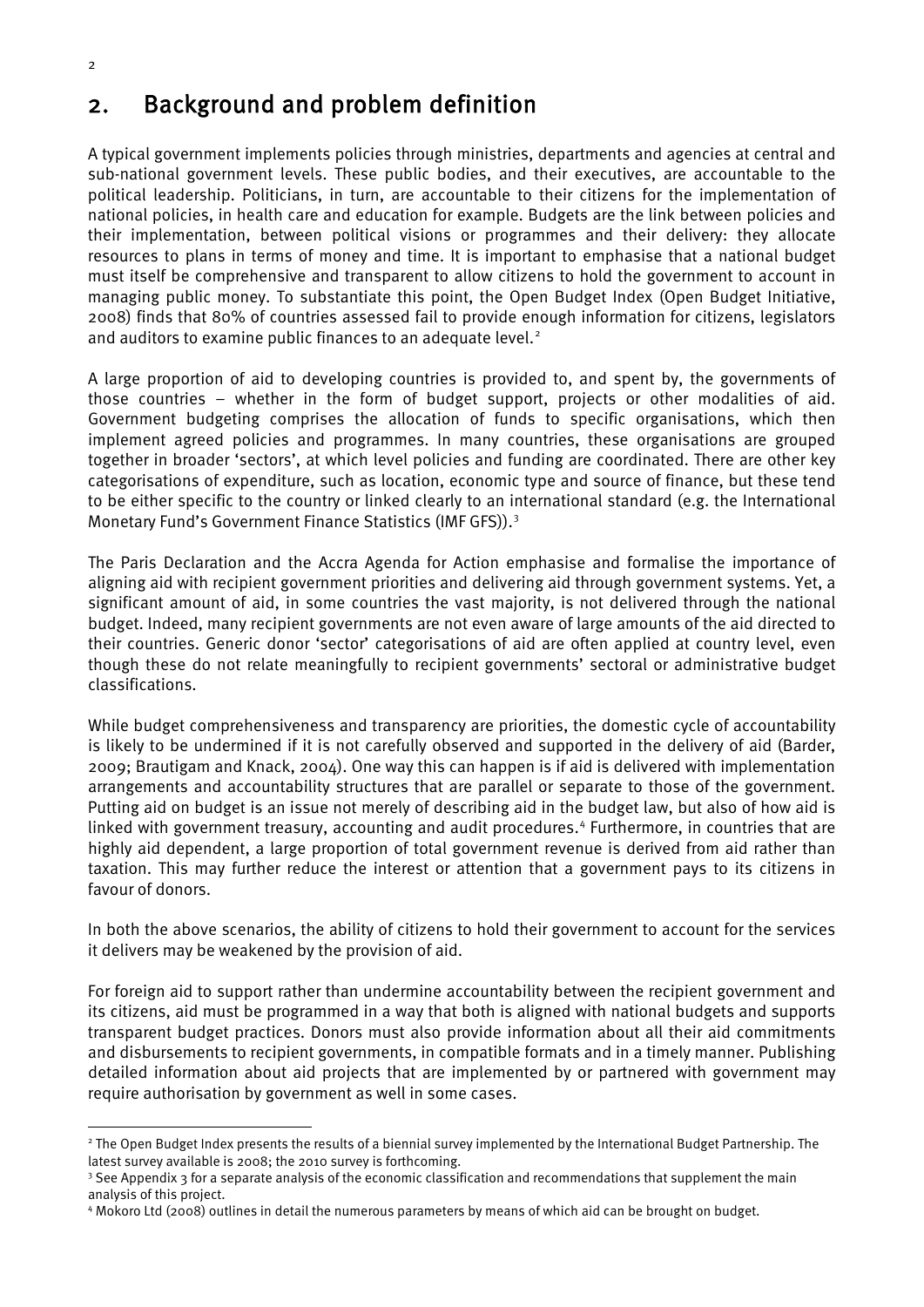## <span id="page-12-0"></span>2. Background and problem definition

A typical government implements policies through ministries, departments and agencies at central and sub-national government levels. These public bodies, and their executives, are accountable to the political leadership. Politicians, in turn, are accountable to their citizens for the implementation of national policies, in health care and education for example. Budgets are the link between policies and their implementation, between political visions or programmes and their delivery: they allocate resources to plans in terms of money and time. It is important to emphasise that a national budget must itself be comprehensive and transparent to allow citizens to hold the government to account in managing public money. To substantiate this point, the Open Budget Index (Open Budget Initiative, 2008) finds that 80% of countries assessed fail to provide enough information for citizens, legislators and auditors to examine public finances to an adequate level.<sup>[2](#page-12-1)</sup>

A large proportion of aid to developing countries is provided to, and spent by, the governments of those countries – whether in the form of budget support, projects or other modalities of aid. Government budgeting comprises the allocation of funds to specific organisations, which then implement agreed policies and programmes. In many countries, these organisations are grouped together in broader 'sectors', at which level policies and funding are coordinated. There are other key categorisations of expenditure, such as location, economic type and source of finance, but these tend to be either specific to the country or linked clearly to an international standard (e.g. the International Monetary Fund's Government Finance Statistics (IMF GFS)).[3](#page-12-2)

The Paris Declaration and the Accra Agenda for Action emphasise and formalise the importance of aligning aid with recipient government priorities and delivering aid through government systems. Yet, a significant amount of aid, in some countries the vast majority, is not delivered through the national budget. Indeed, many recipient governments are not even aware of large amounts of the aid directed to their countries. Generic donor 'sector' categorisations of aid are often applied at country level, even though these do not relate meaningfully to recipient governments' sectoral or administrative budget classifications.

While budget comprehensiveness and transparency are priorities, the domestic cycle of accountability is likely to be undermined if it is not carefully observed and supported in the delivery of aid (Barder, 2009; Brautigam and Knack, 2004). One way this can happen is if aid is delivered with implementation arrangements and accountability structures that are parallel or separate to those of the government. Putting aid on budget is an issue not merely of describing aid in the budget law, but also of how aid is linked with government treasury, accounting and audit procedures. [4](#page-12-3) Furthermore, in countries that are highly aid dependent, a large proportion of total government revenue is derived from aid rather than taxation. This may further reduce the interest or attention that a government pays to its citizens in favour of donors.

In both the above scenarios, the ability of citizens to hold their government to account for the services it delivers may be weakened by the provision of aid.

For foreign aid to support rather than undermine accountability between the recipient government and its citizens, aid must be programmed in a way that both is aligned with national budgets and supports transparent budget practices. Donors must also provide information about all their aid commitments and disbursements to recipient governments, in compatible formats and in a timely manner. Publishing detailed information about aid projects that are implemented by or partnered with government may require authorisation by government as well in some cases.

<span id="page-12-1"></span><sup>&</sup>lt;sup>2</sup> The Open Budget Index presents the results of a biennial survey implemented by the International Budget Partnership. The latest survey available is 2008; the 2010 survey is forthcoming.

<span id="page-12-2"></span><sup>&</sup>lt;sup>3</sup> See Appendix 3 for a separate analysis of the economic classification and recommendations that supplement the main analysis of this project.

<span id="page-12-3"></span><sup>4</sup> Mokoro Ltd (2008) outlines in detail the numerous parameters by means of which aid can be brought on budget.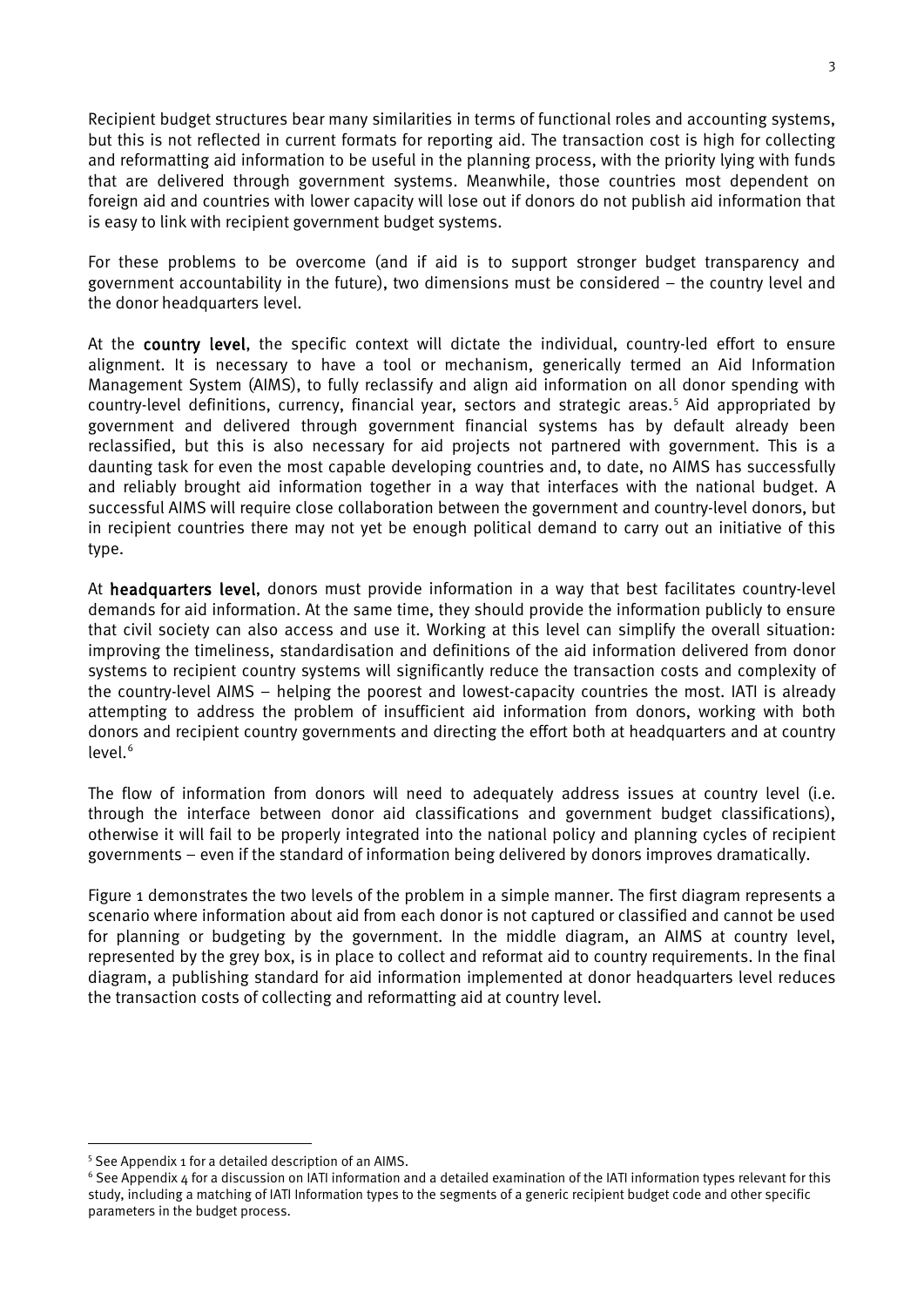Recipient budget structures bear many similarities in terms of functional roles and accounting systems, but this is not reflected in current formats for reporting aid. The transaction cost is high for collecting and reformatting aid information to be useful in the planning process, with the priority lying with funds that are delivered through government systems. Meanwhile, those countries most dependent on foreign aid and countries with lower capacity will lose out if donors do not publish aid information that is easy to link with recipient government budget systems.

For these problems to be overcome (and if aid is to support stronger budget transparency and government accountability in the future), two dimensions must be considered – the country level and the donor headquarters level.

At the country level, the specific context will dictate the individual, country-led effort to ensure alignment. It is necessary to have a tool or mechanism, generically termed an Aid Information Management System (AIMS), to fully reclassify and align aid information on all donor spending with country-level definitions, currency, financial year, sectors and strategic areas. [5](#page-13-0) Aid appropriated by government and delivered through government financial systems has by default already been reclassified, but this is also necessary for aid projects not partnered with government. This is a daunting task for even the most capable developing countries and, to date, no AIMS has successfully and reliably brought aid information together in a way that interfaces with the national budget. A successful AIMS will require close collaboration between the government and country-level donors, but in recipient countries there may not yet be enough political demand to carry out an initiative of this type.

At headquarters level, donors must provide information in a way that best facilitates country-level demands for aid information. At the same time, they should provide the information publicly to ensure that civil society can also access and use it. Working at this level can simplify the overall situation: improving the timeliness, standardisation and definitions of the aid information delivered from donor systems to recipient country systems will significantly reduce the transaction costs and complexity of the country-level AIMS – helping the poorest and lowest-capacity countries the most. IATI is already attempting to address the problem of insufficient aid information from donors, working with both donors and recipient country governments and directing the effort both at headquarters and at country level. [6](#page-13-1)

The flow of information from donors will need to adequately address issues at country level (i.e. through the interface between donor aid classifications and government budget classifications), otherwise it will fail to be properly integrated into the national policy and planning cycles of recipient governments – even if the standard of information being delivered by donors improves dramatically.

Figure 1 demonstrates the two levels of the problem in a simple manner. The first diagram represents a scenario where information about aid from each donor is not captured or classified and cannot be used for planning or budgeting by the government. In the middle diagram, an AIMS at country level, represented by the grey box, is in place to collect and reformat aid to country requirements. In the final diagram, a publishing standard for aid information implemented at donor headquarters level reduces the transaction costs of collecting and reformatting aid at country level.

<span id="page-13-0"></span> <sup>5</sup> See Appendix 1 for a detailed description of an AIMS.

<span id="page-13-1"></span> $6$  See Appendix 4 for a discussion on IATI information and a detailed examination of the IATI information types relevant for this study, including a matching of IATI Information types to the segments of a generic recipient budget code and other specific parameters in the budget process.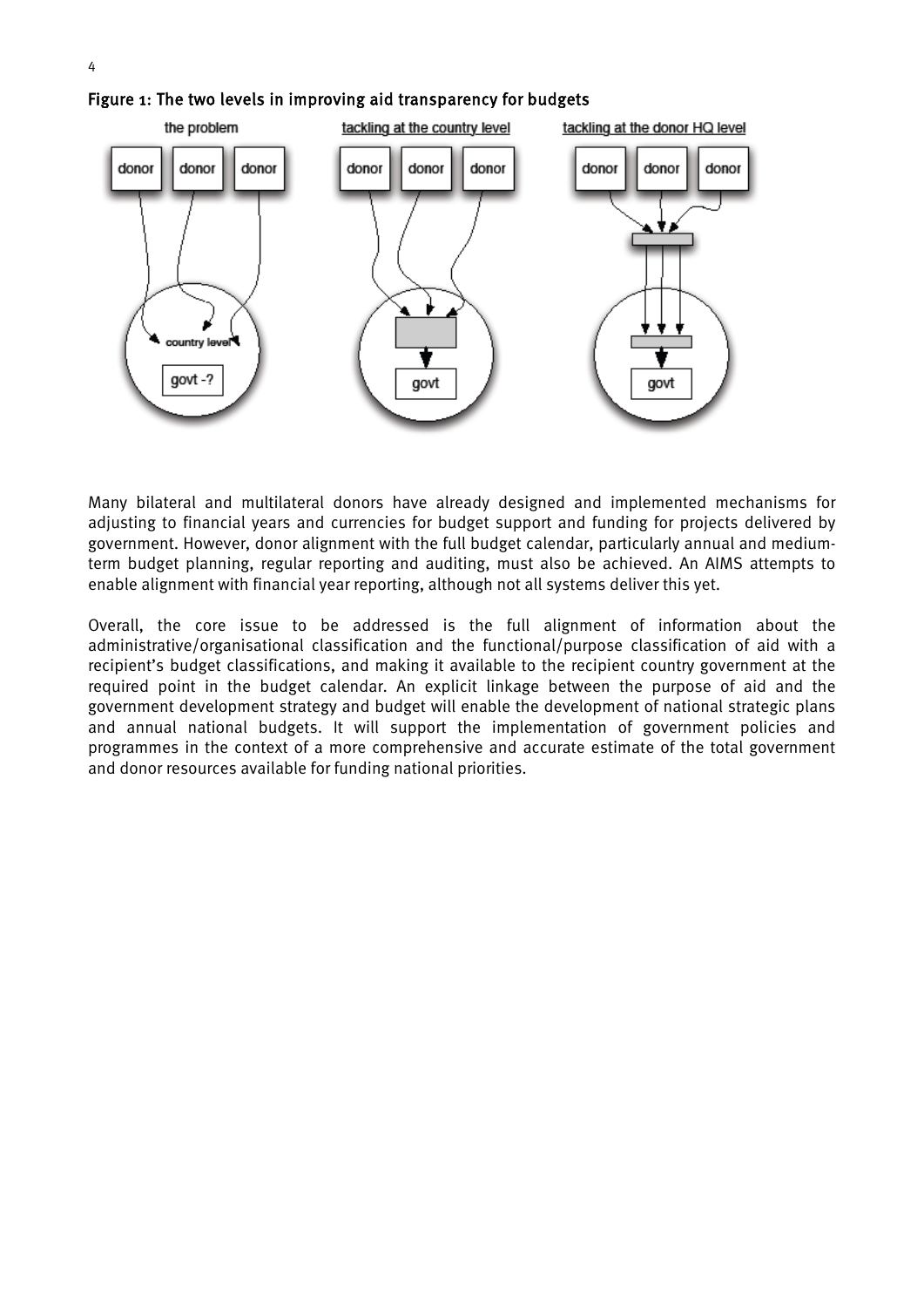

<span id="page-14-0"></span>Figure 1: The two levels in improving aid transparency for budgets

Many bilateral and multilateral donors have already designed and implemented mechanisms for adjusting to financial years and currencies for budget support and funding for projects delivered by government. However, donor alignment with the full budget calendar, particularly annual and mediumterm budget planning, regular reporting and auditing, must also be achieved. An AIMS attempts to enable alignment with financial year reporting, although not all systems deliver this yet.

Overall, the core issue to be addressed is the full alignment of information about the administrative/organisational classification and the functional/purpose classification of aid with a recipient's budget classifications, and making it available to the recipient country government at the required point in the budget calendar. An explicit linkage between the purpose of aid and the government development strategy and budget will enable the development of national strategic plans and annual national budgets. It will support the implementation of government policies and programmes in the context of a more comprehensive and accurate estimate of the total government and donor resources available for funding national priorities.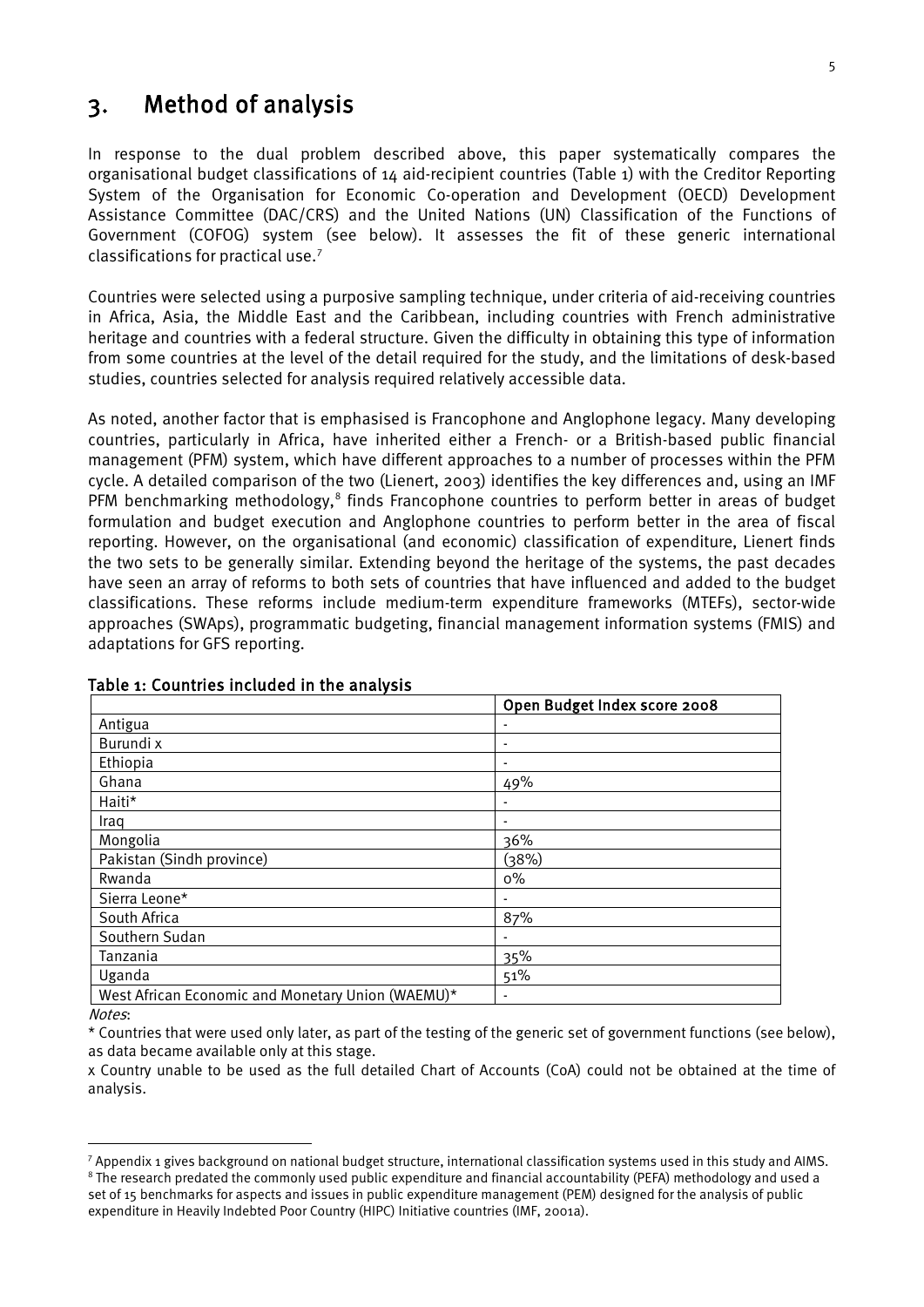## <span id="page-15-0"></span>3. Method of analysis

In response to the dual problem described above, this paper systematically compares the organisational budget classifications of 14 aid-recipient countries (Table 1) with the Creditor Reporting System of the Organisation for Economic Co-operation and Development (OECD) Development Assistance Committee (DAC/CRS) and the United Nations (UN) Classification of the Functions of Government (COFOG) system (see below). It assesses the fit of these generic international classifications for practical use. [7](#page-15-2)

Countries were selected using a purposive sampling technique, under criteria of aid-receiving countries in Africa, Asia, the Middle East and the Caribbean, including countries with French administrative heritage and countries with a federal structure. Given the difficulty in obtaining this type of information from some countries at the level of the detail required for the study, and the limitations of desk-based studies, countries selected for analysis required relatively accessible data.

As noted, another factor that is emphasised is Francophone and Anglophone legacy. Many developing countries, particularly in Africa, have inherited either a French- or a British-based public financial management (PFM) system, which have different approaches to a number of processes within the PFM cycle. A detailed comparison of the two (Lienert, 2003) identifies the key differences and, using an IMF PFM benchmarking methodology,<sup>[8](#page-15-3)</sup> finds Francophone countries to perform better in areas of budget formulation and budget execution and Anglophone countries to perform better in the area of fiscal reporting. However, on the organisational (and economic) classification of expenditure, Lienert finds the two sets to be generally similar. Extending beyond the heritage of the systems, the past decades have seen an array of reforms to both sets of countries that have influenced and added to the budget classifications. These reforms include medium-term expenditure frameworks (MTEFs), sector-wide approaches (SWAps), programmatic budgeting, financial management information systems (FMIS) and adaptations for GFS reporting.

|                                                   | Open Budget Index score 2008 |
|---------------------------------------------------|------------------------------|
| Antigua                                           |                              |
| Burundi x                                         | $\blacksquare$               |
| Ethiopia                                          |                              |
| Ghana                                             | 49%                          |
| Haiti*                                            | ۰                            |
| Iraq                                              |                              |
| Mongolia                                          | 36%                          |
| Pakistan (Sindh province)                         | (38%)                        |
| Rwanda                                            | $0\%$                        |
| Sierra Leone*                                     |                              |
| South Africa                                      | 87%                          |
| Southern Sudan                                    |                              |
| Tanzania                                          | 35%                          |
| Uganda                                            | 51%                          |
| West African Economic and Monetary Union (WAEMU)* |                              |

#### <span id="page-15-1"></span>Table 1: Countries included in the analysis

Notes:

\* Countries that were used only later, as part of the testing of the generic set of government functions (see below), as data became available only at this stage.

x Country unable to be used as the full detailed Chart of Accounts (CoA) could not be obtained at the time of analysis.

<span id="page-15-3"></span><span id="page-15-2"></span> $7$  Appendix 1 gives background on national budget structure, international classification systems used in this study and AIMS. <sup>8</sup> The research predated the commonly used public expenditure and financial accountability (PEFA) methodology and used a

set of 15 benchmarks for aspects and issues in public expenditure management (PEM) designed for the analysis of public expenditure in Heavily Indebted Poor Country (HIPC) Initiative countries (IMF, 2001a).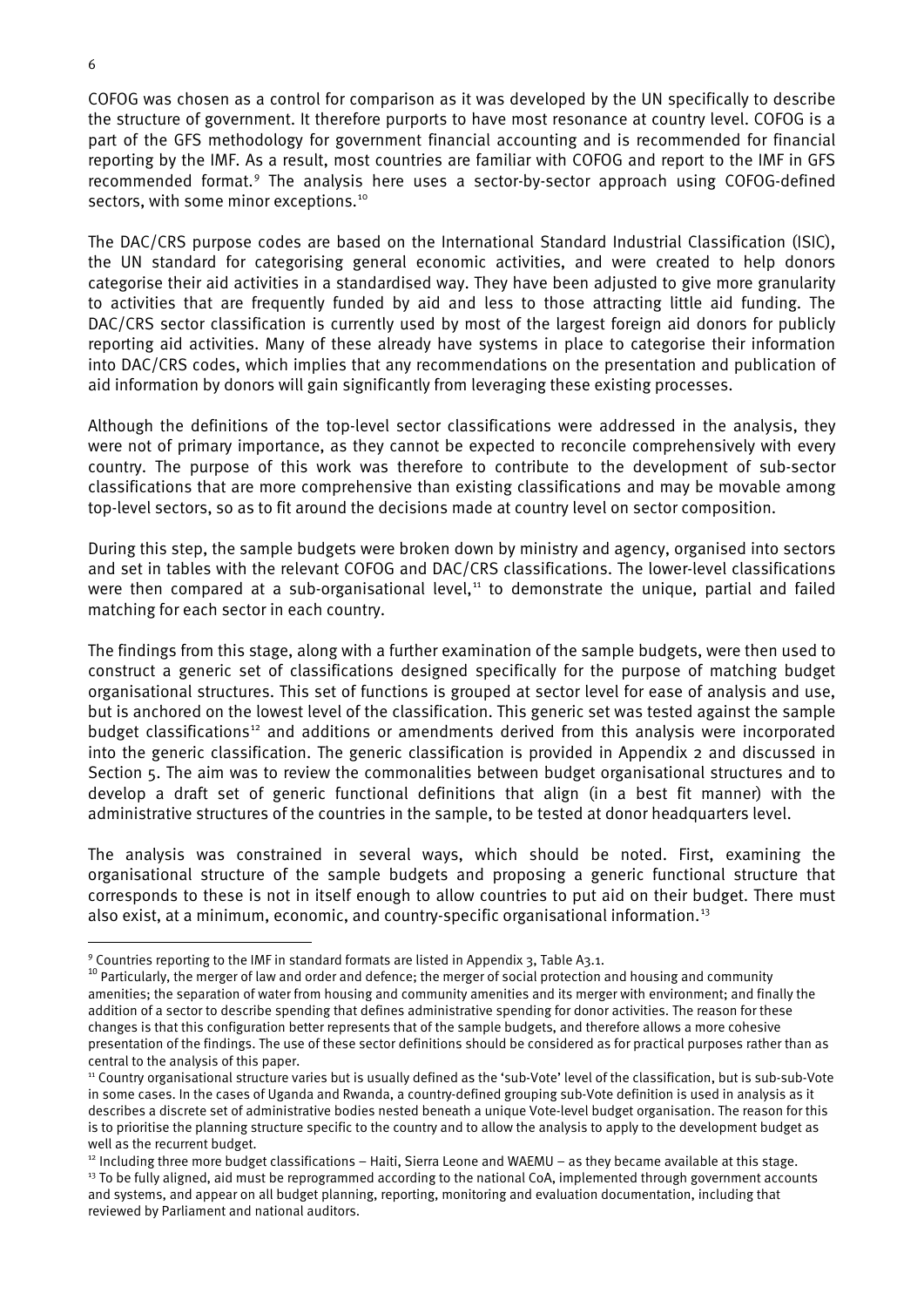COFOG was chosen as a control for comparison as it was developed by the UN specifically to describe the structure of government. It therefore purports to have most resonance at country level. COFOG is a part of the GFS methodology for government financial accounting and is recommended for financial reporting by the IMF. As a result, most countries are familiar with COFOG and report to the IMF in GFS recommended format.[9](#page-16-0) The analysis here uses a sector-by-sector approach using COFOG-defined sectors, with some minor exceptions.<sup>[10](#page-16-1)</sup>

The DAC/CRS purpose codes are based on the International Standard Industrial Classification (ISIC), the UN standard for categorising general economic activities, and were created to help donors categorise their aid activities in a standardised way. They have been adjusted to give more granularity to activities that are frequently funded by aid and less to those attracting little aid funding. The DAC/CRS sector classification is currently used by most of the largest foreign aid donors for publicly reporting aid activities. Many of these already have systems in place to categorise their information into DAC/CRS codes, which implies that any recommendations on the presentation and publication of aid information by donors will gain significantly from leveraging these existing processes.

Although the definitions of the top-level sector classifications were addressed in the analysis, they were not of primary importance, as they cannot be expected to reconcile comprehensively with every country. The purpose of this work was therefore to contribute to the development of sub-sector classifications that are more comprehensive than existing classifications and may be movable among top-level sectors, so as to fit around the decisions made at country level on sector composition.

During this step, the sample budgets were broken down by ministry and agency, organised into sectors and set in tables with the relevant COFOG and DAC/CRS classifications. The lower-level classifications were then compared at a sub-organisational level, [11](#page-16-2) to demonstrate the unique, partial and failed matching for each sector in each country.

The findings from this stage, along with a further examination of the sample budgets, were then used to construct a generic set of classifications designed specifically for the purpose of matching budget organisational structures. This set of functions is grouped at sector level for ease of analysis and use, but is anchored on the lowest level of the classification. This generic set was tested against the sample budget classifications<sup>[12](#page-16-3)</sup> and additions or amendments derived from this analysis were incorporated into the generic classification. The generic classification is provided in Appendix 2 and discussed in Section 5. The aim was to review the commonalities between budget organisational structures and to develop a draft set of generic functional definitions that align (in a best fit manner) with the administrative structures of the countries in the sample, to be tested at donor headquarters level.

The analysis was constrained in several ways, which should be noted. First, examining the organisational structure of the sample budgets and proposing a generic functional structure that corresponds to these is not in itself enough to allow countries to put aid on their budget. There must also exist, at a minimum, economic, and country-specific organisational information.<sup>[13](#page-16-4)</sup>

<span id="page-16-0"></span> <sup>9</sup> Countries reporting to the IMF in standard formats are listed in Appendix 3, Table A3.1.

<span id="page-16-1"></span> $10$  Particularly, the merger of law and order and defence; the merger of social protection and housing and community amenities; the separation of water from housing and community amenities and its merger with environment; and finally the addition of a sector to describe spending that defines administrative spending for donor activities. The reason for these changes is that this configuration better represents that of the sample budgets, and therefore allows a more cohesive presentation of the findings. The use of these sector definitions should be considered as for practical purposes rather than as central to the analysis of this paper.

<span id="page-16-2"></span><sup>11</sup> Country organisational structure varies but is usually defined as the 'sub-Vote' level of the classification, but is sub-sub-Vote in some cases. In the cases of Uganda and Rwanda, a country-defined grouping sub-Vote definition is used in analysis as it describes a discrete set of administrative bodies nested beneath a unique Vote-level budget organisation. The reason for this is to prioritise the planning structure specific to the country and to allow the analysis to apply to the development budget as well as the recurrent budget.

<span id="page-16-4"></span><span id="page-16-3"></span> $12$  Including three more budget classifications – Haiti, Sierra Leone and WAEMU – as they became available at this stage. <sup>13</sup> To be fully aligned, aid must be reprogrammed according to the national CoA, implemented through government accounts and systems, and appear on all budget planning, reporting, monitoring and evaluation documentation, including that reviewed by Parliament and national auditors.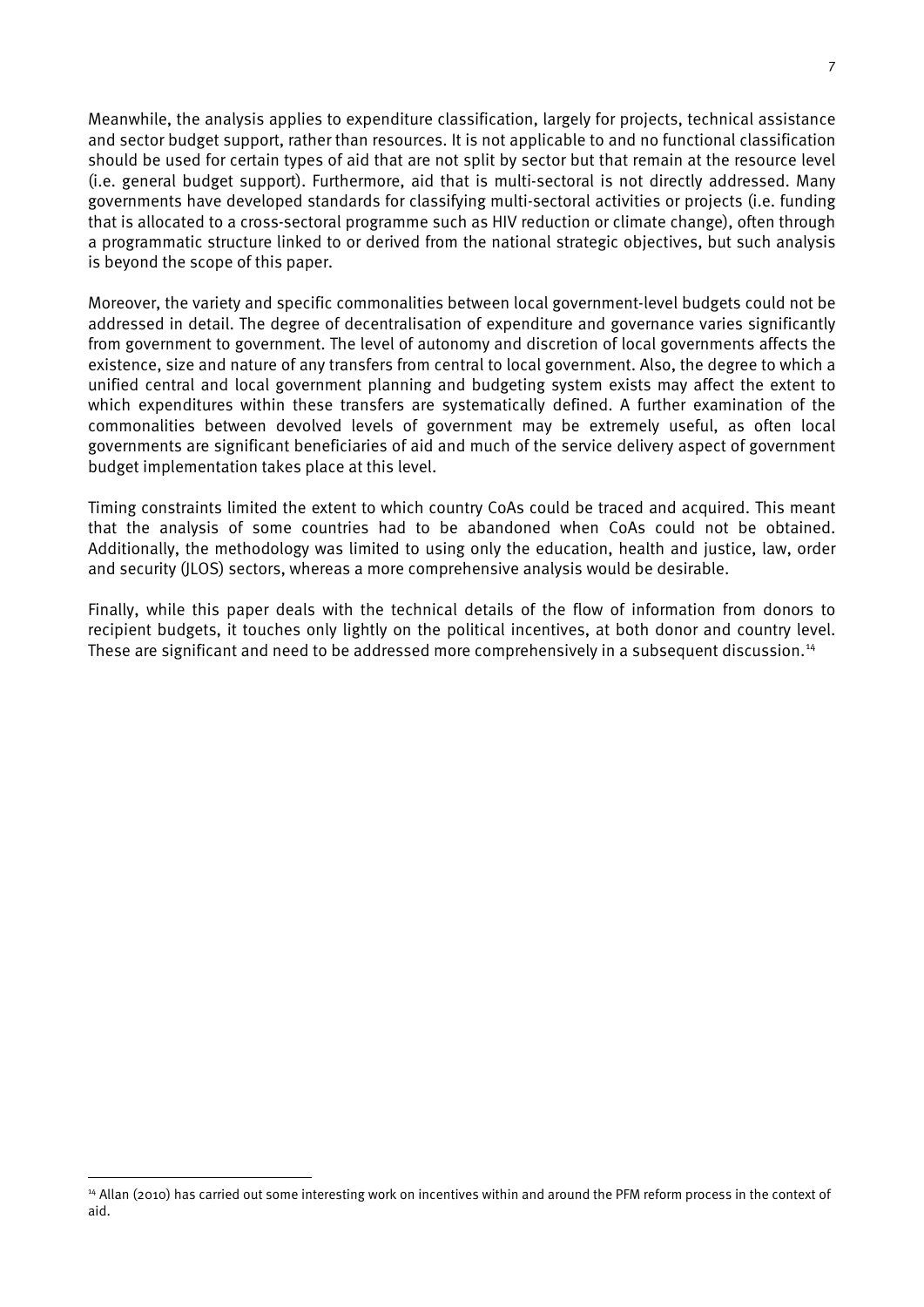Meanwhile, the analysis applies to expenditure classification, largely for projects, technical assistance and sector budget support, rather than resources. It is not applicable to and no functional classification should be used for certain types of aid that are not split by sector but that remain at the resource level (i.e. general budget support). Furthermore, aid that is multi-sectoral is not directly addressed. Many governments have developed standards for classifying multi-sectoral activities or projects (i.e. funding that is allocated to a cross-sectoral programme such as HIV reduction or climate change), often through a programmatic structure linked to or derived from the national strategic objectives, but such analysis is beyond the scope of this paper.

Moreover, the variety and specific commonalities between local government-level budgets could not be addressed in detail. The degree of decentralisation of expenditure and governance varies significantly from government to government. The level of autonomy and discretion of local governments affects the existence, size and nature of any transfers from central to local government. Also, the degree to which a unified central and local government planning and budgeting system exists may affect the extent to which expenditures within these transfers are systematically defined. A further examination of the commonalities between devolved levels of government may be extremely useful, as often local governments are significant beneficiaries of aid and much of the service delivery aspect of government budget implementation takes place at this level.

Timing constraints limited the extent to which country CoAs could be traced and acquired. This meant that the analysis of some countries had to be abandoned when CoAs could not be obtained. Additionally, the methodology was limited to using only the education, health and justice, law, order and security (JLOS) sectors, whereas a more comprehensive analysis would be desirable.

Finally, while this paper deals with the technical details of the flow of information from donors to recipient budgets, it touches only lightly on the political incentives, at both donor and country level. These are significant and need to be addressed more comprehensively in a subsequent discussion.<sup>[14](#page-17-0)</sup>

<span id="page-17-0"></span><sup>&</sup>lt;sup>14</sup> Allan (2010) has carried out some interesting work on incentives within and around the PFM reform process in the context of aid.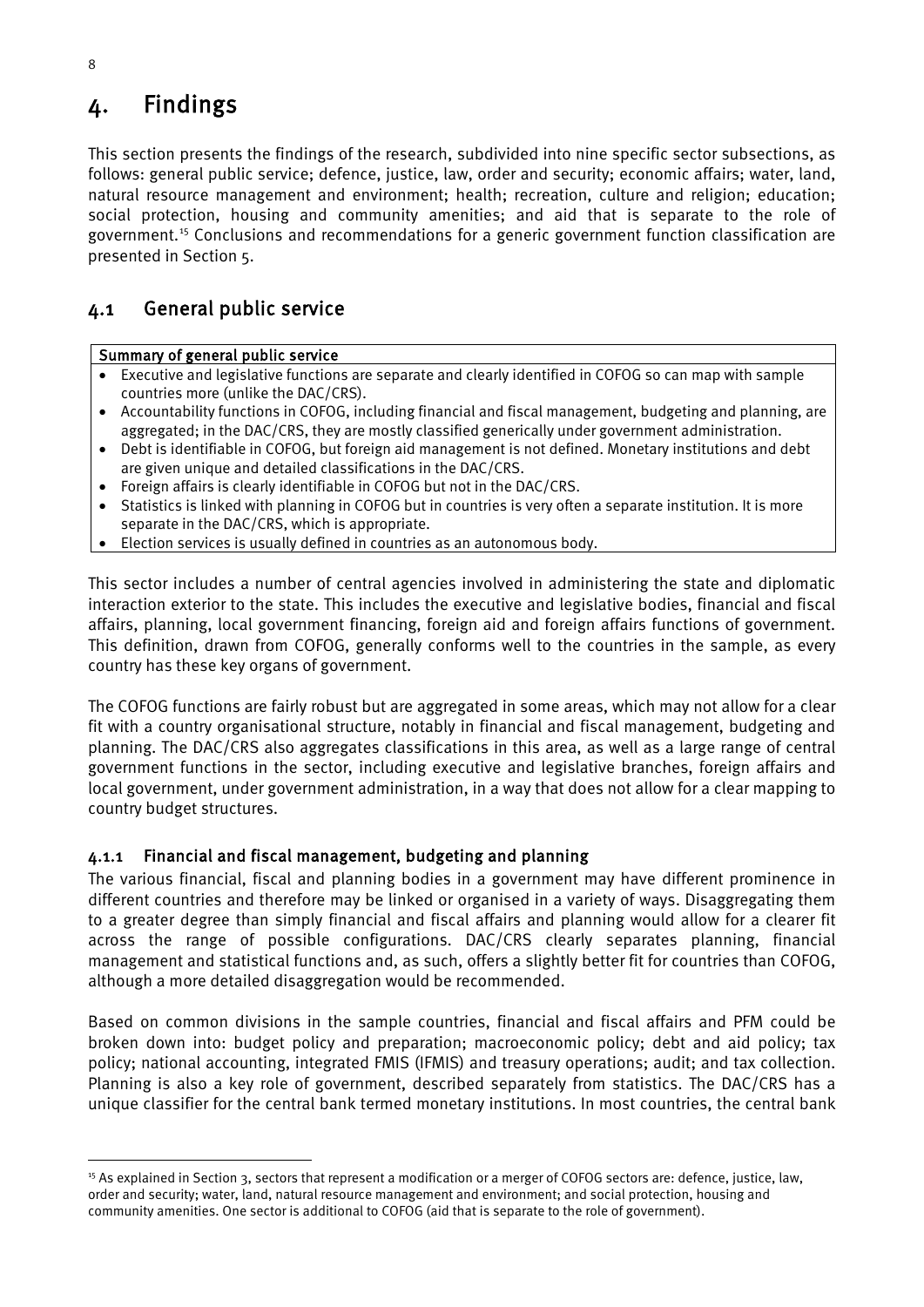## <span id="page-18-0"></span>4. Findings

This section presents the findings of the research, subdivided into nine specific sector subsections, as follows: general public service; defence, justice, law, order and security; economic affairs; water, land, natural resource management and environment; health; recreation, culture and religion; education; social protection, housing and community amenities; and aid that is separate to the role of government.[15](#page-18-2) Conclusions and recommendations for a generic government function classification are presented in Section 5.

### <span id="page-18-1"></span>4.1 General public service

#### Summary of general public service

- Executive and legislative functions are separate and clearly identified in COFOG so can map with sample countries more (unlike the DAC/CRS).
- Accountability functions in COFOG, including financial and fiscal management, budgeting and planning, are aggregated; in the DAC/CRS, they are mostly classified generically under government administration.
- Debt is identifiable in COFOG, but foreign aid management is not defined. Monetary institutions and debt are given unique and detailed classifications in the DAC/CRS.
- Foreign affairs is clearly identifiable in COFOG but not in the DAC/CRS.
- Statistics is linked with planning in COFOG but in countries is very often a separate institution. It is more separate in the DAC/CRS, which is appropriate.
- Election services is usually defined in countries as an autonomous body.

This sector includes a number of central agencies involved in administering the state and diplomatic interaction exterior to the state. This includes the executive and legislative bodies, financial and fiscal affairs, planning, local government financing, foreign aid and foreign affairs functions of government. This definition, drawn from COFOG, generally conforms well to the countries in the sample, as every country has these key organs of government.

The COFOG functions are fairly robust but are aggregated in some areas, which may not allow for a clear fit with a country organisational structure, notably in financial and fiscal management, budgeting and planning. The DAC/CRS also aggregates classifications in this area, as well as a large range of central government functions in the sector, including executive and legislative branches, foreign affairs and local government, under government administration, in a way that does not allow for a clear mapping to country budget structures.

#### 4.1.1 Financial and fiscal management, budgeting and planning

The various financial, fiscal and planning bodies in a government may have different prominence in different countries and therefore may be linked or organised in a variety of ways. Disaggregating them to a greater degree than simply financial and fiscal affairs and planning would allow for a clearer fit across the range of possible configurations. DAC/CRS clearly separates planning, financial management and statistical functions and, as such, offers a slightly better fit for countries than COFOG, although a more detailed disaggregation would be recommended.

Based on common divisions in the sample countries, financial and fiscal affairs and PFM could be broken down into: budget policy and preparation; macroeconomic policy; debt and aid policy; tax policy; national accounting, integrated FMIS (IFMIS) and treasury operations; audit; and tax collection. Planning is also a key role of government, described separately from statistics. The DAC/CRS has a unique classifier for the central bank termed monetary institutions. In most countries, the central bank

<span id="page-18-2"></span><sup>&</sup>lt;sup>15</sup> As explained in Section 3, sectors that represent a modification or a merger of COFOG sectors are: defence, justice, law, order and security; water, land, natural resource management and environment; and social protection, housing and community amenities. One sector is additional to COFOG (aid that is separate to the role of government).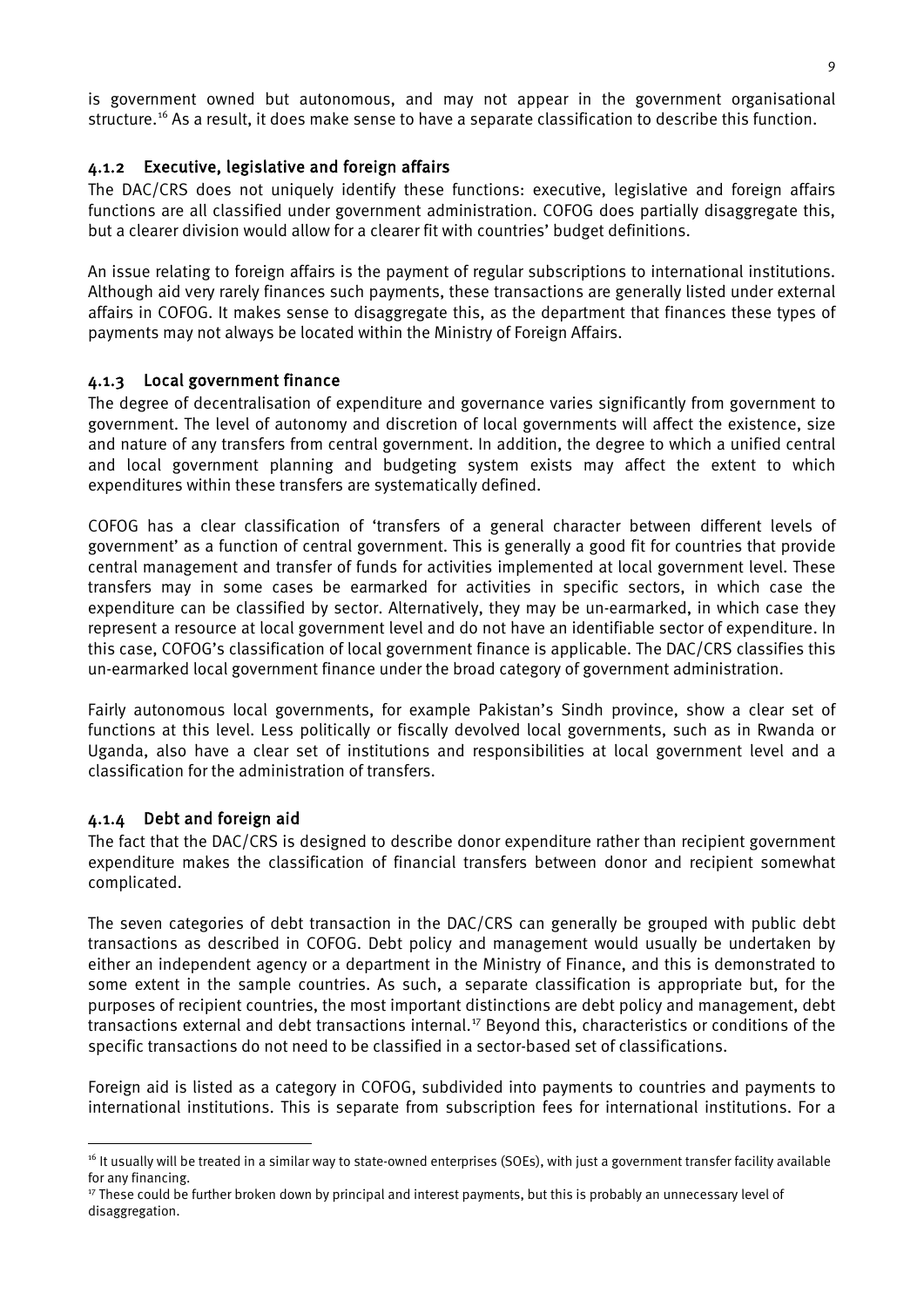is government owned but autonomous, and may not appear in the government organisational structure. [16](#page-19-0) As a result, it does make sense to have a separate classification to describe this function.

#### 4.1.2 Executive, legislative and foreign affairs

The DAC/CRS does not uniquely identify these functions: executive, legislative and foreign affairs functions are all classified under government administration. COFOG does partially disaggregate this, but a clearer division would allow for a clearer fit with countries' budget definitions.

An issue relating to foreign affairs is the payment of regular subscriptions to international institutions. Although aid very rarely finances such payments, these transactions are generally listed under external affairs in COFOG. It makes sense to disaggregate this, as the department that finances these types of payments may not always be located within the Ministry of Foreign Affairs.

#### 4.1.3 Local government finance

The degree of decentralisation of expenditure and governance varies significantly from government to government. The level of autonomy and discretion of local governments will affect the existence, size and nature of any transfers from central government. In addition, the degree to which a unified central and local government planning and budgeting system exists may affect the extent to which expenditures within these transfers are systematically defined.

COFOG has a clear classification of 'transfers of a general character between different levels of government' as a function of central government. This is generally a good fit for countries that provide central management and transfer of funds for activities implemented at local government level. These transfers may in some cases be earmarked for activities in specific sectors, in which case the expenditure can be classified by sector. Alternatively, they may be un-earmarked, in which case they represent a resource at local government level and do not have an identifiable sector of expenditure. In this case, COFOG's classification of local government finance is applicable. The DAC/CRS classifies this un-earmarked local government finance under the broad category of government administration.

Fairly autonomous local governments, for example Pakistan's Sindh province, show a clear set of functions at this level. Less politically or fiscally devolved local governments, such as in Rwanda or Uganda, also have a clear set of institutions and responsibilities at local government level and a classification for the administration of transfers.

#### 4.1.4 Debt and foreign aid

The fact that the DAC/CRS is designed to describe donor expenditure rather than recipient government expenditure makes the classification of financial transfers between donor and recipient somewhat complicated.

The seven categories of debt transaction in the DAC/CRS can generally be grouped with public debt transactions as described in COFOG. Debt policy and management would usually be undertaken by either an independent agency or a department in the Ministry of Finance, and this is demonstrated to some extent in the sample countries. As such, a separate classification is appropriate but, for the purposes of recipient countries, the most important distinctions are debt policy and management, debt transactions external and debt transactions internal. [17](#page-19-1) Beyond this, characteristics or conditions of the specific transactions do not need to be classified in a sector-based set of classifications.

Foreign aid is listed as a category in COFOG, subdivided into payments to countries and payments to international institutions. This is separate from subscription fees for international institutions. For a

<span id="page-19-0"></span><sup>&</sup>lt;sup>16</sup> It usually will be treated in a similar way to state-owned enterprises (SOEs), with just a government transfer facility available for any financing.

<span id="page-19-1"></span><sup>&</sup>lt;sup>17</sup> These could be further broken down by principal and interest payments, but this is probably an unnecessary level of disaggregation.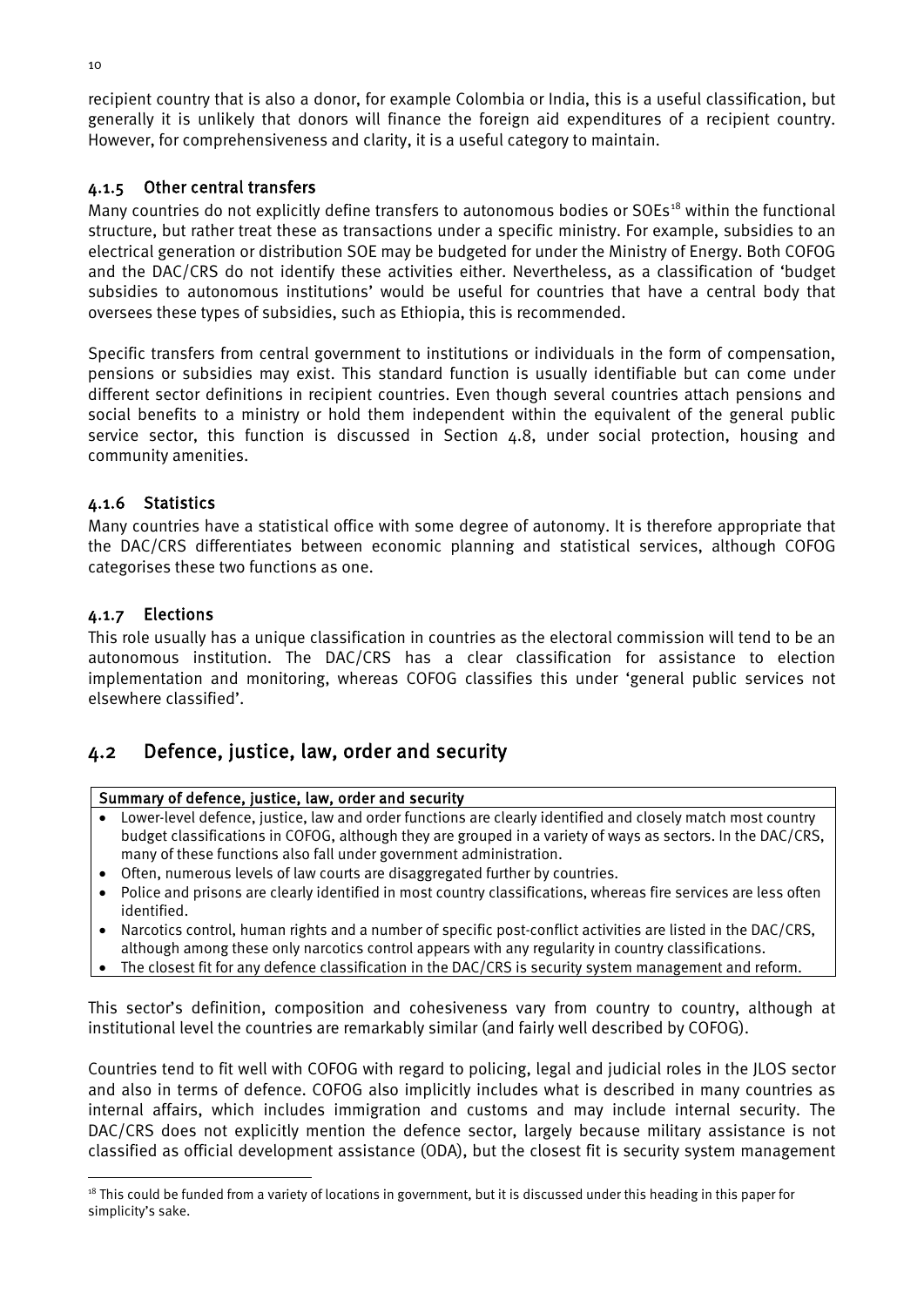recipient country that is also a donor, for example Colombia or India, this is a useful classification, but generally it is unlikely that donors will finance the foreign aid expenditures of a recipient country. However, for comprehensiveness and clarity, it is a useful category to maintain.

#### 4.1.5 Other central transfers

Many countries do not explicitly define transfers to autonomous bodies or SOEs<sup>[18](#page-20-1)</sup> within the functional structure, but rather treat these as transactions under a specific ministry. For example, subsidies to an electrical generation or distribution SOE may be budgeted for under the Ministry of Energy. Both COFOG and the DAC/CRS do not identify these activities either. Nevertheless, as a classification of 'budget subsidies to autonomous institutions' would be useful for countries that have a central body that oversees these types of subsidies, such as Ethiopia, this is recommended.

Specific transfers from central government to institutions or individuals in the form of compensation, pensions or subsidies may exist. This standard function is usually identifiable but can come under different sector definitions in recipient countries. Even though several countries attach pensions and social benefits to a ministry or hold them independent within the equivalent of the general public service sector, this function is discussed in Section 4.8, under social protection, housing and community amenities.

#### 4.1.6 Statistics

Many countries have a statistical office with some degree of autonomy. It is therefore appropriate that the DAC/CRS differentiates between economic planning and statistical services, although COFOG categorises these two functions as one.

#### 4.1.7 Elections

This role usually has a unique classification in countries as the electoral commission will tend to be an autonomous institution. The DAC/CRS has a clear classification for assistance to election implementation and monitoring, whereas COFOG classifies this under 'general public services not elsewhere classified'.

### <span id="page-20-0"></span>4.2 Defence, justice, law, order and security

#### Summary of defence, justice, law, order and security

- Lower-level defence, justice, law and order functions are clearly identified and closely match most country budget classifications in COFOG, although they are grouped in a variety of ways as sectors. In the DAC/CRS, many of these functions also fall under government administration.
- Often, numerous levels of law courts are disaggregated further by countries.
- Police and prisons are clearly identified in most country classifications, whereas fire services are less often identified.
- Narcotics control, human rights and a number of specific post-conflict activities are listed in the DAC/CRS, although among these only narcotics control appears with any regularity in country classifications.
- The closest fit for any defence classification in the DAC/CRS is security system management and reform.

This sector's definition, composition and cohesiveness vary from country to country, although at institutional level the countries are remarkably similar (and fairly well described by COFOG).

Countries tend to fit well with COFOG with regard to policing, legal and judicial roles in the JLOS sector and also in terms of defence. COFOG also implicitly includes what is described in many countries as internal affairs, which includes immigration and customs and may include internal security. The DAC/CRS does not explicitly mention the defence sector, largely because military assistance is not classified as official development assistance (ODA), but the closest fit is security system management

<span id="page-20-1"></span><sup>&</sup>lt;sup>18</sup> This could be funded from a variety of locations in government, but it is discussed under this heading in this paper for simplicity's sake.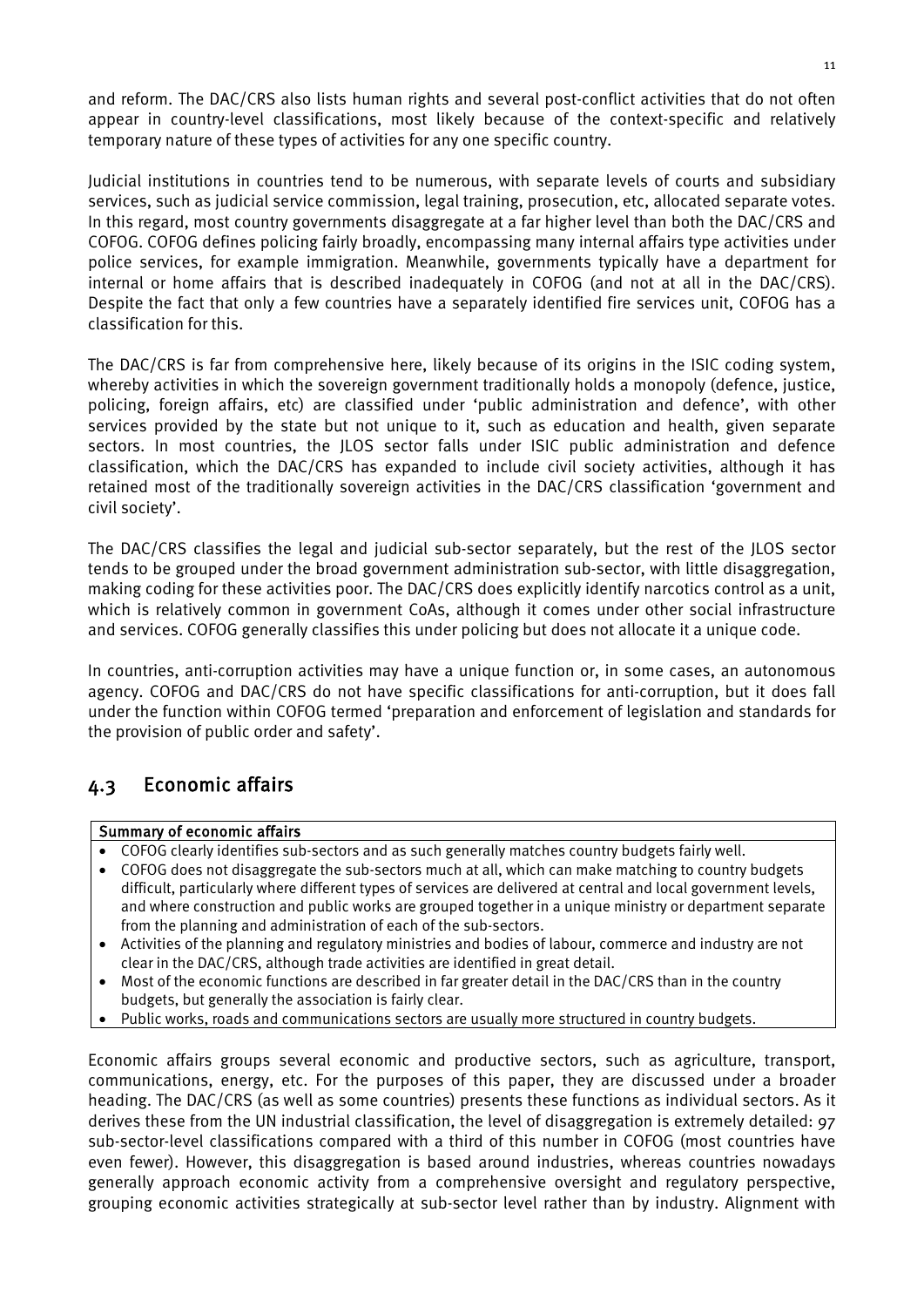and reform. The DAC/CRS also lists human rights and several post-conflict activities that do not often appear in country-level classifications, most likely because of the context-specific and relatively temporary nature of these types of activities for any one specific country.

Judicial institutions in countries tend to be numerous, with separate levels of courts and subsidiary services, such as judicial service commission, legal training, prosecution, etc, allocated separate votes. In this regard, most country governments disaggregate at a far higher level than both the DAC/CRS and COFOG. COFOG defines policing fairly broadly, encompassing many internal affairs type activities under police services, for example immigration. Meanwhile, governments typically have a department for internal or home affairs that is described inadequately in COFOG (and not at all in the DAC/CRS). Despite the fact that only a few countries have a separately identified fire services unit, COFOG has a classification for this.

The DAC/CRS is far from comprehensive here, likely because of its origins in the ISIC coding system, whereby activities in which the sovereign government traditionally holds a monopoly (defence, justice, policing, foreign affairs, etc) are classified under 'public administration and defence', with other services provided by the state but not unique to it, such as education and health, given separate sectors. In most countries, the JLOS sector falls under ISIC public administration and defence classification, which the DAC/CRS has expanded to include civil society activities, although it has retained most of the traditionally sovereign activities in the DAC/CRS classification 'government and civil society'.

The DAC/CRS classifies the legal and judicial sub-sector separately, but the rest of the JLOS sector tends to be grouped under the broad government administration sub-sector, with little disaggregation, making coding for these activities poor. The DAC/CRS does explicitly identify narcotics control as a unit, which is relatively common in government CoAs, although it comes under other social infrastructure and services. COFOG generally classifies this under policing but does not allocate it a unique code.

In countries, anti-corruption activities may have a unique function or, in some cases, an autonomous agency. COFOG and DAC/CRS do not have specific classifications for anti-corruption, but it does fall under the function within COFOG termed 'preparation and enforcement of legislation and standards for the provision of public order and safety'.

## <span id="page-21-0"></span>4.3 Economic affairs

#### Summary of economic affairs

- COFOG clearly identifies sub-sectors and as such generally matches country budgets fairly well.
- COFOG does not disaggregate the sub-sectors much at all, which can make matching to country budgets difficult, particularly where different types of services are delivered at central and local government levels, and where construction and public works are grouped together in a unique ministry or department separate from the planning and administration of each of the sub-sectors.
- Activities of the planning and regulatory ministries and bodies of labour, commerce and industry are not clear in the DAC/CRS, although trade activities are identified in great detail.
- Most of the economic functions are described in far greater detail in the DAC/CRS than in the country budgets, but generally the association is fairly clear.
- Public works, roads and communications sectors are usually more structured in country budgets.

Economic affairs groups several economic and productive sectors, such as agriculture, transport, communications, energy, etc. For the purposes of this paper, they are discussed under a broader heading. The DAC/CRS (as well as some countries) presents these functions as individual sectors. As it derives these from the UN industrial classification, the level of disaggregation is extremely detailed: 97 sub-sector-level classifications compared with a third of this number in COFOG (most countries have even fewer). However, this disaggregation is based around industries, whereas countries nowadays generally approach economic activity from a comprehensive oversight and regulatory perspective, grouping economic activities strategically at sub-sector level rather than by industry. Alignment with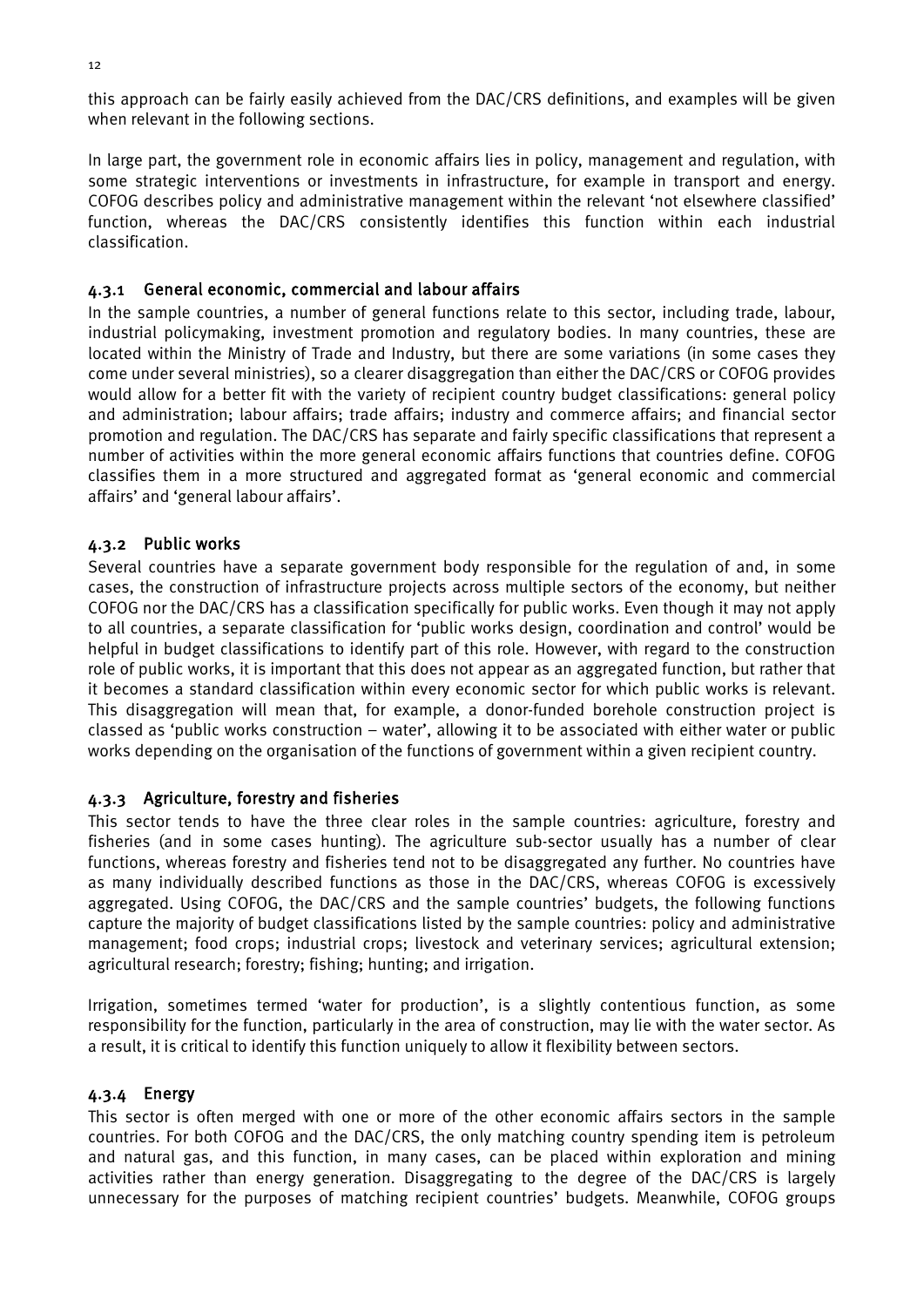this approach can be fairly easily achieved from the DAC/CRS definitions, and examples will be given when relevant in the following sections.

In large part, the government role in economic affairs lies in policy, management and regulation, with some strategic interventions or investments in infrastructure, for example in transport and energy. COFOG describes policy and administrative management within the relevant 'not elsewhere classified' function, whereas the DAC/CRS consistently identifies this function within each industrial classification.

#### 4.3.1 General economic, commercial and labour affairs

In the sample countries, a number of general functions relate to this sector, including trade, labour, industrial policymaking, investment promotion and regulatory bodies. In many countries, these are located within the Ministry of Trade and Industry, but there are some variations (in some cases they come under several ministries), so a clearer disaggregation than either the DAC/CRS or COFOG provides would allow for a better fit with the variety of recipient country budget classifications: general policy and administration; labour affairs; trade affairs; industry and commerce affairs; and financial sector promotion and regulation. The DAC/CRS has separate and fairly specific classifications that represent a number of activities within the more general economic affairs functions that countries define. COFOG classifies them in a more structured and aggregated format as 'general economic and commercial affairs' and 'general labour affairs'.

#### 4.3.2 Public works

Several countries have a separate government body responsible for the regulation of and, in some cases, the construction of infrastructure projects across multiple sectors of the economy, but neither COFOG nor the DAC/CRS has a classification specifically for public works. Even though it may not apply to all countries, a separate classification for 'public works design, coordination and control' would be helpful in budget classifications to identify part of this role. However, with regard to the construction role of public works, it is important that this does not appear as an aggregated function, but rather that it becomes a standard classification within every economic sector for which public works is relevant. This disaggregation will mean that, for example, a donor-funded borehole construction project is classed as 'public works construction – water', allowing it to be associated with either water or public works depending on the organisation of the functions of government within a given recipient country.

#### 4.3.3 Agriculture, forestry and fisheries

This sector tends to have the three clear roles in the sample countries: agriculture, forestry and fisheries (and in some cases hunting). The agriculture sub-sector usually has a number of clear functions, whereas forestry and fisheries tend not to be disaggregated any further. No countries have as many individually described functions as those in the DAC/CRS, whereas COFOG is excessively aggregated. Using COFOG, the DAC/CRS and the sample countries' budgets, the following functions capture the majority of budget classifications listed by the sample countries: policy and administrative management; food crops; industrial crops; livestock and veterinary services; agricultural extension; agricultural research; forestry; fishing; hunting; and irrigation.

Irrigation, sometimes termed 'water for production', is a slightly contentious function, as some responsibility for the function, particularly in the area of construction, may lie with the water sector. As a result, it is critical to identify this function uniquely to allow it flexibility between sectors.

#### 4.3.4 Energy

This sector is often merged with one or more of the other economic affairs sectors in the sample countries. For both COFOG and the DAC/CRS, the only matching country spending item is petroleum and natural gas, and this function, in many cases, can be placed within exploration and mining activities rather than energy generation. Disaggregating to the degree of the DAC/CRS is largely unnecessary for the purposes of matching recipient countries' budgets. Meanwhile, COFOG groups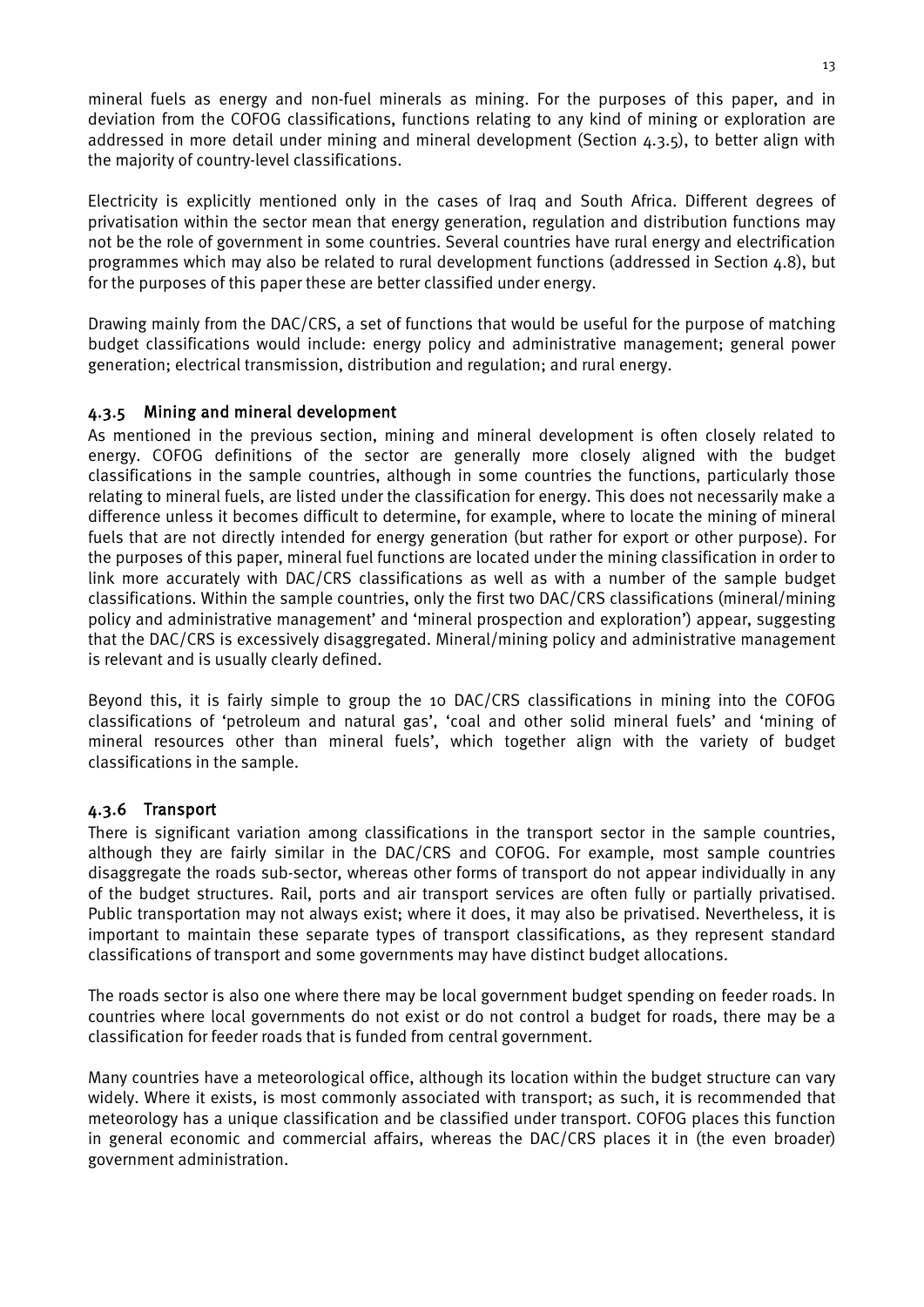mineral fuels as energy and non-fuel minerals as mining. For the purposes of this paper, and in deviation from the COFOG classifications, functions relating to any kind of mining or exploration are addressed in more detail under mining and mineral development (Section 4.3.5), to better align with the majority of country-level classifications.

Electricity is explicitly mentioned only in the cases of Iraq and South Africa. Different degrees of privatisation within the sector mean that energy generation, regulation and distribution functions may not be the role of government in some countries. Several countries have rural energy and electrification programmes which may also be related to rural development functions (addressed in Section 4.8), but for the purposes of this paper these are better classified under energy.

Drawing mainly from the DAC/CRS, a set of functions that would be useful for the purpose of matching budget classifications would include: energy policy and administrative management; general power generation; electrical transmission, distribution and regulation; and rural energy.

#### 4.3.5 Mining and mineral development

As mentioned in the previous section, mining and mineral development is often closely related to energy. COFOG definitions of the sector are generally more closely aligned with the budget classifications in the sample countries, although in some countries the functions, particularly those relating to mineral fuels, are listed under the classification for energy. This does not necessarily make a difference unless it becomes difficult to determine, for example, where to locate the mining of mineral fuels that are not directly intended for energy generation (but rather for export or other purpose). For the purposes of this paper, mineral fuel functions are located under the mining classification in order to link more accurately with DAC/CRS classifications as well as with a number of the sample budget classifications. Within the sample countries, only the first two DAC/CRS classifications (mineral/mining policy and administrative management' and 'mineral prospection and exploration') appear, suggesting that the DAC/CRS is excessively disaggregated. Mineral/mining policy and administrative management is relevant and is usually clearly defined.

Beyond this, it is fairly simple to group the 10 DAC/CRS classifications in mining into the COFOG classifications of 'petroleum and natural gas', 'coal and other solid mineral fuels' and 'mining of mineral resources other than mineral fuels', which together align with the variety of budget classifications in the sample.

#### 4.3.6 Transport

There is significant variation among classifications in the transport sector in the sample countries, although they are fairly similar in the DAC/CRS and COFOG. For example, most sample countries disaggregate the roads sub-sector, whereas other forms of transport do not appear individually in any of the budget structures. Rail, ports and air transport services are often fully or partially privatised. Public transportation may not always exist; where it does, it may also be privatised. Nevertheless, it is important to maintain these separate types of transport classifications, as they represent standard classifications of transport and some governments may have distinct budget allocations.

The roads sector is also one where there may be local government budget spending on feeder roads. In countries where local governments do not exist or do not control a budget for roads, there may be a classification for feeder roads that is funded from central government.

Many countries have a meteorological office, although its location within the budget structure can vary widely. Where it exists, is most commonly associated with transport; as such, it is recommended that meteorology has a unique classification and be classified under transport. COFOG places this function in general economic and commercial affairs, whereas the DAC/CRS places it in (the even broader) government administration.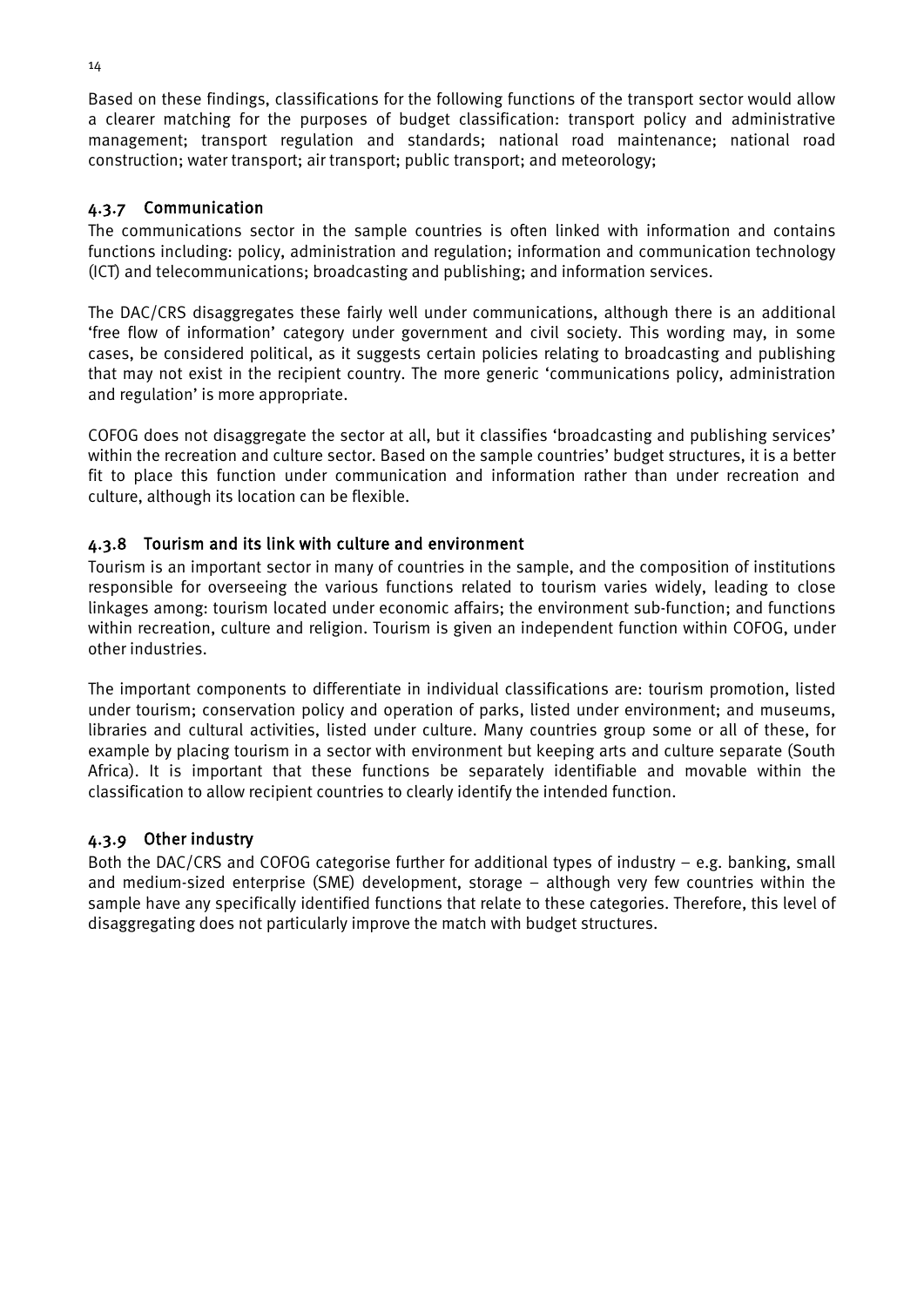Based on these findings, classifications for the following functions of the transport sector would allow a clearer matching for the purposes of budget classification: transport policy and administrative management; transport regulation and standards; national road maintenance; national road construction; water transport; air transport; public transport; and meteorology;

#### 4.3.7 Communication

The communications sector in the sample countries is often linked with information and contains functions including: policy, administration and regulation; information and communication technology (ICT) and telecommunications; broadcasting and publishing; and information services.

The DAC/CRS disaggregates these fairly well under communications, although there is an additional 'free flow of information' category under government and civil society. This wording may, in some cases, be considered political, as it suggests certain policies relating to broadcasting and publishing that may not exist in the recipient country. The more generic 'communications policy, administration and regulation' is more appropriate.

COFOG does not disaggregate the sector at all, but it classifies 'broadcasting and publishing services' within the recreation and culture sector. Based on the sample countries' budget structures, it is a better fit to place this function under communication and information rather than under recreation and culture, although its location can be flexible.

#### 4.3.8 Tourism and its link with culture and environment

Tourism is an important sector in many of countries in the sample, and the composition of institutions responsible for overseeing the various functions related to tourism varies widely, leading to close linkages among: tourism located under economic affairs; the environment sub-function; and functions within recreation, culture and religion. Tourism is given an independent function within COFOG, under other industries.

The important components to differentiate in individual classifications are: tourism promotion, listed under tourism; conservation policy and operation of parks, listed under environment; and museums, libraries and cultural activities, listed under culture. Many countries group some or all of these, for example by placing tourism in a sector with environment but keeping arts and culture separate (South Africa). It is important that these functions be separately identifiable and movable within the classification to allow recipient countries to clearly identify the intended function.

#### 4.3.9 Other industry

Both the DAC/CRS and COFOG categorise further for additional types of industry – e.g. banking, small and medium-sized enterprise (SME) development, storage – although very few countries within the sample have any specifically identified functions that relate to these categories. Therefore, this level of disaggregating does not particularly improve the match with budget structures.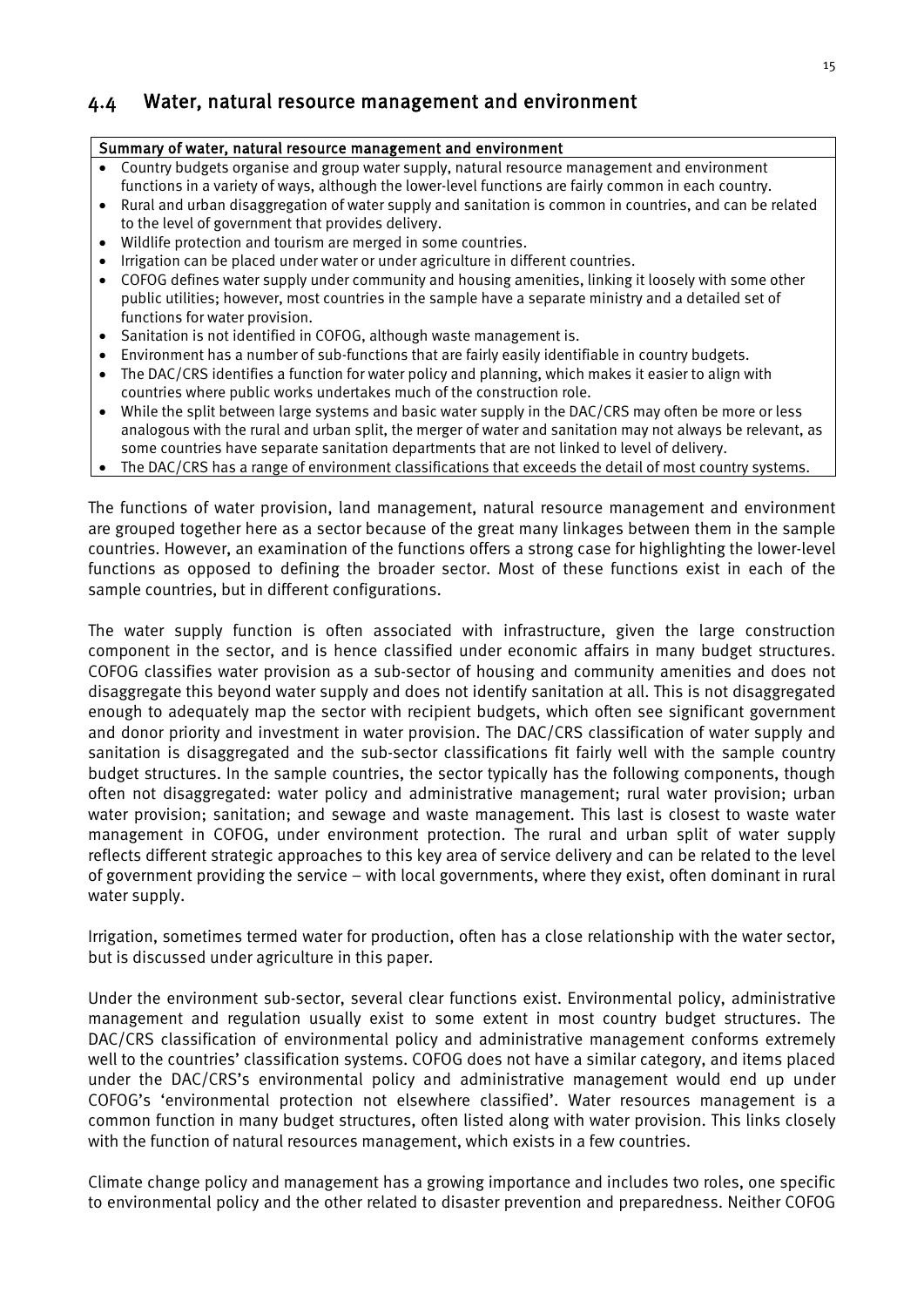### <span id="page-25-0"></span>4.4 Water, natural resource management and environment

#### Summary of water, natural resource management and environment

- Country budgets organise and group water supply, natural resource management and environment functions in a variety of ways, although the lower-level functions are fairly common in each country.
- Rural and urban disaggregation of water supply and sanitation is common in countries, and can be related to the level of government that provides delivery.
- Wildlife protection and tourism are merged in some countries.
- Irrigation can be placed under water or under agriculture in different countries.
- COFOG defines water supply under community and housing amenities, linking it loosely with some other public utilities; however, most countries in the sample have a separate ministry and a detailed set of functions for water provision.
- Sanitation is not identified in COFOG, although waste management is.
- Environment has a number of sub-functions that are fairly easily identifiable in country budgets.
- The DAC/CRS identifies a function for water policy and planning, which makes it easier to align with countries where public works undertakes much of the construction role.
- While the split between large systems and basic water supply in the DAC/CRS may often be more or less analogous with the rural and urban split, the merger of water and sanitation may not always be relevant, as some countries have separate sanitation departments that are not linked to level of delivery.
- The DAC/CRS has a range of environment classifications that exceeds the detail of most country systems.

The functions of water provision, land management, natural resource management and environment are grouped together here as a sector because of the great many linkages between them in the sample countries. However, an examination of the functions offers a strong case for highlighting the lower-level functions as opposed to defining the broader sector. Most of these functions exist in each of the sample countries, but in different configurations.

The water supply function is often associated with infrastructure, given the large construction component in the sector, and is hence classified under economic affairs in many budget structures. COFOG classifies water provision as a sub-sector of housing and community amenities and does not disaggregate this beyond water supply and does not identify sanitation at all. This is not disaggregated enough to adequately map the sector with recipient budgets, which often see significant government and donor priority and investment in water provision. The DAC/CRS classification of water supply and sanitation is disaggregated and the sub-sector classifications fit fairly well with the sample country budget structures. In the sample countries, the sector typically has the following components, though often not disaggregated: water policy and administrative management; rural water provision; urban water provision; sanitation; and sewage and waste management. This last is closest to waste water management in COFOG, under environment protection. The rural and urban split of water supply reflects different strategic approaches to this key area of service delivery and can be related to the level of government providing the service – with local governments, where they exist, often dominant in rural water supply.

Irrigation, sometimes termed water for production, often has a close relationship with the water sector, but is discussed under agriculture in this paper.

Under the environment sub-sector, several clear functions exist. Environmental policy, administrative management and regulation usually exist to some extent in most country budget structures. The DAC/CRS classification of environmental policy and administrative management conforms extremely well to the countries' classification systems. COFOG does not have a similar category, and items placed under the DAC/CRS's environmental policy and administrative management would end up under COFOG's 'environmental protection not elsewhere classified'. Water resources management is a common function in many budget structures, often listed along with water provision. This links closely with the function of natural resources management, which exists in a few countries.

Climate change policy and management has a growing importance and includes two roles, one specific to environmental policy and the other related to disaster prevention and preparedness. Neither COFOG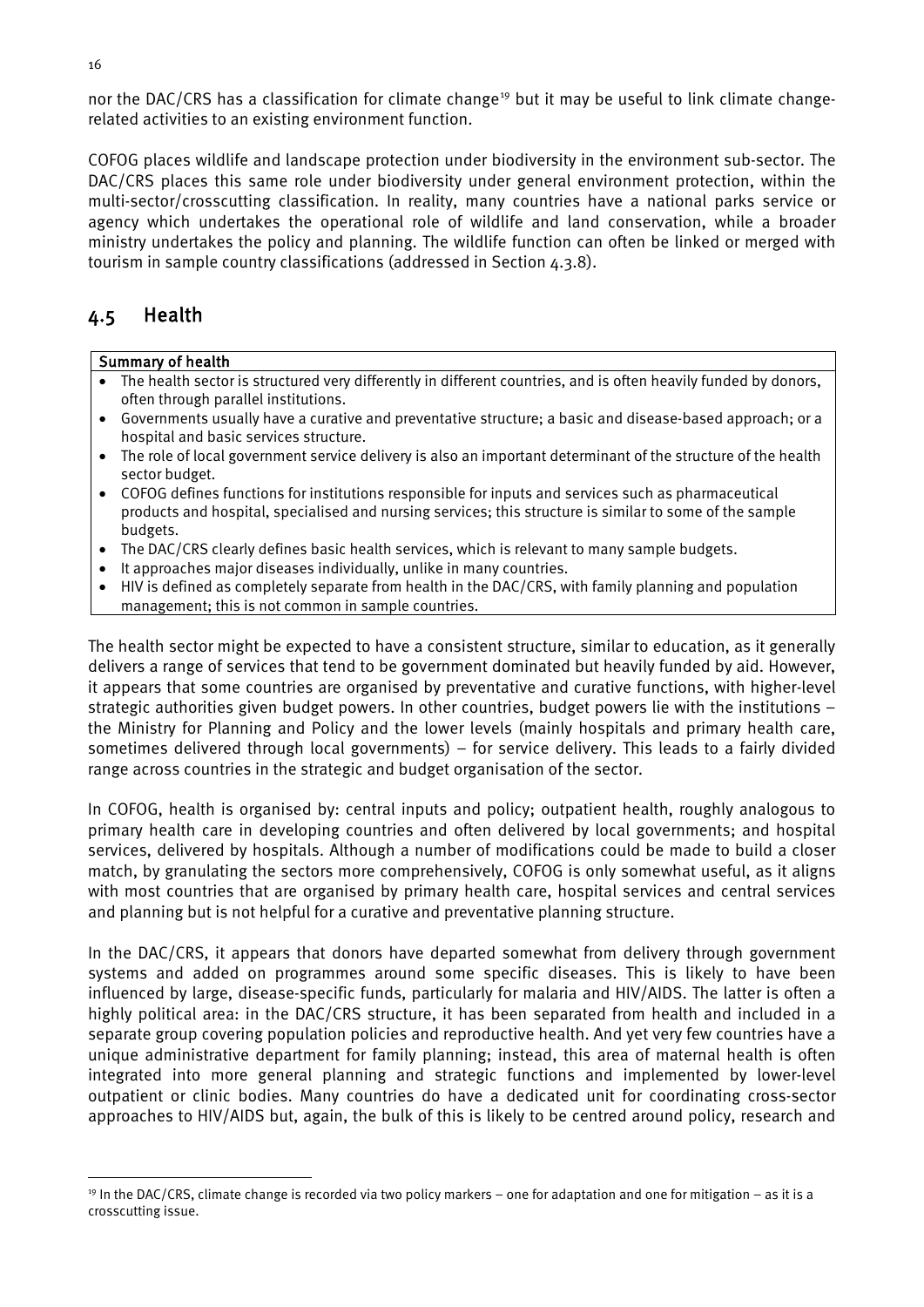nor the DAC/CRS has a classification for climate change<sup>[19](#page-26-1)</sup> but it may be useful to link climate changerelated activities to an existing environment function.

COFOG places wildlife and landscape protection under biodiversity in the environment sub-sector. The DAC/CRS places this same role under biodiversity under general environment protection, within the multi-sector/crosscutting classification. In reality, many countries have a national parks service or agency which undertakes the operational role of wildlife and land conservation, while a broader ministry undertakes the policy and planning. The wildlife function can often be linked or merged with tourism in sample country classifications (addressed in Section 4.3.8).

### <span id="page-26-0"></span>4.5 Health

#### Summary of health

- The health sector is structured very differently in different countries, and is often heavily funded by donors, often through parallel institutions.
- Governments usually have a curative and preventative structure; a basic and disease-based approach; or a hospital and basic services structure.
- The role of local government service delivery is also an important determinant of the structure of the health sector budget.
- COFOG defines functions for institutions responsible for inputs and services such as pharmaceutical products and hospital, specialised and nursing services; this structure is similar to some of the sample budgets.
- The DAC/CRS clearly defines basic health services, which is relevant to many sample budgets.
- It approaches major diseases individually, unlike in many countries.
- HIV is defined as completely separate from health in the DAC/CRS, with family planning and population management; this is not common in sample countries.

The health sector might be expected to have a consistent structure, similar to education, as it generally delivers a range of services that tend to be government dominated but heavily funded by aid. However, it appears that some countries are organised by preventative and curative functions, with higher-level strategic authorities given budget powers. In other countries, budget powers lie with the institutions – the Ministry for Planning and Policy and the lower levels (mainly hospitals and primary health care, sometimes delivered through local governments) – for service delivery. This leads to a fairly divided range across countries in the strategic and budget organisation of the sector.

In COFOG, health is organised by: central inputs and policy; outpatient health, roughly analogous to primary health care in developing countries and often delivered by local governments; and hospital services, delivered by hospitals. Although a number of modifications could be made to build a closer match, by granulating the sectors more comprehensively, COFOG is only somewhat useful, as it aligns with most countries that are organised by primary health care, hospital services and central services and planning but is not helpful for a curative and preventative planning structure.

In the DAC/CRS, it appears that donors have departed somewhat from delivery through government systems and added on programmes around some specific diseases. This is likely to have been influenced by large, disease-specific funds, particularly for malaria and HIV/AIDS. The latter is often a highly political area: in the DAC/CRS structure, it has been separated from health and included in a separate group covering population policies and reproductive health. And yet very few countries have a unique administrative department for family planning; instead, this area of maternal health is often integrated into more general planning and strategic functions and implemented by lower-level outpatient or clinic bodies. Many countries do have a dedicated unit for coordinating cross-sector approaches to HIV/AIDS but, again, the bulk of this is likely to be centred around policy, research and

<span id="page-26-1"></span> $19$  In the DAC/CRS, climate change is recorded via two policy markers – one for adaptation and one for mitigation – as it is a crosscutting issue.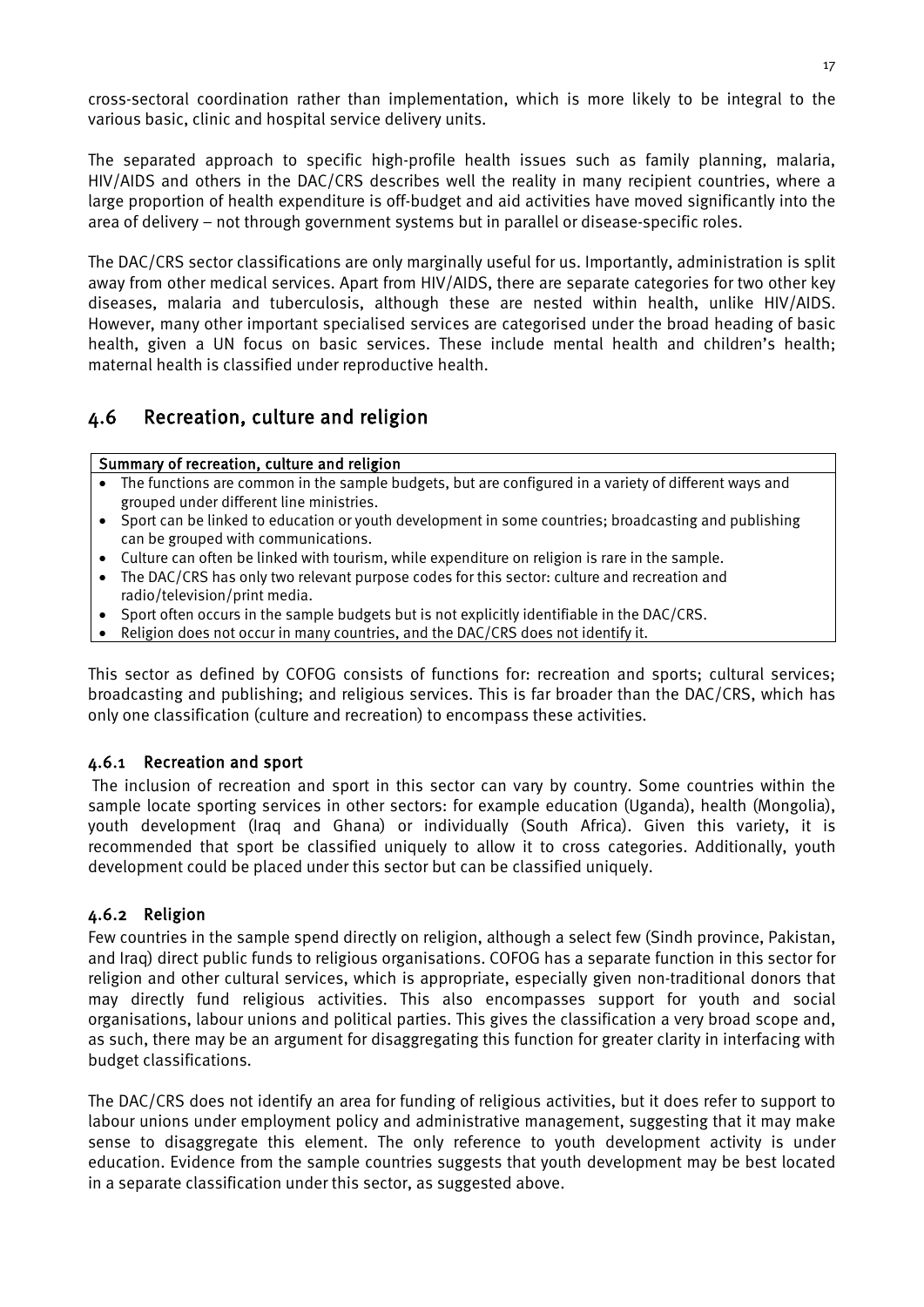cross-sectoral coordination rather than implementation, which is more likely to be integral to the various basic, clinic and hospital service delivery units.

The separated approach to specific high-profile health issues such as family planning, malaria, HIV/AIDS and others in the DAC/CRS describes well the reality in many recipient countries, where a large proportion of health expenditure is off-budget and aid activities have moved significantly into the area of delivery – not through government systems but in parallel or disease-specific roles.

The DAC/CRS sector classifications are only marginally useful for us. Importantly, administration is split away from other medical services. Apart from HIV/AIDS, there are separate categories for two other key diseases, malaria and tuberculosis, although these are nested within health, unlike HIV/AIDS. However, many other important specialised services are categorised under the broad heading of basic health, given a UN focus on basic services. These include mental health and children's health; maternal health is classified under reproductive health.

### <span id="page-27-0"></span>4.6 Recreation, culture and religion

#### Summary of recreation, culture and religion

- The functions are common in the sample budgets, but are configured in a variety of different ways and grouped under different line ministries.
- Sport can be linked to education or youth development in some countries; broadcasting and publishing can be grouped with communications.
- Culture can often be linked with tourism, while expenditure on religion is rare in the sample.
- The DAC/CRS has only two relevant purpose codes for this sector: culture and recreation and radio/television/print media.
- Sport often occurs in the sample budgets but is not explicitly identifiable in the DAC/CRS.
- Religion does not occur in many countries, and the DAC/CRS does not identify it.

This sector as defined by COFOG consists of functions for: recreation and sports; cultural services; broadcasting and publishing; and religious services. This is far broader than the DAC/CRS, which has only one classification (culture and recreation) to encompass these activities.

#### 4.6.1 Recreation and sport

The inclusion of recreation and sport in this sector can vary by country. Some countries within the sample locate sporting services in other sectors: for example education (Uganda), health (Mongolia), youth development (Iraq and Ghana) or individually (South Africa). Given this variety, it is recommended that sport be classified uniquely to allow it to cross categories. Additionally, youth development could be placed under this sector but can be classified uniquely.

#### 4.6.2 Religion

Few countries in the sample spend directly on religion, although a select few (Sindh province, Pakistan, and Iraq) direct public funds to religious organisations. COFOG has a separate function in this sector for religion and other cultural services, which is appropriate, especially given non-traditional donors that may directly fund religious activities. This also encompasses support for youth and social organisations, labour unions and political parties. This gives the classification a very broad scope and, as such, there may be an argument for disaggregating this function for greater clarity in interfacing with budget classifications.

The DAC/CRS does not identify an area for funding of religious activities, but it does refer to support to labour unions under employment policy and administrative management, suggesting that it may make sense to disaggregate this element. The only reference to youth development activity is under education. Evidence from the sample countries suggests that youth development may be best located in a separate classification under this sector, as suggested above.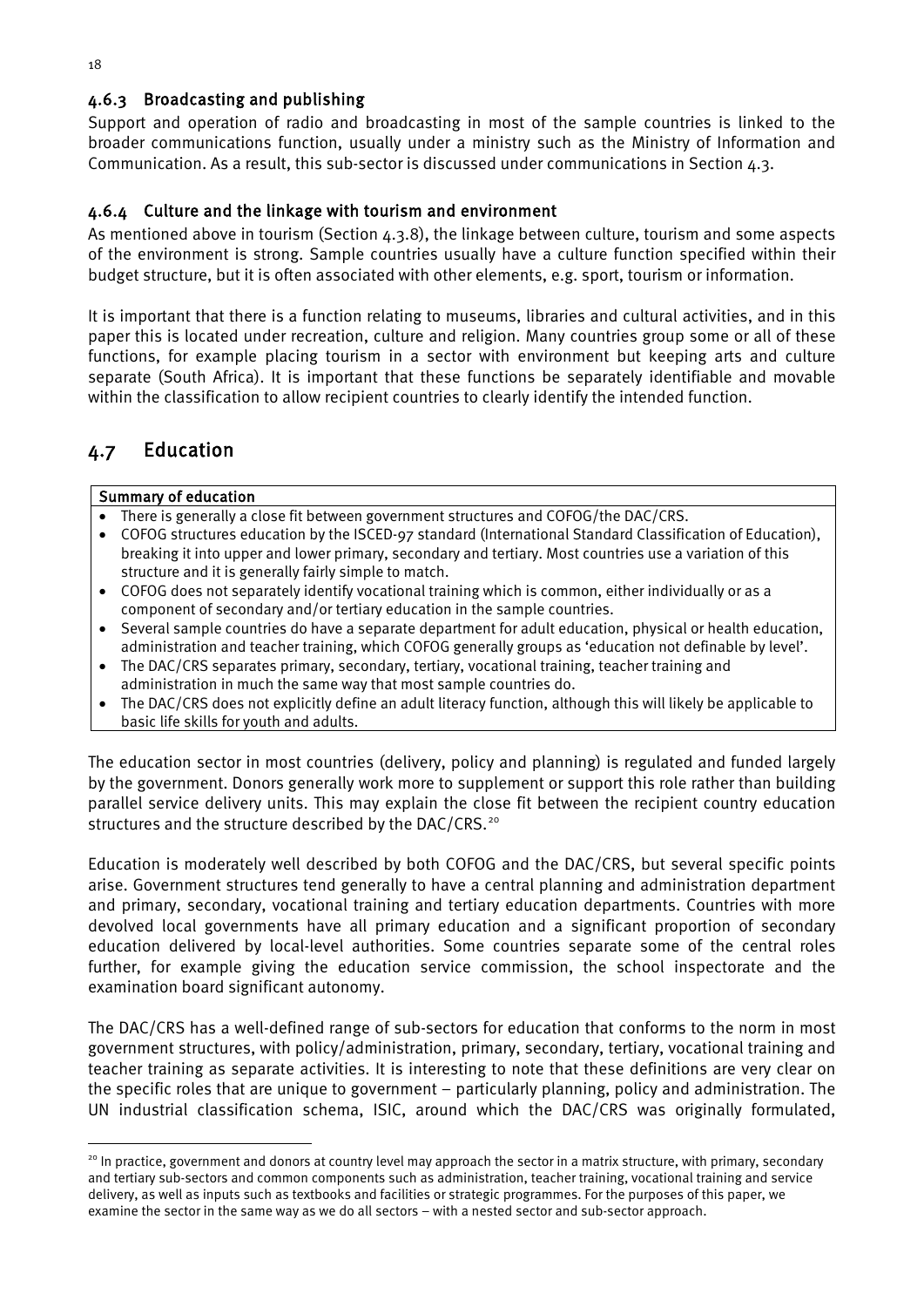#### 4.6.3 Broadcasting and publishing

Support and operation of radio and broadcasting in most of the sample countries is linked to the broader communications function, usually under a ministry such as the Ministry of Information and Communication. As a result, this sub-sector is discussed under communications in Section 4.3.

#### 4.6.4 Culture and the linkage with tourism and environment

As mentioned above in tourism (Section  $4.3.8$ ), the linkage between culture, tourism and some aspects of the environment is strong. Sample countries usually have a culture function specified within their budget structure, but it is often associated with other elements, e.g. sport, tourism or information.

It is important that there is a function relating to museums, libraries and cultural activities, and in this paper this is located under recreation, culture and religion. Many countries group some or all of these functions, for example placing tourism in a sector with environment but keeping arts and culture separate (South Africa). It is important that these functions be separately identifiable and movable within the classification to allow recipient countries to clearly identify the intended function.

### <span id="page-28-0"></span>4.7 Education

#### Summary of education

- There is generally a close fit between government structures and COFOG/the DAC/CRS.
- COFOG structures education by the ISCED-97 standard (International Standard Classification of Education), breaking it into upper and lower primary, secondary and tertiary. Most countries use a variation of this structure and it is generally fairly simple to match.
- COFOG does not separately identify vocational training which is common, either individually or as a component of secondary and/or tertiary education in the sample countries.
- Several sample countries do have a separate department for adult education, physical or health education, administration and teacher training, which COFOG generally groups as 'education not definable by level'.
- The DAC/CRS separates primary, secondary, tertiary, vocational training, teacher training and administration in much the same way that most sample countries do.
- The DAC/CRS does not explicitly define an adult literacy function, although this will likely be applicable to basic life skills for youth and adults.

The education sector in most countries (delivery, policy and planning) is regulated and funded largely by the government. Donors generally work more to supplement or support this role rather than building parallel service delivery units. This may explain the close fit between the recipient country education structures and the structure described by the DAC/CRS.<sup>[20](#page-28-1)</sup>

Education is moderately well described by both COFOG and the DAC/CRS, but several specific points arise. Government structures tend generally to have a central planning and administration department and primary, secondary, vocational training and tertiary education departments. Countries with more devolved local governments have all primary education and a significant proportion of secondary education delivered by local-level authorities. Some countries separate some of the central roles further, for example giving the education service commission, the school inspectorate and the examination board significant autonomy.

The DAC/CRS has a well-defined range of sub-sectors for education that conforms to the norm in most government structures, with policy/administration, primary, secondary, tertiary, vocational training and teacher training as separate activities. It is interesting to note that these definitions are very clear on the specific roles that are unique to government – particularly planning, policy and administration. The UN industrial classification schema, ISIC, around which the DAC/CRS was originally formulated,

<span id="page-28-1"></span><sup>&</sup>lt;sup>20</sup> In practice, government and donors at country level may approach the sector in a matrix structure, with primary, secondary and tertiary sub-sectors and common components such as administration, teacher training, vocational training and service delivery, as well as inputs such as textbooks and facilities or strategic programmes. For the purposes of this paper, we examine the sector in the same way as we do all sectors – with a nested sector and sub-sector approach.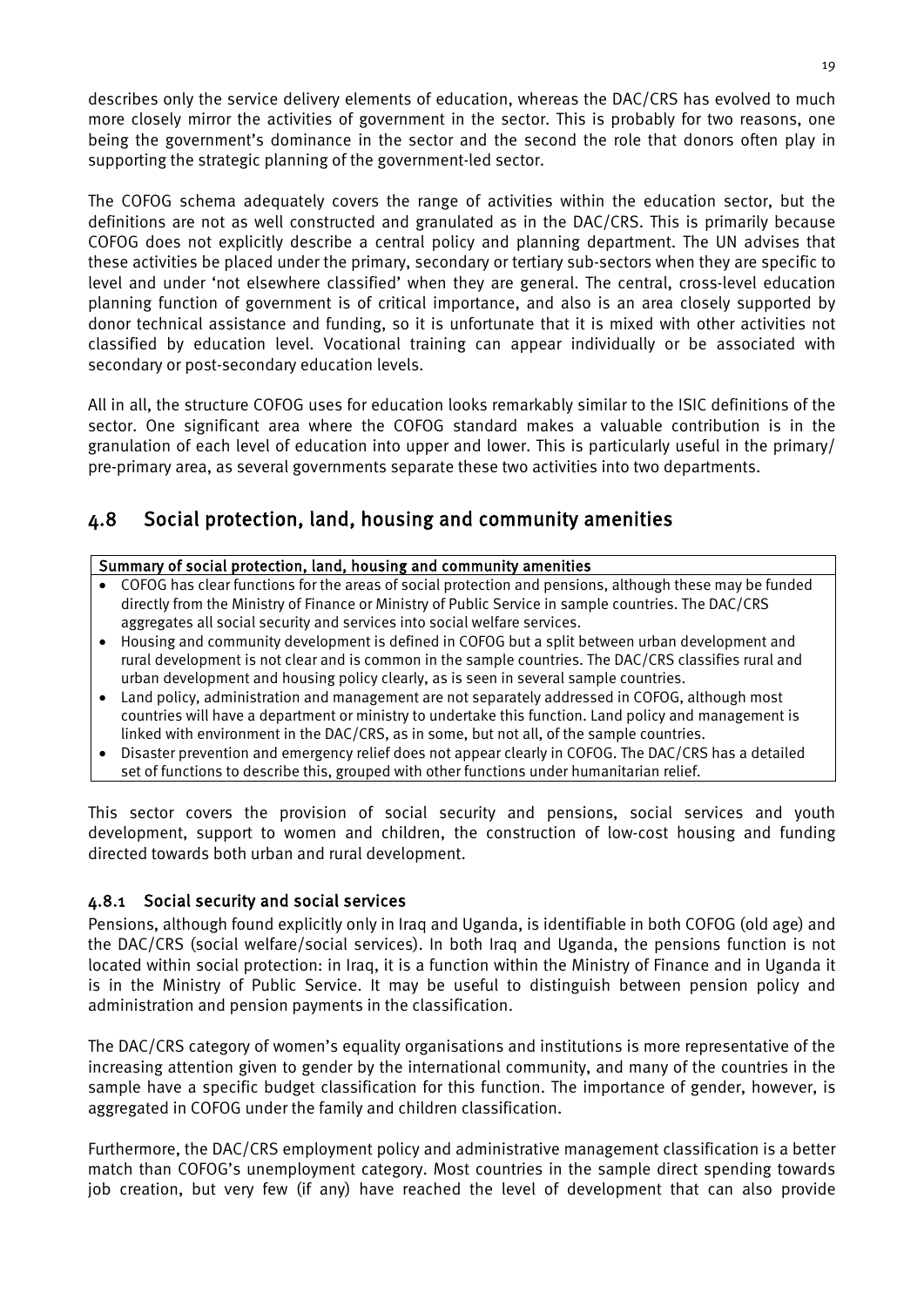describes only the service delivery elements of education, whereas the DAC/CRS has evolved to much more closely mirror the activities of government in the sector. This is probably for two reasons, one being the government's dominance in the sector and the second the role that donors often play in supporting the strategic planning of the government-led sector.

The COFOG schema adequately covers the range of activities within the education sector, but the definitions are not as well constructed and granulated as in the DAC/CRS. This is primarily because COFOG does not explicitly describe a central policy and planning department. The UN advises that these activities be placed under the primary, secondary or tertiary sub-sectors when they are specific to level and under 'not elsewhere classified' when they are general. The central, cross-level education planning function of government is of critical importance, and also is an area closely supported by donor technical assistance and funding, so it is unfortunate that it is mixed with other activities not classified by education level. Vocational training can appear individually or be associated with secondary or post-secondary education levels.

All in all, the structure COFOG uses for education looks remarkably similar to the ISIC definitions of the sector. One significant area where the COFOG standard makes a valuable contribution is in the granulation of each level of education into upper and lower. This is particularly useful in the primary/ pre-primary area, as several governments separate these two activities into two departments.

## <span id="page-29-0"></span>4.8 Social protection, land, housing and community amenities

#### Summary of social protection, land, housing and community amenities

- COFOG has clear functions for the areas of social protection and pensions, although these may be funded directly from the Ministry of Finance or Ministry of Public Service in sample countries. The DAC/CRS aggregates all social security and services into social welfare services.
- Housing and community development is defined in COFOG but a split between urban development and rural development is not clear and is common in the sample countries. The DAC/CRS classifies rural and urban development and housing policy clearly, as is seen in several sample countries.
- Land policy, administration and management are not separately addressed in COFOG, although most countries will have a department or ministry to undertake this function. Land policy and management is linked with environment in the DAC/CRS, as in some, but not all, of the sample countries.
- Disaster prevention and emergency relief does not appear clearly in COFOG. The DAC/CRS has a detailed set of functions to describe this, grouped with other functions under humanitarian relief.

This sector covers the provision of social security and pensions, social services and youth development, support to women and children, the construction of low-cost housing and funding directed towards both urban and rural development.

#### 4.8.1 Social security and social services

Pensions, although found explicitly only in Iraq and Uganda, is identifiable in both COFOG (old age) and the DAC/CRS (social welfare/social services). In both Iraq and Uganda, the pensions function is not located within social protection: in Iraq, it is a function within the Ministry of Finance and in Uganda it is in the Ministry of Public Service. It may be useful to distinguish between pension policy and administration and pension payments in the classification.

The DAC/CRS category of women's equality organisations and institutions is more representative of the increasing attention given to gender by the international community, and many of the countries in the sample have a specific budget classification for this function. The importance of gender, however, is aggregated in COFOG under the family and children classification.

Furthermore, the DAC/CRS employment policy and administrative management classification is a better match than COFOG's unemployment category. Most countries in the sample direct spending towards job creation, but very few (if any) have reached the level of development that can also provide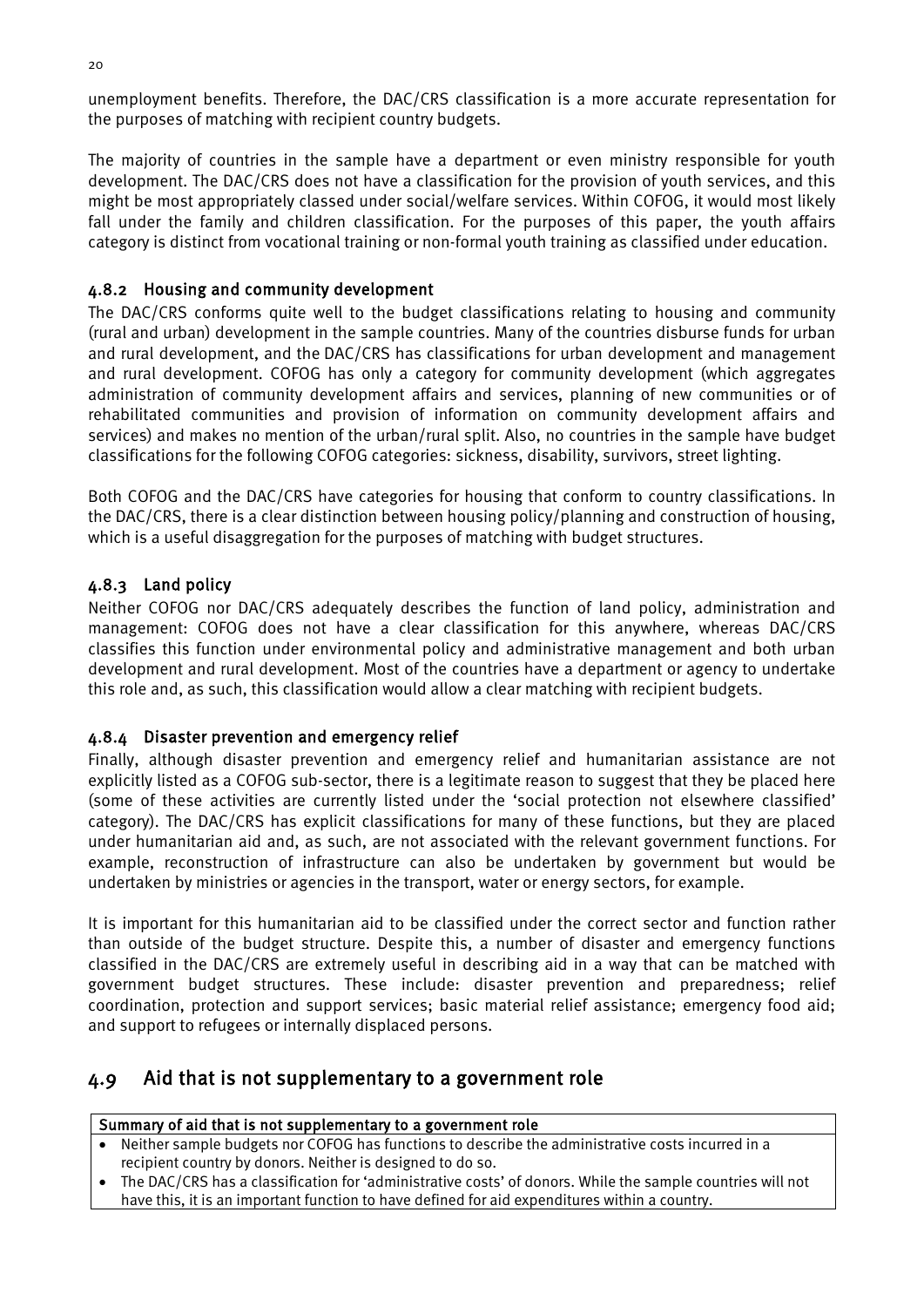unemployment benefits. Therefore, the DAC/CRS classification is a more accurate representation for the purposes of matching with recipient country budgets.

The majority of countries in the sample have a department or even ministry responsible for youth development. The DAC/CRS does not have a classification for the provision of youth services, and this might be most appropriately classed under social/welfare services. Within COFOG, it would most likely fall under the family and children classification. For the purposes of this paper, the youth affairs category is distinct from vocational training or non-formal youth training as classified under education.

#### 4.8.2 Housing and community development

The DAC/CRS conforms quite well to the budget classifications relating to housing and community (rural and urban) development in the sample countries. Many of the countries disburse funds for urban and rural development, and the DAC/CRS has classifications for urban development and management and rural development. COFOG has only a category for community development (which aggregates administration of community development affairs and services, planning of new communities or of rehabilitated communities and provision of information on community development affairs and services) and makes no mention of the urban/rural split. Also, no countries in the sample have budget classifications for the following COFOG categories: sickness, disability, survivors, street lighting.

Both COFOG and the DAC/CRS have categories for housing that conform to country classifications. In the DAC/CRS, there is a clear distinction between housing policy/planning and construction of housing, which is a useful disaggregation for the purposes of matching with budget structures.

#### 4.8.3 Land policy

Neither COFOG nor DAC/CRS adequately describes the function of land policy, administration and management: COFOG does not have a clear classification for this anywhere, whereas DAC/CRS classifies this function under environmental policy and administrative management and both urban development and rural development. Most of the countries have a department or agency to undertake this role and, as such, this classification would allow a clear matching with recipient budgets.

#### 4.8.4 Disaster prevention and emergency relief

Finally, although disaster prevention and emergency relief and humanitarian assistance are not explicitly listed as a COFOG sub-sector, there is a legitimate reason to suggest that they be placed here (some of these activities are currently listed under the 'social protection not elsewhere classified' category). The DAC/CRS has explicit classifications for many of these functions, but they are placed under humanitarian aid and, as such, are not associated with the relevant government functions. For example, reconstruction of infrastructure can also be undertaken by government but would be undertaken by ministries or agencies in the transport, water or energy sectors, for example.

It is important for this humanitarian aid to be classified under the correct sector and function rather than outside of the budget structure. Despite this, a number of disaster and emergency functions classified in the DAC/CRS are extremely useful in describing aid in a way that can be matched with government budget structures. These include: disaster prevention and preparedness; relief coordination, protection and support services; basic material relief assistance; emergency food aid; and support to refugees or internally displaced persons.

#### <span id="page-30-0"></span>4.9 Aid that is not supplementary to a government role

#### Summary of aid that is not supplementary to a government role

- Neither sample budgets nor COFOG has functions to describe the administrative costs incurred in a recipient country by donors. Neither is designed to do so.
- The DAC/CRS has a classification for 'administrative costs' of donors. While the sample countries will not have this, it is an important function to have defined for aid expenditures within a country.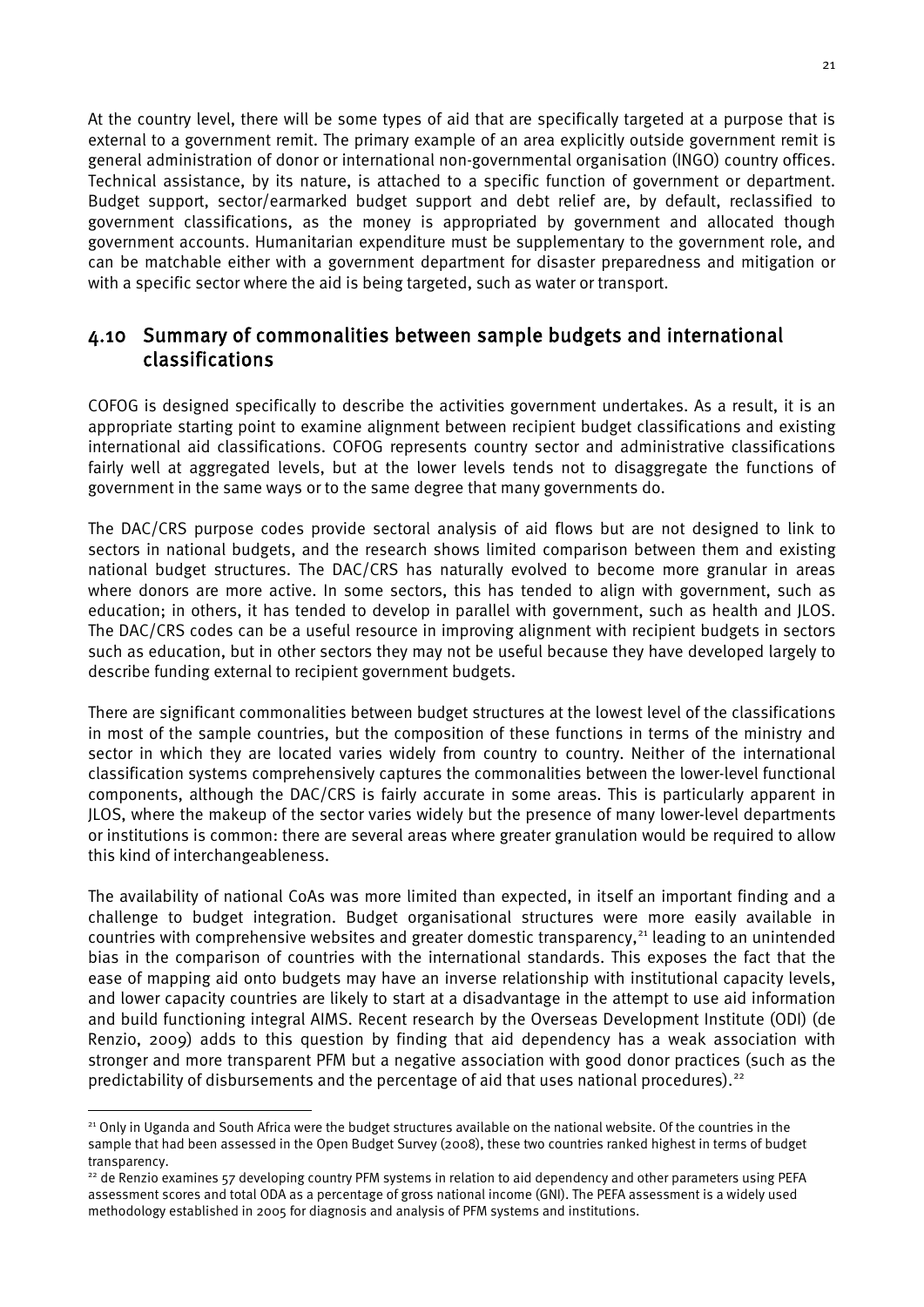At the country level, there will be some types of aid that are specifically targeted at a purpose that is external to a government remit. The primary example of an area explicitly outside government remit is general administration of donor or international non-governmental organisation (INGO) country offices. Technical assistance, by its nature, is attached to a specific function of government or department. Budget support, sector/earmarked budget support and debt relief are, by default, reclassified to government classifications, as the money is appropriated by government and allocated though government accounts. Humanitarian expenditure must be supplementary to the government role, and can be matchable either with a government department for disaster preparedness and mitigation or with a specific sector where the aid is being targeted, such as water or transport.

### <span id="page-31-0"></span>4.10 Summary of commonalities between sample budgets and international classifications

COFOG is designed specifically to describe the activities government undertakes. As a result, it is an appropriate starting point to examine alignment between recipient budget classifications and existing international aid classifications. COFOG represents country sector and administrative classifications fairly well at aggregated levels, but at the lower levels tends not to disaggregate the functions of government in the same ways or to the same degree that many governments do.

The DAC/CRS purpose codes provide sectoral analysis of aid flows but are not designed to link to sectors in national budgets, and the research shows limited comparison between them and existing national budget structures. The DAC/CRS has naturally evolved to become more granular in areas where donors are more active. In some sectors, this has tended to align with government, such as education; in others, it has tended to develop in parallel with government, such as health and JLOS. The DAC/CRS codes can be a useful resource in improving alignment with recipient budgets in sectors such as education, but in other sectors they may not be useful because they have developed largely to describe funding external to recipient government budgets.

There are significant commonalities between budget structures at the lowest level of the classifications in most of the sample countries, but the composition of these functions in terms of the ministry and sector in which they are located varies widely from country to country. Neither of the international classification systems comprehensively captures the commonalities between the lower-level functional components, although the DAC/CRS is fairly accurate in some areas. This is particularly apparent in JLOS, where the makeup of the sector varies widely but the presence of many lower-level departments or institutions is common: there are several areas where greater granulation would be required to allow this kind of interchangeableness.

The availability of national CoAs was more limited than expected, in itself an important finding and a challenge to budget integration. Budget organisational structures were more easily available in countries with comprehensive websites and greater domestic transparency,<sup>[21](#page-31-1)</sup> leading to an unintended bias in the comparison of countries with the international standards. This exposes the fact that the ease of mapping aid onto budgets may have an inverse relationship with institutional capacity levels, and lower capacity countries are likely to start at a disadvantage in the attempt to use aid information and build functioning integral AIMS. Recent research by the Overseas Development Institute (ODI) (de Renzio, 2009) adds to this question by finding that aid dependency has a weak association with stronger and more transparent PFM but a negative association with good donor practices (such as the predictability of disbursements and the percentage of aid that uses national procedures).<sup>[22](#page-31-2)</sup>

<span id="page-31-1"></span><sup>&</sup>lt;sup>21</sup> Only in Uganda and South Africa were the budget structures available on the national website. Of the countries in the sample that had been assessed in the Open Budget Survey (2008), these two countries ranked highest in terms of budget transparency.

<span id="page-31-2"></span><sup>&</sup>lt;sup>22</sup> de Renzio examines 57 developing country PFM systems in relation to aid dependency and other parameters using PEFA assessment scores and total ODA as a percentage of gross national income (GNI). The PEFA assessment is a widely used methodology established in 2005 for diagnosis and analysis of PFM systems and institutions.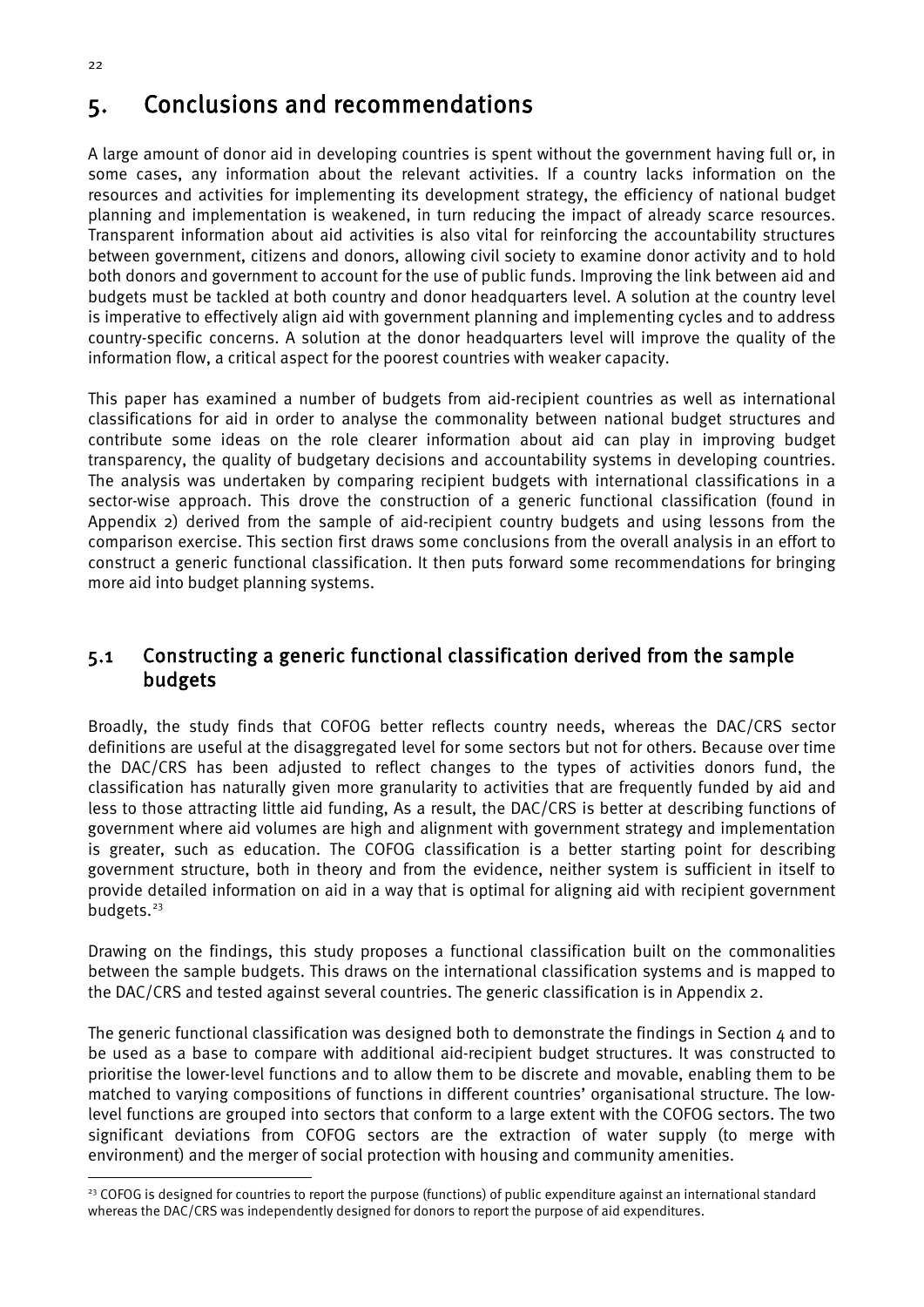## <span id="page-32-0"></span>5. Conclusions and recommendations

A large amount of donor aid in developing countries is spent without the government having full or, in some cases, any information about the relevant activities. If a country lacks information on the resources and activities for implementing its development strategy, the efficiency of national budget planning and implementation is weakened, in turn reducing the impact of already scarce resources. Transparent information about aid activities is also vital for reinforcing the accountability structures between government, citizens and donors, allowing civil society to examine donor activity and to hold both donors and government to account for the use of public funds. Improving the link between aid and budgets must be tackled at both country and donor headquarters level. A solution at the country level is imperative to effectively align aid with government planning and implementing cycles and to address country-specific concerns. A solution at the donor headquarters level will improve the quality of the information flow, a critical aspect for the poorest countries with weaker capacity.

This paper has examined a number of budgets from aid-recipient countries as well as international classifications for aid in order to analyse the commonality between national budget structures and contribute some ideas on the role clearer information about aid can play in improving budget transparency, the quality of budgetary decisions and accountability systems in developing countries. The analysis was undertaken by comparing recipient budgets with international classifications in a sector-wise approach. This drove the construction of a generic functional classification (found in Appendix 2) derived from the sample of aid-recipient country budgets and using lessons from the comparison exercise. This section first draws some conclusions from the overall analysis in an effort to construct a generic functional classification. It then puts forward some recommendations for bringing more aid into budget planning systems.

### <span id="page-32-1"></span>5.1 Constructing a generic functional classification derived from the sample budgets

Broadly, the study finds that COFOG better reflects country needs, whereas the DAC/CRS sector definitions are useful at the disaggregated level for some sectors but not for others. Because over time the DAC/CRS has been adjusted to reflect changes to the types of activities donors fund, the classification has naturally given more granularity to activities that are frequently funded by aid and less to those attracting little aid funding, As a result, the DAC/CRS is better at describing functions of government where aid volumes are high and alignment with government strategy and implementation is greater, such as education. The COFOG classification is a better starting point for describing government structure, both in theory and from the evidence, neither system is sufficient in itself to provide detailed information on aid in a way that is optimal for aligning aid with recipient government budgets.<sup>[23](#page-32-2)</sup>

Drawing on the findings, this study proposes a functional classification built on the commonalities between the sample budgets. This draws on the international classification systems and is mapped to the DAC/CRS and tested against several countries. The generic classification is in Appendix 2.

The generic functional classification was designed both to demonstrate the findings in Section  $\mu$  and to be used as a base to compare with additional aid-recipient budget structures. It was constructed to prioritise the lower-level functions and to allow them to be discrete and movable, enabling them to be matched to varying compositions of functions in different countries' organisational structure. The lowlevel functions are grouped into sectors that conform to a large extent with the COFOG sectors. The two significant deviations from COFOG sectors are the extraction of water supply (to merge with environment) and the merger of social protection with housing and community amenities.

<span id="page-32-2"></span><sup>&</sup>lt;sup>23</sup> COFOG is designed for countries to report the purpose (functions) of public expenditure against an international standard whereas the DAC/CRS was independently designed for donors to report the purpose of aid expenditures.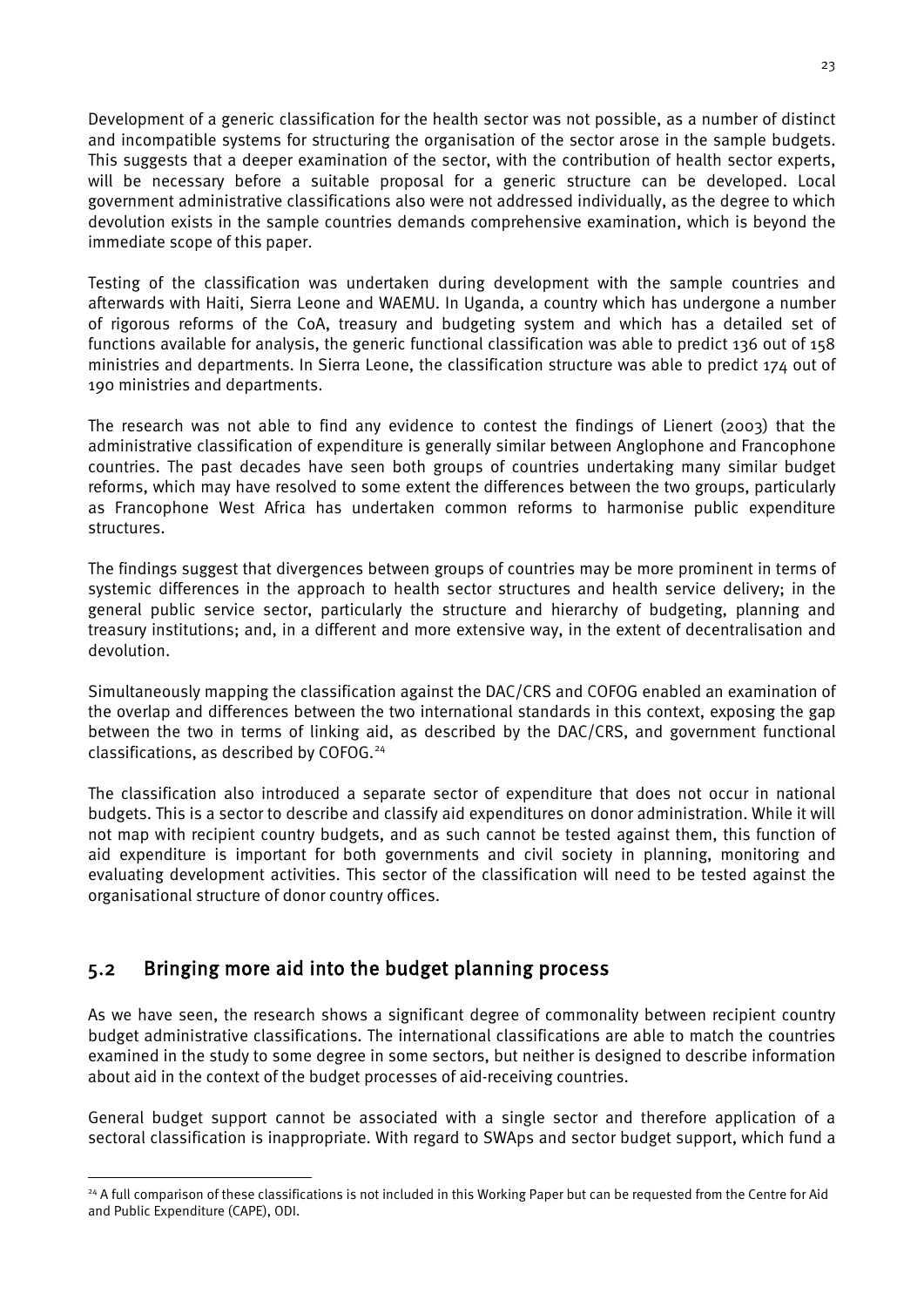Development of a generic classification for the health sector was not possible, as a number of distinct and incompatible systems for structuring the organisation of the sector arose in the sample budgets. This suggests that a deeper examination of the sector, with the contribution of health sector experts, will be necessary before a suitable proposal for a generic structure can be developed. Local government administrative classifications also were not addressed individually, as the degree to which devolution exists in the sample countries demands comprehensive examination, which is beyond the immediate scope of this paper.

Testing of the classification was undertaken during development with the sample countries and afterwards with Haiti, Sierra Leone and WAEMU. In Uganda, a country which has undergone a number of rigorous reforms of the CoA, treasury and budgeting system and which has a detailed set of functions available for analysis, the generic functional classification was able to predict 136 out of 158 ministries and departments. In Sierra Leone, the classification structure was able to predict 174 out of 190 ministries and departments.

The research was not able to find any evidence to contest the findings of Lienert (2003) that the administrative classification of expenditure is generally similar between Anglophone and Francophone countries. The past decades have seen both groups of countries undertaking many similar budget reforms, which may have resolved to some extent the differences between the two groups, particularly as Francophone West Africa has undertaken common reforms to harmonise public expenditure structures.

The findings suggest that divergences between groups of countries may be more prominent in terms of systemic differences in the approach to health sector structures and health service delivery; in the general public service sector, particularly the structure and hierarchy of budgeting, planning and treasury institutions; and, in a different and more extensive way, in the extent of decentralisation and devolution.

Simultaneously mapping the classification against the DAC/CRS and COFOG enabled an examination of the overlap and differences between the two international standards in this context, exposing the gap between the two in terms of linking aid, as described by the DAC/CRS, and government functional classifications, as described by COFOG. [24](#page-33-1)

The classification also introduced a separate sector of expenditure that does not occur in national budgets. This is a sector to describe and classify aid expenditures on donor administration. While it will not map with recipient country budgets, and as such cannot be tested against them, this function of aid expenditure is important for both governments and civil society in planning, monitoring and evaluating development activities. This sector of the classification will need to be tested against the organisational structure of donor country offices.

## <span id="page-33-0"></span>5.2 Bringing more aid into the budget planning process

As we have seen, the research shows a significant degree of commonality between recipient country budget administrative classifications. The international classifications are able to match the countries examined in the study to some degree in some sectors, but neither is designed to describe information about aid in the context of the budget processes of aid-receiving countries.

General budget support cannot be associated with a single sector and therefore application of a sectoral classification is inappropriate. With regard to SWAps and sector budget support, which fund a

<span id="page-33-1"></span><sup>&</sup>lt;sup>24</sup> A full comparison of these classifications is not included in this Working Paper but can be requested from the Centre for Aid and Public Expenditure (CAPE), ODI.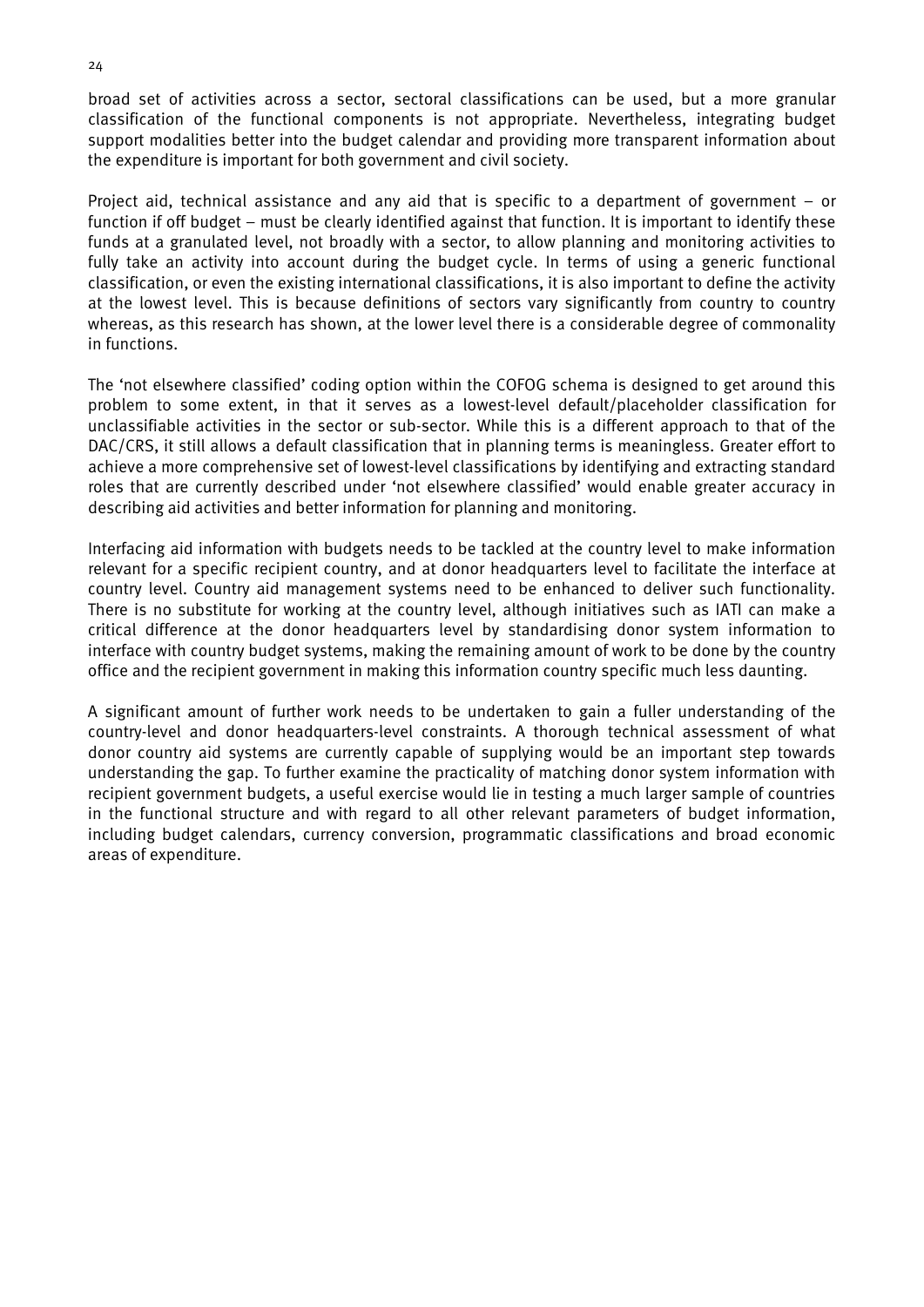broad set of activities across a sector, sectoral classifications can be used, but a more granular classification of the functional components is not appropriate. Nevertheless, integrating budget support modalities better into the budget calendar and providing more transparent information about the expenditure is important for both government and civil society.

Project aid, technical assistance and any aid that is specific to a department of government – or function if off budget – must be clearly identified against that function. It is important to identify these funds at a granulated level, not broadly with a sector, to allow planning and monitoring activities to fully take an activity into account during the budget cycle. In terms of using a generic functional classification, or even the existing international classifications, it is also important to define the activity at the lowest level. This is because definitions of sectors vary significantly from country to country whereas, as this research has shown, at the lower level there is a considerable degree of commonality in functions.

The 'not elsewhere classified' coding option within the COFOG schema is designed to get around this problem to some extent, in that it serves as a lowest-level default/placeholder classification for unclassifiable activities in the sector or sub-sector. While this is a different approach to that of the DAC/CRS, it still allows a default classification that in planning terms is meaningless. Greater effort to achieve a more comprehensive set of lowest-level classifications by identifying and extracting standard roles that are currently described under 'not elsewhere classified' would enable greater accuracy in describing aid activities and better information for planning and monitoring.

Interfacing aid information with budgets needs to be tackled at the country level to make information relevant for a specific recipient country, and at donor headquarters level to facilitate the interface at country level. Country aid management systems need to be enhanced to deliver such functionality. There is no substitute for working at the country level, although initiatives such as IATI can make a critical difference at the donor headquarters level by standardising donor system information to interface with country budget systems, making the remaining amount of work to be done by the country office and the recipient government in making this information country specific much less daunting.

A significant amount of further work needs to be undertaken to gain a fuller understanding of the country-level and donor headquarters-level constraints. A thorough technical assessment of what donor country aid systems are currently capable of supplying would be an important step towards understanding the gap. To further examine the practicality of matching donor system information with recipient government budgets, a useful exercise would lie in testing a much larger sample of countries in the functional structure and with regard to all other relevant parameters of budget information, including budget calendars, currency conversion, programmatic classifications and broad economic areas of expenditure.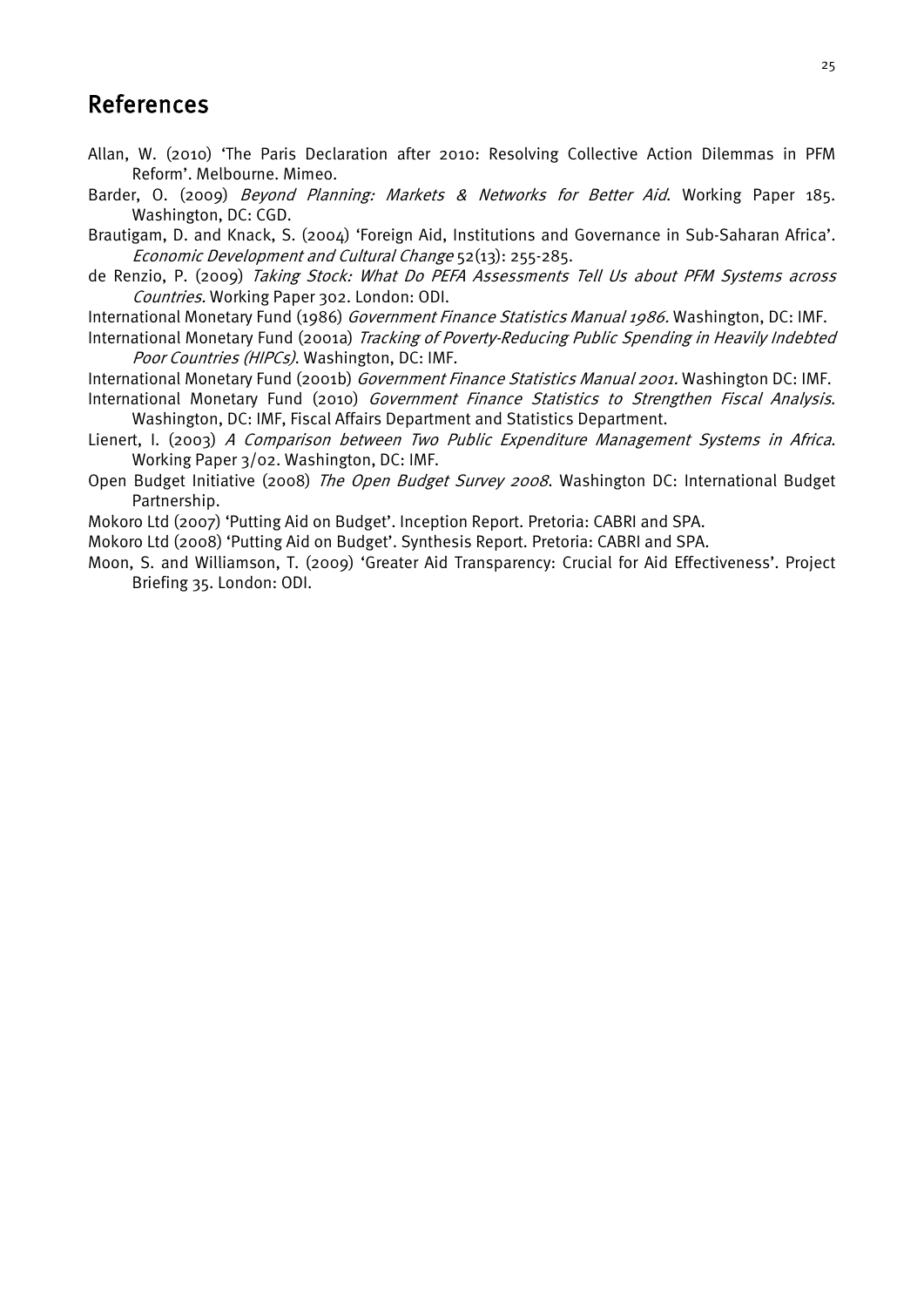## <span id="page-35-0"></span>References

- Allan, W. (2010) 'The Paris Declaration after 2010: Resolving Collective Action Dilemmas in PFM Reform'. Melbourne. Mimeo.
- Barder, O. (2009) Beyond Planning: Markets & Networks for Better Aid. Working Paper 185. Washington, DC: CGD.
- Brautigam, D. and Knack, S. (2004) 'Foreign Aid, Institutions and Governance in Sub-Saharan Africa'. Economic Development and Cultural Change 52(13): 255-285.
- de Renzio, P. (2009) Taking Stock: What Do PEFA Assessments Tell Us about PFM Systems across Countries. Working Paper 302. London: ODI.
- International Monetary Fund (1986) Government Finance Statistics Manual 1986. Washington, DC: IMF.
- International Monetary Fund (2001a) Tracking of Poverty-Reducing Public Spending in Heavily Indebted Poor Countries (HIPCs). Washington, DC: IMF.
- International Monetary Fund (2001b) Government Finance Statistics Manual 2001. Washington DC: IMF.
- International Monetary Fund (2010) Government Finance Statistics to Strengthen Fiscal Analysis. Washington, DC: IMF, Fiscal Affairs Department and Statistics Department.
- Lienert, I. (2003) A Comparison between Two Public Expenditure Management Systems in Africa. Working Paper 3/02. Washington, DC: IMF.
- Open Budget Initiative (2008) The Open Budget Survey 2008. Washington DC: International Budget Partnership.
- Mokoro Ltd (2007) 'Putting Aid on Budget'. Inception Report. Pretoria: CABRI and SPA.
- Mokoro Ltd (2008) 'Putting Aid on Budget'. Synthesis Report. Pretoria: CABRI and SPA.
- Moon, S. and Williamson, T. (2009) 'Greater Aid Transparency: Crucial for Aid Effectiveness'. Project Briefing 35. London: ODI.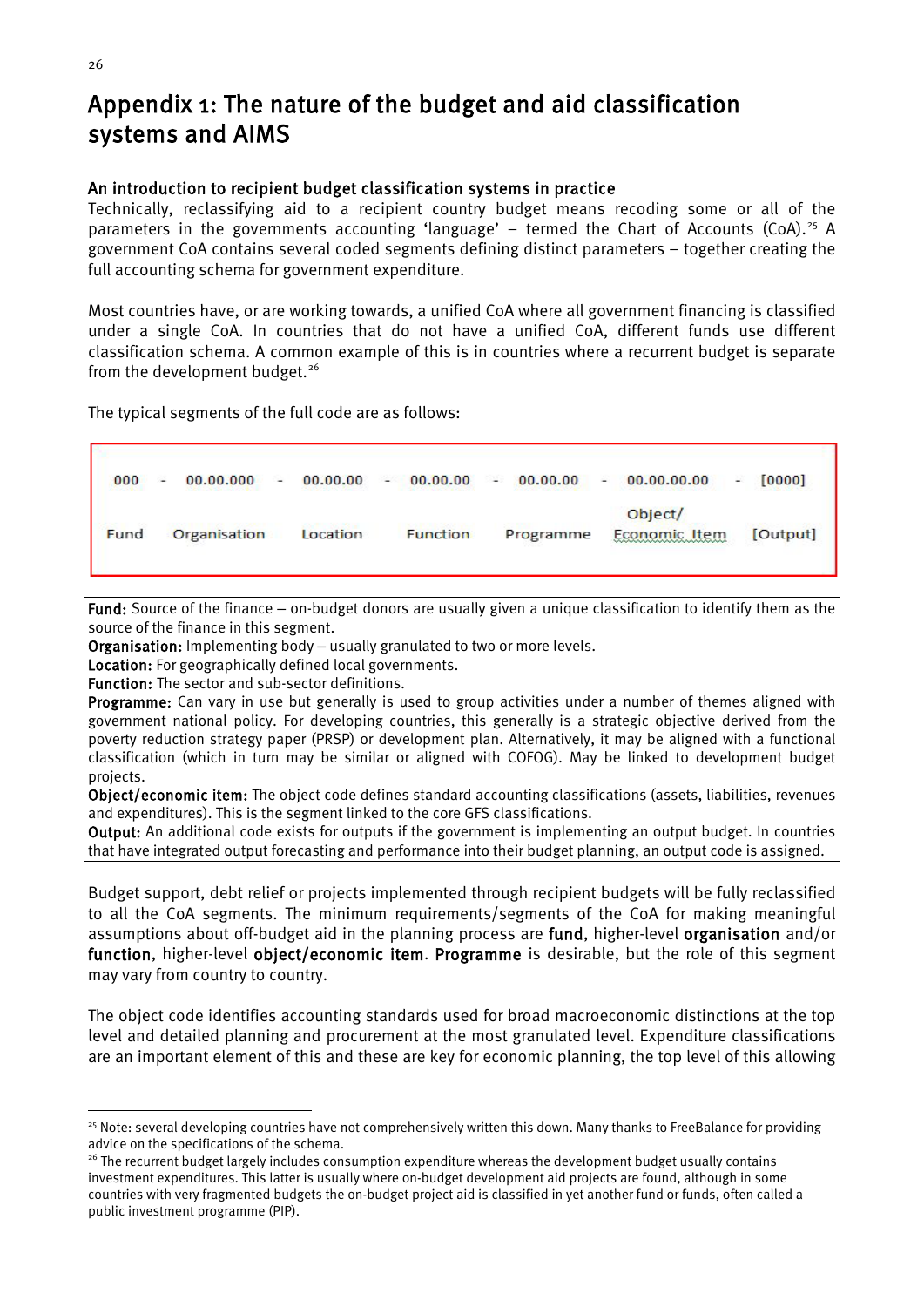## <span id="page-36-0"></span>Appendix 1: The nature of the budget and aid classification systems and AIMS

#### An introduction to recipient budget classification systems in practice

Technically, reclassifying aid to a recipient country budget means recoding some or all of the parameters in the governments accounting 'language' – termed the Chart of Accounts (CoA).<sup>[25](#page-36-1)</sup> A government CoA contains several coded segments defining distinct parameters – together creating the full accounting schema for government expenditure.

Most countries have, or are working towards, a unified CoA where all government financing is classified under a single CoA. In countries that do not have a unified CoA, different funds use different classification schema. A common example of this is in countries where a recurrent budget is separate from the development budget.<sup>[26](#page-36-2)</sup>

The typical segments of the full code are as follows:

| 000  | 00.00.000<br>$\sim$ | 00.00.00<br>$\sim$ | $-00.00.00$     | 00.00.00<br>and the contract of the | $-00.00.00.00$           | [0000]<br>× |
|------|---------------------|--------------------|-----------------|-------------------------------------|--------------------------|-------------|
| Fund | Organisation        | Location           | <b>Function</b> | Programme                           | Object/<br>Economic Item | [Output]    |

Fund: Source of the finance – on-budget donors are usually given a unique classification to identify them as the source of the finance in this segment.

Organisation: Implementing body - usually granulated to two or more levels.

Location: For geographically defined local governments.

Function: The sector and sub-sector definitions.

Programme: Can vary in use but generally is used to group activities under a number of themes aligned with government national policy. For developing countries, this generally is a strategic objective derived from the poverty reduction strategy paper (PRSP) or development plan. Alternatively, it may be aligned with a functional classification (which in turn may be similar or aligned with COFOG). May be linked to development budget projects.

Object/economic item: The object code defines standard accounting classifications (assets, liabilities, revenues and expenditures). This is the segment linked to the core GFS classifications.

Output: An additional code exists for outputs if the government is implementing an output budget. In countries that have integrated output forecasting and performance into their budget planning, an output code is assigned.

Budget support, debt relief or projects implemented through recipient budgets will be fully reclassified to all the CoA segments. The minimum requirements/segments of the CoA for making meaningful assumptions about off-budget aid in the planning process are fund, higher-level organisation and/or function, higher-level object/economic item. Programme is desirable, but the role of this segment may vary from country to country.

The object code identifies accounting standards used for broad macroeconomic distinctions at the top level and detailed planning and procurement at the most granulated level. Expenditure classifications are an important element of this and these are key for economic planning, the top level of this allowing

Г

<span id="page-36-1"></span><sup>&</sup>lt;sup>25</sup> Note: several developing countries have not comprehensively written this down. Many thanks to FreeBalance for providing advice on the specifications of the schema.

<span id="page-36-2"></span><sup>&</sup>lt;sup>26</sup> The recurrent budget largely includes consumption expenditure whereas the development budget usually contains investment expenditures. This latter is usually where on-budget development aid projects are found, although in some countries with very fragmented budgets the on-budget project aid is classified in yet another fund or funds, often called a public investment programme (PIP).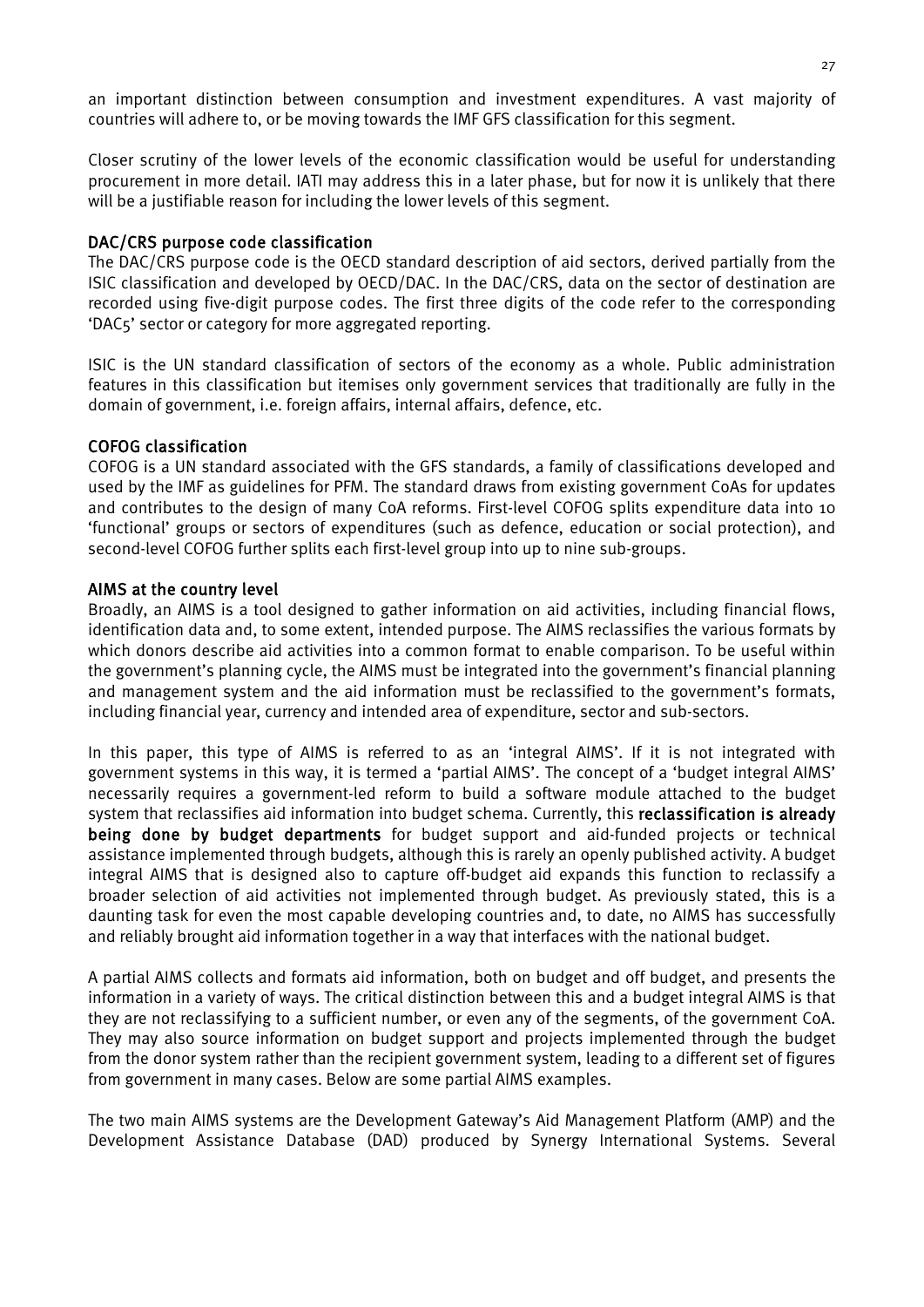an important distinction between consumption and investment expenditures. A vast majority of countries will adhere to, or be moving towards the IMF GFS classification for this segment.

Closer scrutiny of the lower levels of the economic classification would be useful for understanding procurement in more detail. IATI may address this in a later phase, but for now it is unlikely that there will be a justifiable reason for including the lower levels of this segment.

#### DAC/CRS purpose code classification

The DAC/CRS purpose code is the OECD standard description of aid sectors, derived partially from the ISIC classification and developed by OECD/DAC. In the DAC/CRS, data on the sector of destination are recorded using five-digit purpose codes. The first three digits of the code refer to the corresponding 'DAC5' sector or category for more aggregated reporting.

ISIC is the UN standard classification of sectors of the economy as a whole. Public administration features in this classification but itemises only government services that traditionally are fully in the domain of government, i.e. foreign affairs, internal affairs, defence, etc.

#### COFOG classification

COFOG is a UN standard associated with the GFS standards, a family of classifications developed and used by the IMF as guidelines for PFM. The standard draws from existing government CoAs for updates and contributes to the design of many CoA reforms. First-level COFOG splits expenditure data into 10 'functional' groups or sectors of expenditures (such as defence, education or social protection), and second-level COFOG further splits each first-level group into up to nine sub-groups.

#### AIMS at the country level

Broadly, an AIMS is a tool designed to gather information on aid activities, including financial flows, identification data and, to some extent, intended purpose. The AIMS reclassifies the various formats by which donors describe aid activities into a common format to enable comparison. To be useful within the government's planning cycle, the AIMS must be integrated into the government's financial planning and management system and the aid information must be reclassified to the government's formats, including financial year, currency and intended area of expenditure, sector and sub-sectors.

In this paper, this type of AIMS is referred to as an 'integral AIMS'. If it is not integrated with government systems in this way, it is termed a 'partial AIMS'. The concept of a 'budget integral AIMS' necessarily requires a government-led reform to build a software module attached to the budget system that reclassifies aid information into budget schema. Currently, this reclassification is already being done by budget departments for budget support and aid-funded projects or technical assistance implemented through budgets, although this is rarely an openly published activity. A budget integral AIMS that is designed also to capture off-budget aid expands this function to reclassify a broader selection of aid activities not implemented through budget. As previously stated, this is a daunting task for even the most capable developing countries and, to date, no AIMS has successfully and reliably brought aid information together in a way that interfaces with the national budget.

A partial AIMS collects and formats aid information, both on budget and off budget, and presents the information in a variety of ways. The critical distinction between this and a budget integral AIMS is that they are not reclassifying to a sufficient number, or even any of the segments, of the government CoA. They may also source information on budget support and projects implemented through the budget from the donor system rather than the recipient government system, leading to a different set of figures from government in many cases. Below are some partial AIMS examples.

The two main AIMS systems are the Development Gateway's Aid Management Platform (AMP) and the Development Assistance Database (DAD) produced by Synergy International Systems. Several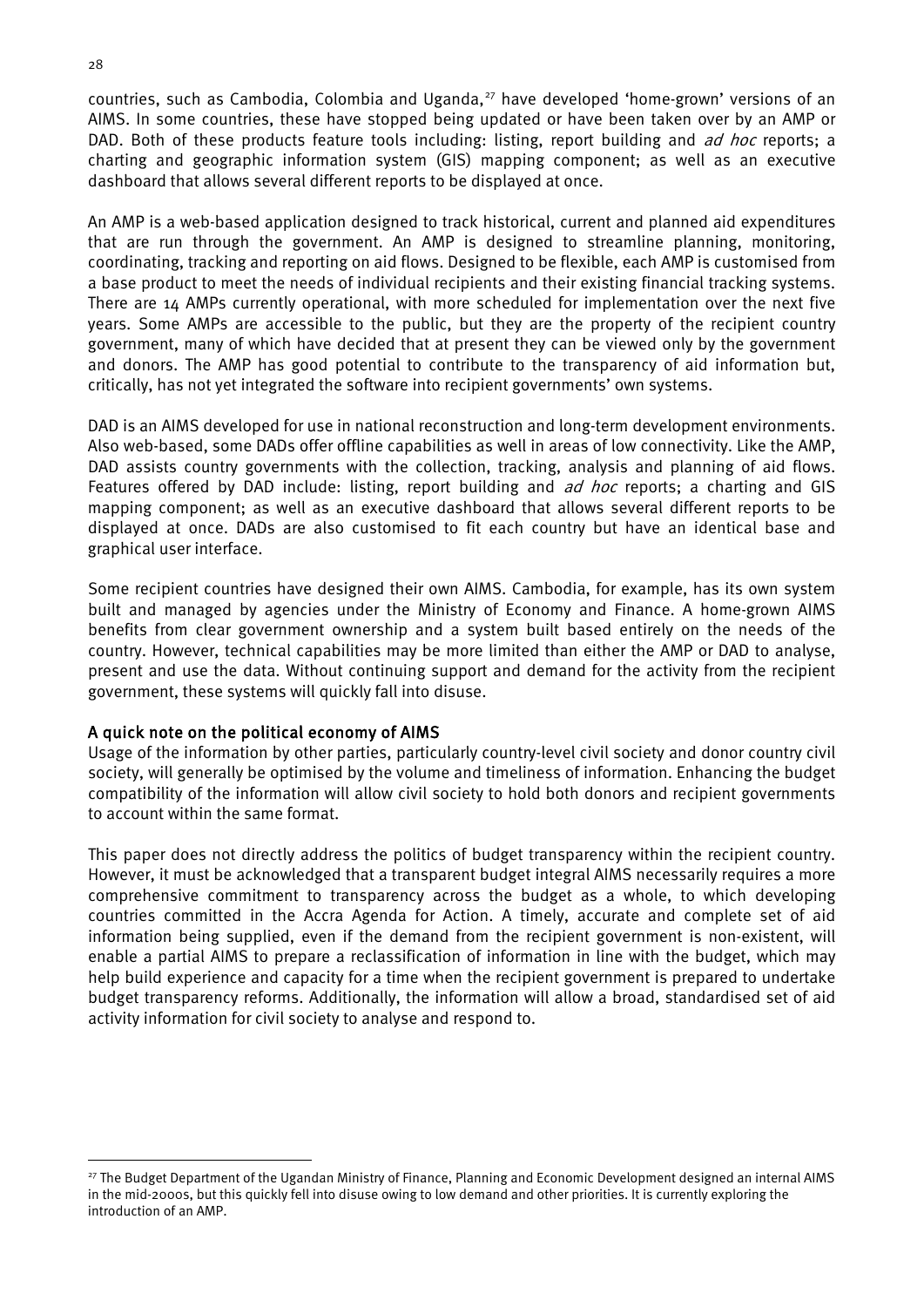countries, such as Cambodia, Colombia and Uganda, [27](#page-38-0) have developed 'home-grown' versions of an AIMS. In some countries, these have stopped being updated or have been taken over by an AMP or DAD. Both of these products feature tools including: listing, report building and ad hoc reports; a charting and geographic information system (GIS) mapping component; as well as an executive dashboard that allows several different reports to be displayed at once.

An AMP is a web-based application designed to track historical, current and planned aid expenditures that are run through the government. An AMP is designed to streamline planning, monitoring, coordinating, tracking and reporting on aid flows. Designed to be flexible, each AMP is customised from a base product to meet the needs of individual recipients and their existing financial tracking systems. There are 14 AMPs currently operational, with more scheduled for implementation over the next five years. Some AMPs are accessible to the public, but they are the property of the recipient country government, many of which have decided that at present they can be viewed only by the government and donors. The AMP has good potential to contribute to the transparency of aid information but, critically, has not yet integrated the software into recipient governments' own systems.

DAD is an AIMS developed for use in national reconstruction and long-term development environments. Also web-based, some DADs offer offline capabilities as well in areas of low connectivity. Like the AMP, DAD assists country governments with the collection, tracking, analysis and planning of aid flows. Features offered by DAD include: listing, report building and *ad hoc* reports; a charting and GIS mapping component; as well as an executive dashboard that allows several different reports to be displayed at once. DADs are also customised to fit each country but have an identical base and graphical user interface.

Some recipient countries have designed their own AIMS. Cambodia, for example, has its own system built and managed by agencies under the Ministry of Economy and Finance. A home-grown AIMS benefits from clear government ownership and a system built based entirely on the needs of the country. However, technical capabilities may be more limited than either the AMP or DAD to analyse, present and use the data. Without continuing support and demand for the activity from the recipient government, these systems will quickly fall into disuse.

#### A quick note on the political economy of AIMS

Usage of the information by other parties, particularly country-level civil society and donor country civil society, will generally be optimised by the volume and timeliness of information. Enhancing the budget compatibility of the information will allow civil society to hold both donors and recipient governments to account within the same format.

This paper does not directly address the politics of budget transparency within the recipient country. However, it must be acknowledged that a transparent budget integral AIMS necessarily requires a more comprehensive commitment to transparency across the budget as a whole, to which developing countries committed in the Accra Agenda for Action. A timely, accurate and complete set of aid information being supplied, even if the demand from the recipient government is non-existent, will enable a partial AIMS to prepare a reclassification of information in line with the budget, which may help build experience and capacity for a time when the recipient government is prepared to undertake budget transparency reforms. Additionally, the information will allow a broad, standardised set of aid activity information for civil society to analyse and respond to.

<span id="page-38-0"></span><sup>&</sup>lt;sup>27</sup> The Budget Department of the Ugandan Ministry of Finance, Planning and Economic Development designed an internal AIMS in the mid-2000s, but this quickly fell into disuse owing to low demand and other priorities. It is currently exploring the introduction of an AMP.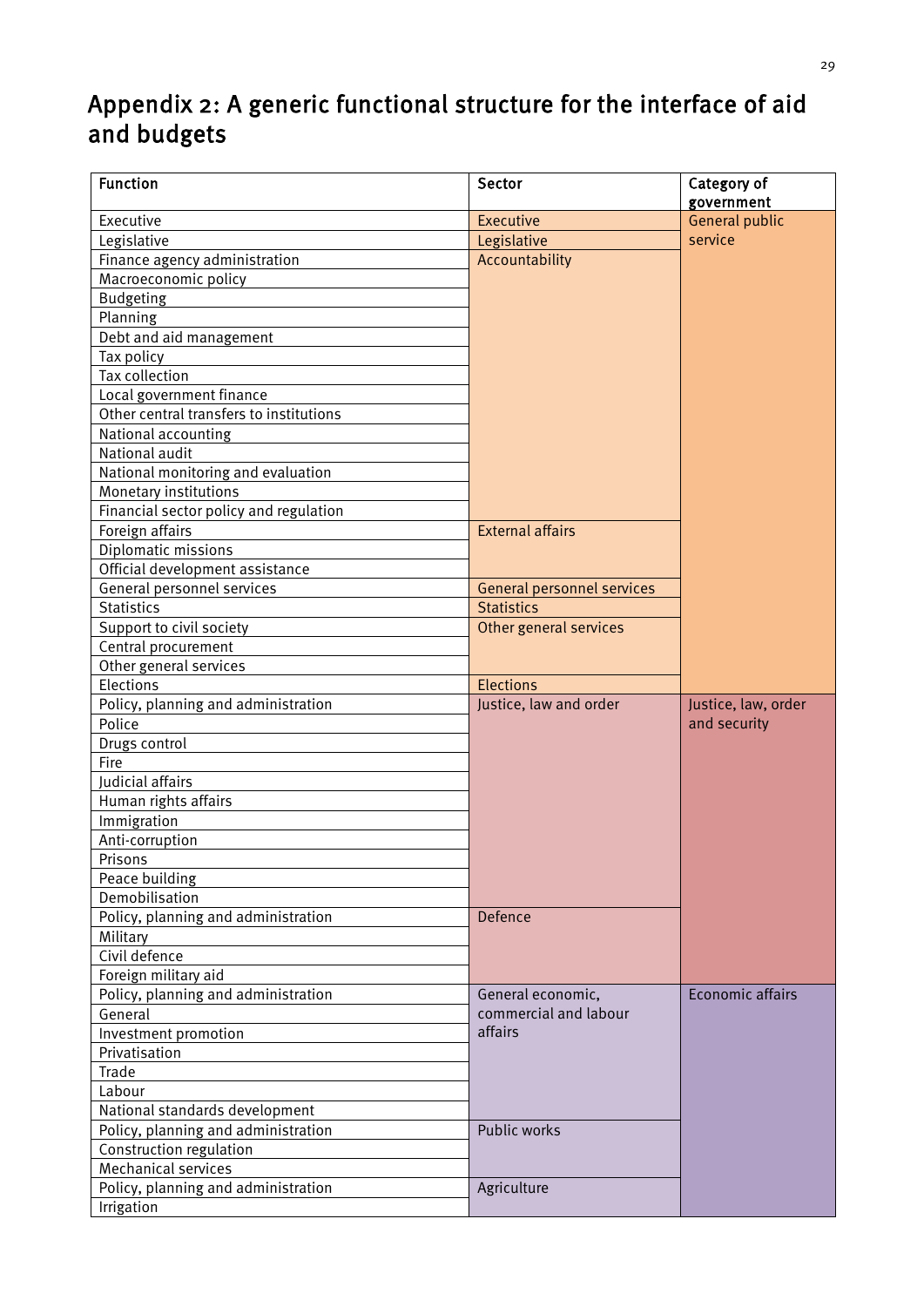## <span id="page-39-0"></span>Appendix 2: A generic functional structure for the interface of aid and budgets

| <b>Function</b>                         | Sector                            | Category of<br>government |
|-----------------------------------------|-----------------------------------|---------------------------|
| Executive                               | Executive                         | General public            |
| Legislative                             | Legislative                       | service                   |
| Finance agency administration           | Accountability                    |                           |
| Macroeconomic policy                    |                                   |                           |
| <b>Budgeting</b>                        |                                   |                           |
| Planning                                |                                   |                           |
| Debt and aid management                 |                                   |                           |
| Tax policy                              |                                   |                           |
| <b>Tax collection</b>                   |                                   |                           |
| Local government finance                |                                   |                           |
| Other central transfers to institutions |                                   |                           |
| National accounting                     |                                   |                           |
| National audit                          |                                   |                           |
| National monitoring and evaluation      |                                   |                           |
| Monetary institutions                   |                                   |                           |
| Financial sector policy and regulation  |                                   |                           |
| Foreign affairs                         | <b>External affairs</b>           |                           |
| Diplomatic missions                     |                                   |                           |
| Official development assistance         |                                   |                           |
| General personnel services              | <b>General personnel services</b> |                           |
| <b>Statistics</b>                       | <b>Statistics</b>                 |                           |
| Support to civil society                | Other general services            |                           |
| Central procurement                     |                                   |                           |
| Other general services                  |                                   |                           |
| Elections                               | <b>Elections</b>                  |                           |
| Policy, planning and administration     | Justice, law and order            | Justice, law, order       |
| Police                                  |                                   | and security              |
| Drugs control                           |                                   |                           |
| Fire                                    |                                   |                           |
| Judicial affairs                        |                                   |                           |
| Human rights affairs                    |                                   |                           |
| Immigration                             |                                   |                           |
| Anti-corruption                         |                                   |                           |
| Prisons                                 |                                   |                           |
| Peace building                          |                                   |                           |
| Demobilisation                          |                                   |                           |
| Policy, planning and administration     | Defence                           |                           |
| Military                                |                                   |                           |
| Civil defence                           |                                   |                           |
| Foreign military aid                    |                                   |                           |
| Policy, planning and administration     | General economic,                 | <b>Economic affairs</b>   |
| General                                 | commercial and labour             |                           |
| Investment promotion                    | affairs                           |                           |
| Privatisation                           |                                   |                           |
| Trade                                   |                                   |                           |
| Labour                                  |                                   |                           |
| National standards development          |                                   |                           |
| Policy, planning and administration     | Public works                      |                           |
| Construction regulation                 |                                   |                           |
| <b>Mechanical services</b>              |                                   |                           |
| Policy, planning and administration     | Agriculture                       |                           |
| Irrigation                              |                                   |                           |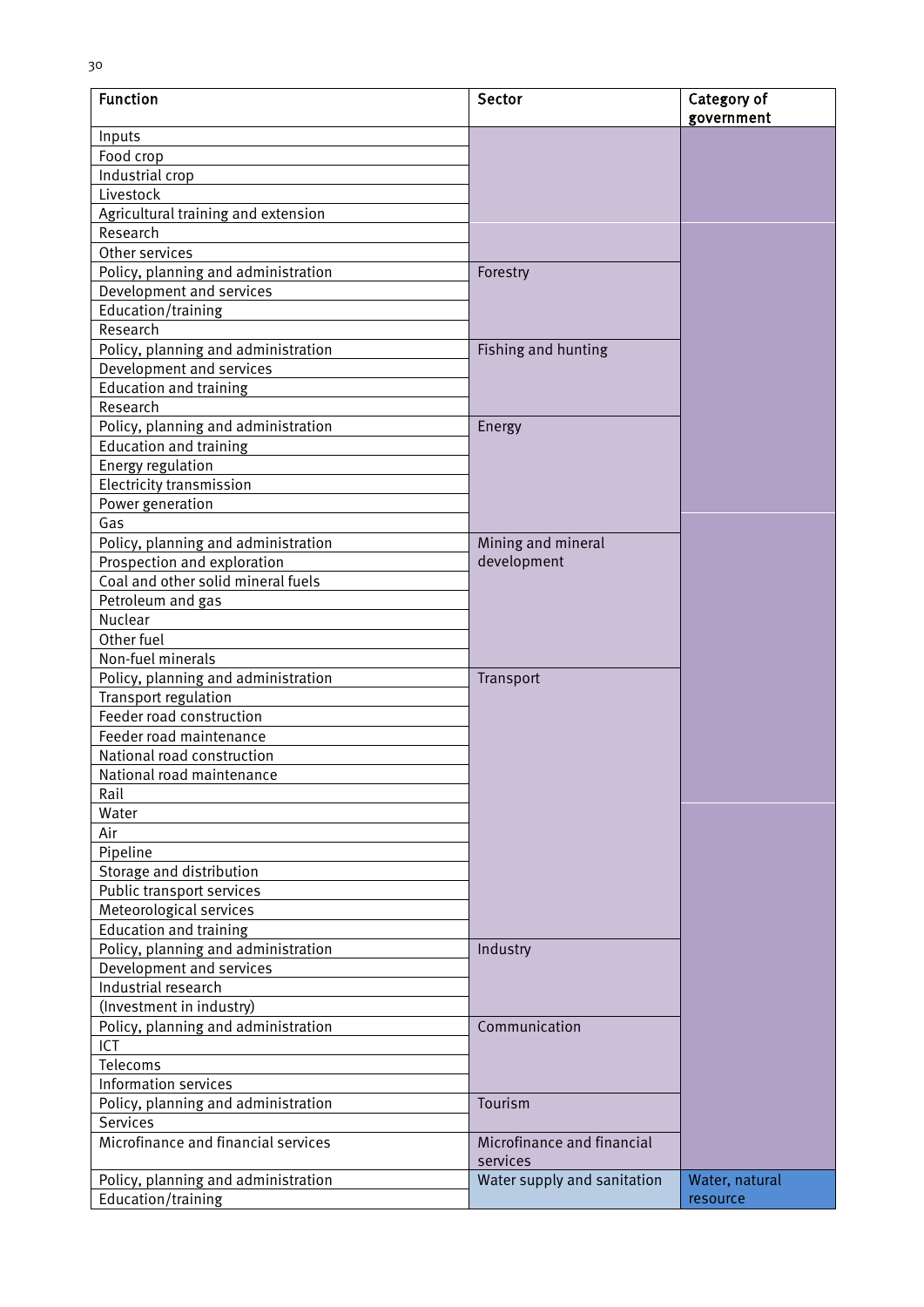| <b>Function</b>                     | Sector                                 | Category of<br>government |
|-------------------------------------|----------------------------------------|---------------------------|
| Inputs                              |                                        |                           |
| Food crop                           |                                        |                           |
| Industrial crop                     |                                        |                           |
| Livestock                           |                                        |                           |
| Agricultural training and extension |                                        |                           |
| Research                            |                                        |                           |
| Other services                      |                                        |                           |
| Policy, planning and administration | Forestry                               |                           |
| Development and services            |                                        |                           |
| Education/training                  |                                        |                           |
| Research                            |                                        |                           |
| Policy, planning and administration | Fishing and hunting                    |                           |
| Development and services            |                                        |                           |
| <b>Education and training</b>       |                                        |                           |
| Research                            |                                        |                           |
| Policy, planning and administration | Energy                                 |                           |
| <b>Education and training</b>       |                                        |                           |
| Energy regulation                   |                                        |                           |
| <b>Electricity transmission</b>     |                                        |                           |
| Power generation                    |                                        |                           |
| Gas                                 |                                        |                           |
| Policy, planning and administration | Mining and mineral                     |                           |
| Prospection and exploration         | development                            |                           |
| Coal and other solid mineral fuels  |                                        |                           |
| Petroleum and gas                   |                                        |                           |
| Nuclear                             |                                        |                           |
| Other fuel                          |                                        |                           |
| Non-fuel minerals                   |                                        |                           |
| Policy, planning and administration | Transport                              |                           |
| Transport regulation                |                                        |                           |
| Feeder road construction            |                                        |                           |
| Feeder road maintenance             |                                        |                           |
| National road construction          |                                        |                           |
| National road maintenance           |                                        |                           |
| Rail                                |                                        |                           |
| Water                               |                                        |                           |
| Air                                 |                                        |                           |
| Pipeline                            |                                        |                           |
| Storage and distribution            |                                        |                           |
| Public transport services           |                                        |                           |
| Meteorological services             |                                        |                           |
| <b>Education and training</b>       |                                        |                           |
| Policy, planning and administration | Industry                               |                           |
| Development and services            |                                        |                           |
| Industrial research                 |                                        |                           |
| (Investment in industry)            |                                        |                           |
| Policy, planning and administration | Communication                          |                           |
| ICT                                 |                                        |                           |
| Telecoms                            |                                        |                           |
| Information services                |                                        |                           |
| Policy, planning and administration | Tourism                                |                           |
| Services                            |                                        |                           |
| Microfinance and financial services | Microfinance and financial<br>services |                           |
| Policy, planning and administration | Water supply and sanitation            | Water, natural            |
| Education/training                  |                                        | resource                  |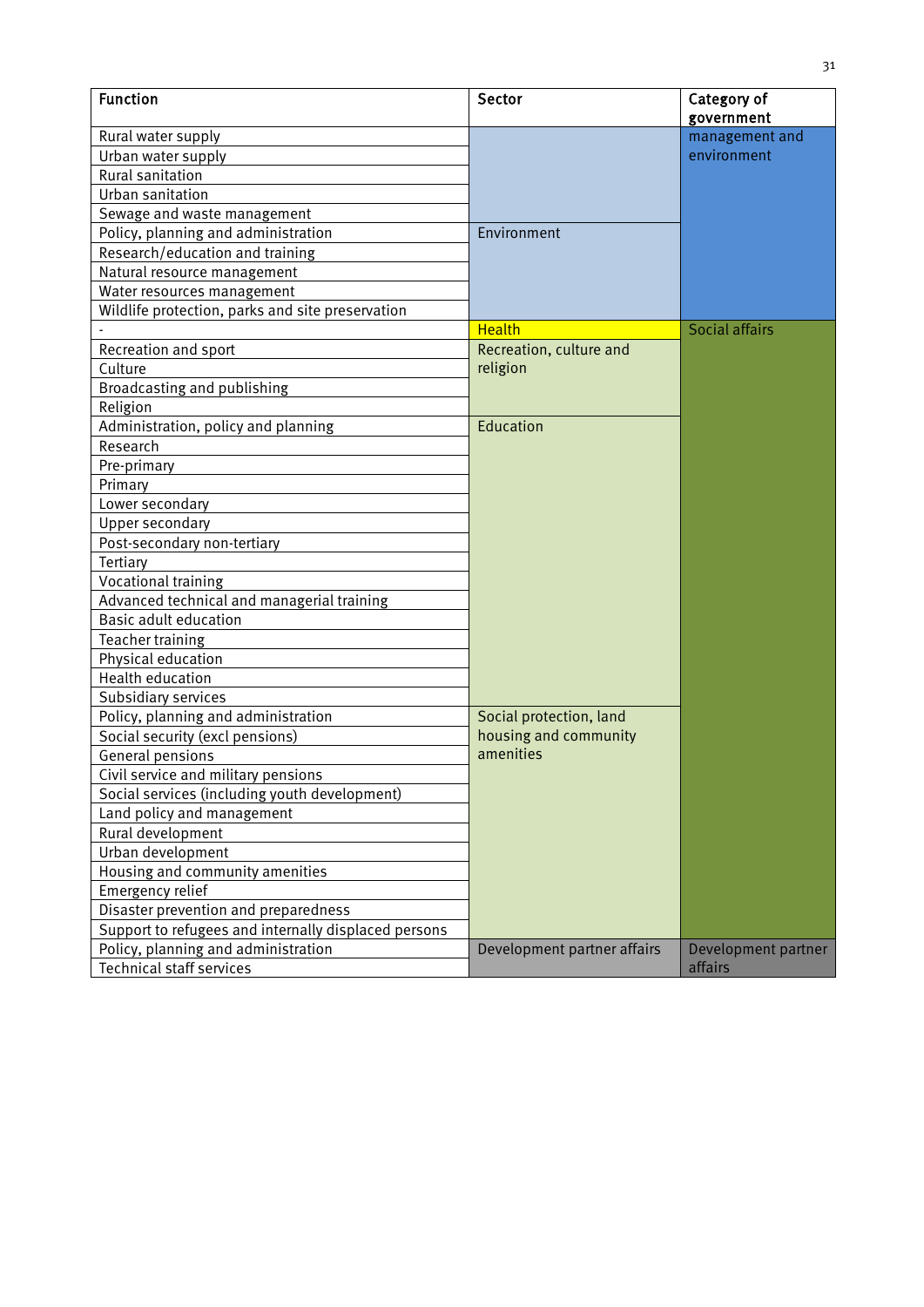| <b>Function</b>                                      | Sector                      | Category of<br>government |
|------------------------------------------------------|-----------------------------|---------------------------|
| Rural water supply                                   |                             | management and            |
| Urban water supply                                   |                             | environment               |
| <b>Rural sanitation</b>                              |                             |                           |
| Urban sanitation                                     |                             |                           |
| Sewage and waste management                          |                             |                           |
| Policy, planning and administration                  | Environment                 |                           |
| Research/education and training                      |                             |                           |
| Natural resource management                          |                             |                           |
| Water resources management                           |                             |                           |
| Wildlife protection, parks and site preservation     |                             |                           |
|                                                      | <b>Health</b>               | Social affairs            |
| Recreation and sport                                 | Recreation, culture and     |                           |
| Culture                                              | religion                    |                           |
| Broadcasting and publishing                          |                             |                           |
| Religion                                             |                             |                           |
| Administration, policy and planning                  | Education                   |                           |
| Research                                             |                             |                           |
| Pre-primary                                          |                             |                           |
| Primary                                              |                             |                           |
| Lower secondary                                      |                             |                           |
| <b>Upper secondary</b>                               |                             |                           |
| Post-secondary non-tertiary                          |                             |                           |
| Tertiary                                             |                             |                           |
| <b>Vocational training</b>                           |                             |                           |
| Advanced technical and managerial training           |                             |                           |
| <b>Basic adult education</b>                         |                             |                           |
| Teacher training                                     |                             |                           |
| Physical education                                   |                             |                           |
| Health education                                     |                             |                           |
| Subsidiary services                                  |                             |                           |
| Policy, planning and administration                  | Social protection, land     |                           |
| Social security (excl pensions)                      | housing and community       |                           |
| General pensions                                     | amenities                   |                           |
| Civil service and military pensions                  |                             |                           |
| Social services (including youth development)        |                             |                           |
| Land policy and management                           |                             |                           |
| Rural development                                    |                             |                           |
| Urban development                                    |                             |                           |
| Housing and community amenities                      |                             |                           |
| Emergency relief                                     |                             |                           |
| Disaster prevention and preparedness                 |                             |                           |
| Support to refugees and internally displaced persons |                             |                           |
| Policy, planning and administration                  | Development partner affairs | Development partner       |
| <b>Technical staff services</b>                      |                             | affairs                   |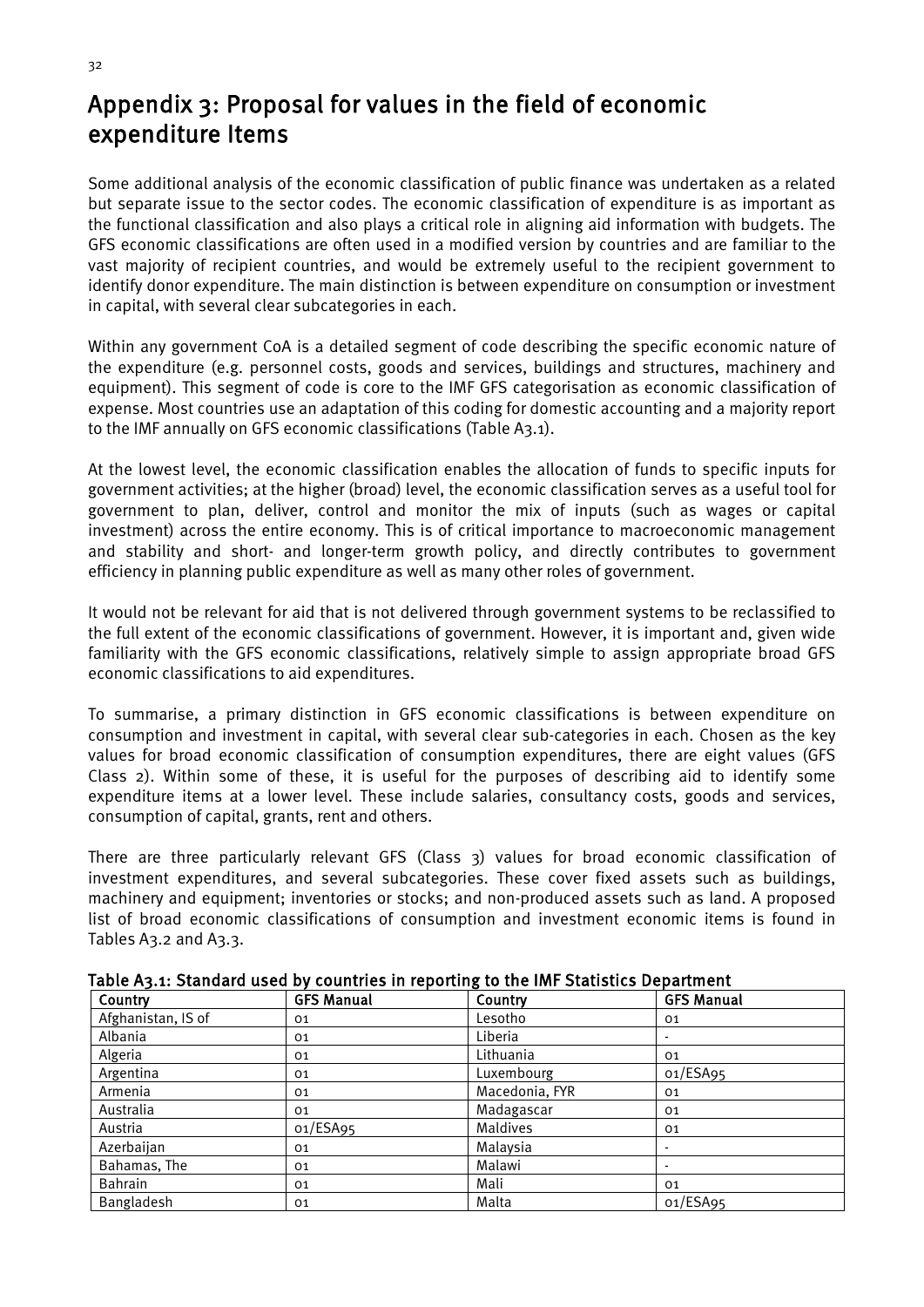## <span id="page-42-0"></span>Appendix 3: Proposal for values in the field of economic expenditure Items

Some additional analysis of the economic classification of public finance was undertaken as a related but separate issue to the sector codes. The economic classification of expenditure is as important as the functional classification and also plays a critical role in aligning aid information with budgets. The GFS economic classifications are often used in a modified version by countries and are familiar to the vast majority of recipient countries, and would be extremely useful to the recipient government to identify donor expenditure. The main distinction is between expenditure on consumption or investment in capital, with several clear subcategories in each.

Within any government CoA is a detailed segment of code describing the specific economic nature of the expenditure (e.g. personnel costs, goods and services, buildings and structures, machinery and equipment). This segment of code is core to the IMF GFS categorisation as economic classification of expense. Most countries use an adaptation of this coding for domestic accounting and a majority report to the IMF annually on GFS economic classifications (Table A3.1).

At the lowest level, the economic classification enables the allocation of funds to specific inputs for government activities; at the higher (broad) level, the economic classification serves as a useful tool for government to plan, deliver, control and monitor the mix of inputs (such as wages or capital investment) across the entire economy. This is of critical importance to macroeconomic management and stability and short- and longer-term growth policy, and directly contributes to government efficiency in planning public expenditure as well as many other roles of government.

It would not be relevant for aid that is not delivered through government systems to be reclassified to the full extent of the economic classifications of government. However, it is important and, given wide familiarity with the GFS economic classifications, relatively simple to assign appropriate broad GFS economic classifications to aid expenditures.

To summarise, a primary distinction in GFS economic classifications is between expenditure on consumption and investment in capital, with several clear sub-categories in each. Chosen as the key values for broad economic classification of consumption expenditures, there are eight values (GFS Class 2). Within some of these, it is useful for the purposes of describing aid to identify some expenditure items at a lower level. These include salaries, consultancy costs, goods and services, consumption of capital, grants, rent and others.

There are three particularly relevant GFS (Class 3) values for broad economic classification of investment expenditures, and several subcategories. These cover fixed assets such as buildings, machinery and equipment; inventories or stocks; and non-produced assets such as land. A proposed list of broad economic classifications of consumption and investment economic items is found in Tables A3.2 and A3.3.

| able A3.1. Standard used by countiles in reporting to the limi-statistics bepartment |                   |                |                   |  |
|--------------------------------------------------------------------------------------|-------------------|----------------|-------------------|--|
| Country                                                                              | <b>GFS Manual</b> | Country        | <b>GFS Manual</b> |  |
| Afghanistan, IS of                                                                   | 01                | Lesotho        | 01                |  |
| Albania                                                                              | 01                | Liberia        |                   |  |
| Algeria                                                                              | 01                | Lithuania      | 01                |  |
| Argentina                                                                            | 01                | Luxembourg     | 01/ESA95          |  |
| Armenia                                                                              | 01                | Macedonia, FYR | 01                |  |
| Australia                                                                            | 01                | Madagascar     | 01                |  |
| Austria                                                                              | 01/ESAg5          | Maldives       | 01                |  |
| Azerbaijan                                                                           | 01                | Malaysia       |                   |  |
| Bahamas, The                                                                         | 01                | Malawi         |                   |  |
| Bahrain                                                                              | 01                | Mali           | 01                |  |
| Bangladesh                                                                           | 01                | Malta          | 01/ESA95          |  |

<span id="page-42-1"></span>Table A3.1: Standard used by countries in reporting to the IMF Statistics Department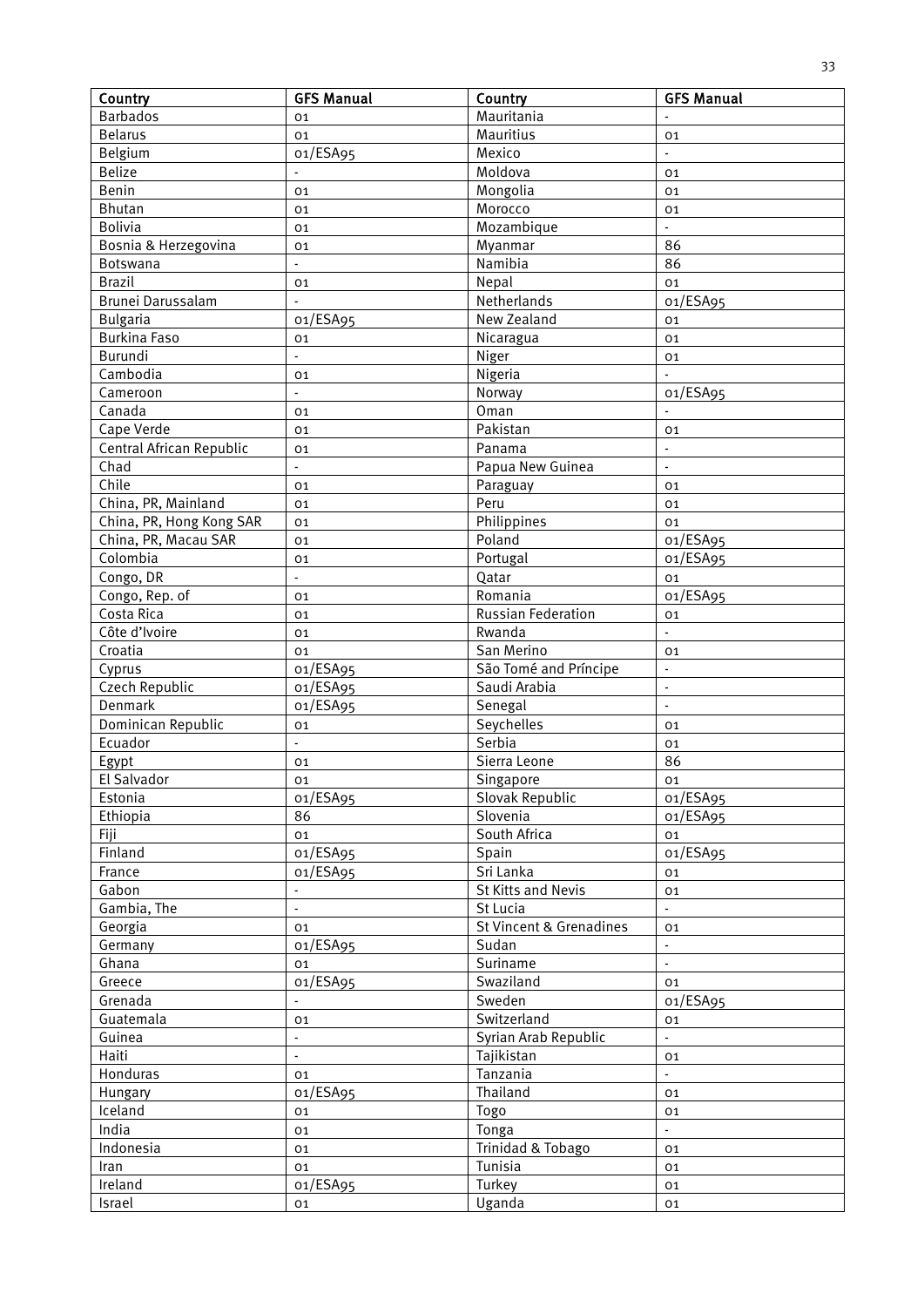| Country                          | <b>GFS Manual</b> | Country                            | <b>GFS Manual</b>        |
|----------------------------------|-------------------|------------------------------------|--------------------------|
| <b>Barbados</b>                  | 01                | Mauritania                         |                          |
| <b>Belarus</b>                   | 01                | Mauritius                          | 01                       |
| Belgium                          | 01/ESA95          | Mexico                             | $\blacksquare$           |
| <b>Belize</b>                    |                   | Moldova                            | 01                       |
| Benin                            | 01                | Mongolia                           | 01                       |
| <b>Bhutan</b>                    | 01                | Morocco                            | 01                       |
| <b>Bolivia</b>                   | 01                | Mozambique                         |                          |
| Bosnia & Herzegovina             | 01                | Myanmar                            | 86                       |
| Botswana                         | $\blacksquare$    | Namibia                            | 86                       |
| <b>Brazil</b>                    | 01                | Nepal                              | 01                       |
| Brunei Darussalam                | $\overline{a}$    | Netherlands                        | 01/ESA95                 |
| <b>Bulgaria</b>                  | 01/ESA95          | New Zealand                        | 01                       |
| <b>Burkina Faso</b>              | 01                | Nicaragua                          | 01                       |
| Burundi                          | L.                | Niger                              | 01                       |
| Cambodia                         | 01                | Nigeria                            | $\blacksquare$           |
| Cameroon                         | $\overline{a}$    | Norway                             | 01/ESA95                 |
| Canada                           | 01                | Oman                               |                          |
| Cape Verde                       |                   | Pakistan                           |                          |
|                                  | 01                |                                    | 01                       |
| Central African Republic<br>Chad | 01                | Panama                             | $\blacksquare$           |
|                                  | $\blacksquare$    | Papua New Guinea                   | $\blacksquare$           |
| Chile                            | 01                | Paraguay                           | 01                       |
| China, PR, Mainland              | 01                | Peru                               | 01                       |
| China, PR, Hong Kong SAR         | 01                | Philippines                        | 01                       |
| China, PR, Macau SAR             | 01                | Poland                             | 01/ESA95                 |
| Colombia                         | 01                | Portugal                           | 01/ESA95                 |
| Congo, DR                        | $\Box$            | Qatar                              | 01                       |
| Congo, Rep. of                   | 01                | Romania                            | 01/ESA95                 |
| Costa Rica                       | 01                | <b>Russian Federation</b>          | 01                       |
| Côte d'Ivoire                    | 01                | Rwanda                             | L.                       |
| Croatia                          | 01                | San Merino                         | 01                       |
| Cyprus                           | 01/ESA95          | São Tomé and Príncipe              | $\overline{\phantom{a}}$ |
| Czech Republic                   | 01/ESA95          | Saudi Arabia                       | $\blacksquare$           |
| Denmark                          | 01/ESA95          | Senegal                            | $\blacksquare$           |
| Dominican Republic               | 01                | Seychelles                         | 01                       |
| Ecuador                          | ä,                | Serbia                             | 01                       |
| Egypt                            | 01                | Sierra Leone                       | 86                       |
| El Salvador                      | 01                | Singapore                          | 01                       |
| Estonia                          | 01/ESA95          | Slovak Republic                    | 01/ESA95                 |
| Ethiopia                         | 86                | Slovenia                           | 01/ESA95                 |
| <b>Fiji</b>                      | 01                | South Africa                       | 01                       |
| Finland                          | 01/ESA95          | Spain                              | 01/ESA95                 |
| France                           | 01/ESA95          | Sri Lanka                          | 01                       |
| Gabon                            | $\blacksquare$    | St Kitts and Nevis                 | 01                       |
| Gambia, The                      | $\blacksquare$    | St Lucia                           | $\blacksquare$           |
| Georgia                          | 01                | <b>St Vincent &amp; Grenadines</b> | 01                       |
| Germany                          | 01/ESA95          | Sudan                              | $\overline{\phantom{a}}$ |
| Ghana                            | 01                | Suriname                           | $\blacksquare$           |
| Greece                           | 01/ESA95          | Swaziland                          | 01                       |
| Grenada                          |                   | Sweden                             | 01/ESA95                 |
| Guatemala                        | 01                | Switzerland                        | 01                       |
| Guinea                           | $\Box$            | Syrian Arab Republic               | $\blacksquare$           |
| Haiti                            | $\Box$            | Tajikistan                         | 01                       |
| Honduras                         | 01                | Tanzania                           | $\overline{\phantom{a}}$ |
| Hungary                          | 01/ESA95          | Thailand                           | 01                       |
| Iceland                          | 01                | Togo                               | 01                       |
| India                            | 01                | Tonga                              | $\mathbb{Z}^2$           |
| Indonesia                        | 01                | Trinidad & Tobago                  | 01                       |
| Iran                             | 01                | Tunisia                            | 01                       |
| Ireland                          | 01/ESA95          | Turkey                             | 01                       |
| Israel                           | 01                | Uganda                             | 01                       |
|                                  |                   |                                    |                          |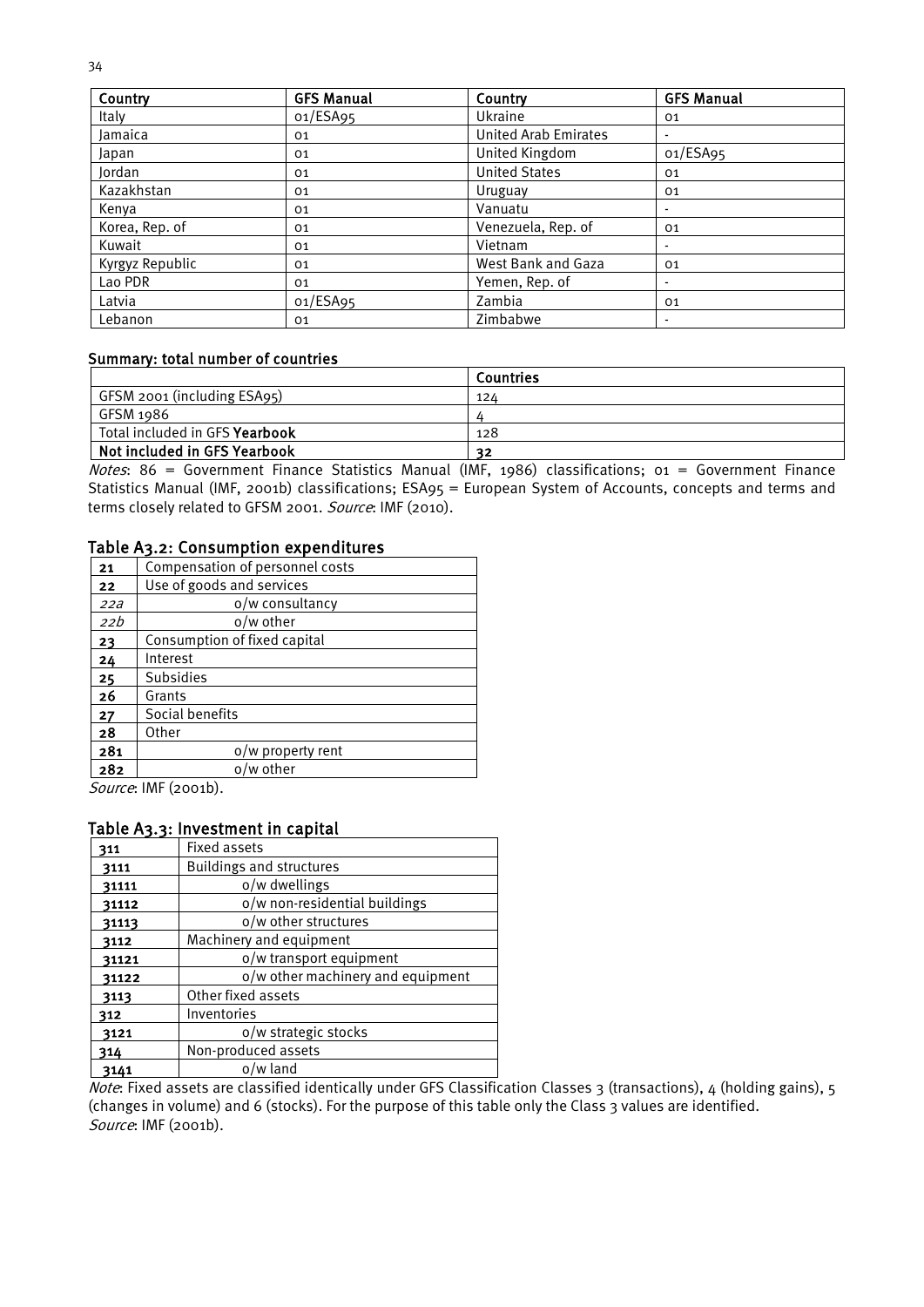| Country         | <b>GFS Manual</b> | Country                     | <b>GFS Manual</b> |
|-----------------|-------------------|-----------------------------|-------------------|
| Italy           | 01/ESA95          | Ukraine                     | 01                |
| Jamaica         | 01                | <b>United Arab Emirates</b> |                   |
| Japan           | 01                | United Kingdom              | 01/ESA95          |
| Jordan          | 01                | <b>United States</b>        | 01                |
| Kazakhstan      | 01                | Uruguay                     | 01                |
| Kenya           | 01                | Vanuatu                     |                   |
| Korea, Rep. of  | 01                | Venezuela, Rep. of          | 01                |
| Kuwait          | 01                | Vietnam                     |                   |
| Kyrgyz Republic | 01                | West Bank and Gaza          | 01                |
| Lao PDR         | 01                | Yemen, Rep. of              |                   |
| Latvia          | 01/ESA95          | Zambia                      | 01                |
| Lebanon         | 01                | Zimbabwe                    |                   |

#### Summary: total number of countries

|                                | Countries |
|--------------------------------|-----------|
| GFSM 2001 (including ESA95)    | 124       |
| GFSM 1986                      |           |
| Total included in GFS Yearbook | 128       |
| Not included in GFS Yearbook   | つつ        |

Notes: 86 = Government Finance Statistics Manual (IMF, 1986) classifications;  $o_1$  = Government Finance Statistics Manual (IMF, 2001b) classifications; ESA95 = European System of Accounts, concepts and terms and terms closely related to GFSM 2001. Source: IMF (2010).

#### <span id="page-44-0"></span>Table A3.2: Consumption expenditures

| 21  | Compensation of personnel costs |
|-----|---------------------------------|
| 22  | Use of goods and services       |
| 22a | o/w consultancy                 |
| 22b | o/w other                       |
| 23  | Consumption of fixed capital    |
| 24  | Interest                        |
| 25  | <b>Subsidies</b>                |
| 26  | Grants                          |
| 27  | Social benefits                 |
| 28  | Other                           |
| 281 | o/w property rent               |
| 282 | o/w other                       |

Source: IMF (2001b).

#### <span id="page-44-1"></span>Table A3.3: Investment in capital

| 311   | <b>Fixed assets</b>               |
|-------|-----------------------------------|
| 3111  | <b>Buildings and structures</b>   |
| 31111 | o/w dwellings                     |
| 31112 | o/w non-residential buildings     |
| 31113 | o/w other structures              |
| 3112  | Machinery and equipment           |
| 31121 | o/w transport equipment           |
| 31122 | o/w other machinery and equipment |
| 3113  | Other fixed assets                |
| 312   | Inventories                       |
| 3121  | o/w strategic stocks              |
| 314   | Non-produced assets               |
| 3141  | o/w land                          |

Note: Fixed assets are classified identically under GFS Classification Classes 3 (transactions), 4 (holding gains), 5 (changes in volume) and 6 (stocks). For the purpose of this table only the Class 3 values are identified. Source: IMF (2001b).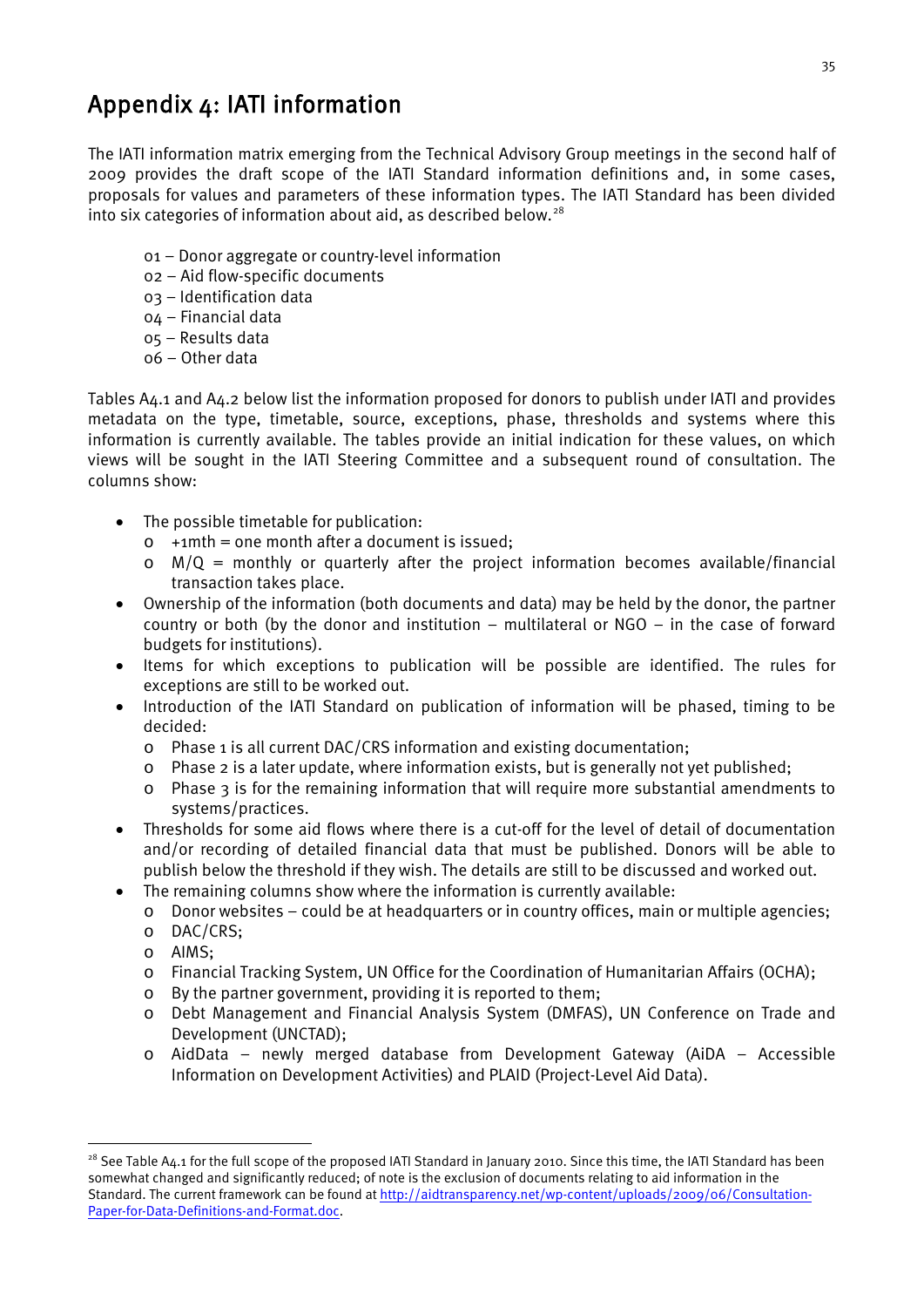## <span id="page-45-0"></span>Appendix 4: IATI information

The IATI information matrix emerging from the Technical Advisory Group meetings in the second half of 2009 provides the draft scope of the IATI Standard information definitions and, in some cases, proposals for values and parameters of these information types. The IATI Standard has been divided into six categories of information about aid, as described below.<sup>[28](#page-45-1)</sup>

- 01 Donor aggregate or country-level information
- 02 Aid flow-specific documents
- 03 Identification data
- 04 Financial data
- 05 Results data
- 06 Other data

Tables A4.1 and A4.2 below list the information proposed for donors to publish under IATI and provides metadata on the type, timetable, source, exceptions, phase, thresholds and systems where this information is currently available. The tables provide an initial indication for these values, on which views will be sought in the IATI Steering Committee and a subsequent round of consultation. The columns show:

- The possible timetable for publication:
	- $\circ$  +1mth = one month after a document is issued;
	- $\circ$  M/Q = monthly or quarterly after the project information becomes available/financial transaction takes place.
- Ownership of the information (both documents and data) may be held by the donor, the partner country or both (by the donor and institution – multilateral or NGO – in the case of forward budgets for institutions).
- Items for which exceptions to publication will be possible are identified. The rules for exceptions are still to be worked out.
- Introduction of the IATI Standard on publication of information will be phased, timing to be decided:
	- o Phase 1 is all current DAC/CRS information and existing documentation;
	- $\circ$  Phase 2 is a later update, where information exists, but is generally not yet published;
	- o Phase 3 is for the remaining information that will require more substantial amendments to systems/practices.
- Thresholds for some aid flows where there is a cut-off for the level of detail of documentation and/or recording of detailed financial data that must be published. Donors will be able to publish below the threshold if they wish. The details are still to be discussed and worked out.
- The remaining columns show where the information is currently available:
	- $\circ$  Donor websites could be at headquarters or in country offices, main or multiple agencies;
	- o DAC/CRS;
	- o AIMS;
	- o Financial Tracking System, UN Office for the Coordination of Humanitarian Affairs (OCHA);
	- o By the partner government, providing it is reported to them;
	- o Debt Management and Financial Analysis System (DMFAS), UN Conference on Trade and Development (UNCTAD);
	- o AidData newly merged database from Development Gateway (AiDA Accessible Information on Development Activities) and PLAID (Project-Level Aid Data).

<span id="page-45-1"></span> $28$  See Table A4.1 for the full scope of the proposed IATI Standard in January 2010. Since this time, the IATI Standard has been somewhat changed and significantly reduced; of note is the exclusion of documents relating to aid information in the Standard. The current framework can be found at [http://aidtransparency.net/wp-content/uploads/2009/06/Consultation-](http://aidtransparency.net/wp-content/uploads/2009/06/Consultation-Paper-for-Data-Definitions-and-Format.doc)[Paper-for-Data-Definitions-and-Format.doc.](http://aidtransparency.net/wp-content/uploads/2009/06/Consultation-Paper-for-Data-Definitions-and-Format.doc)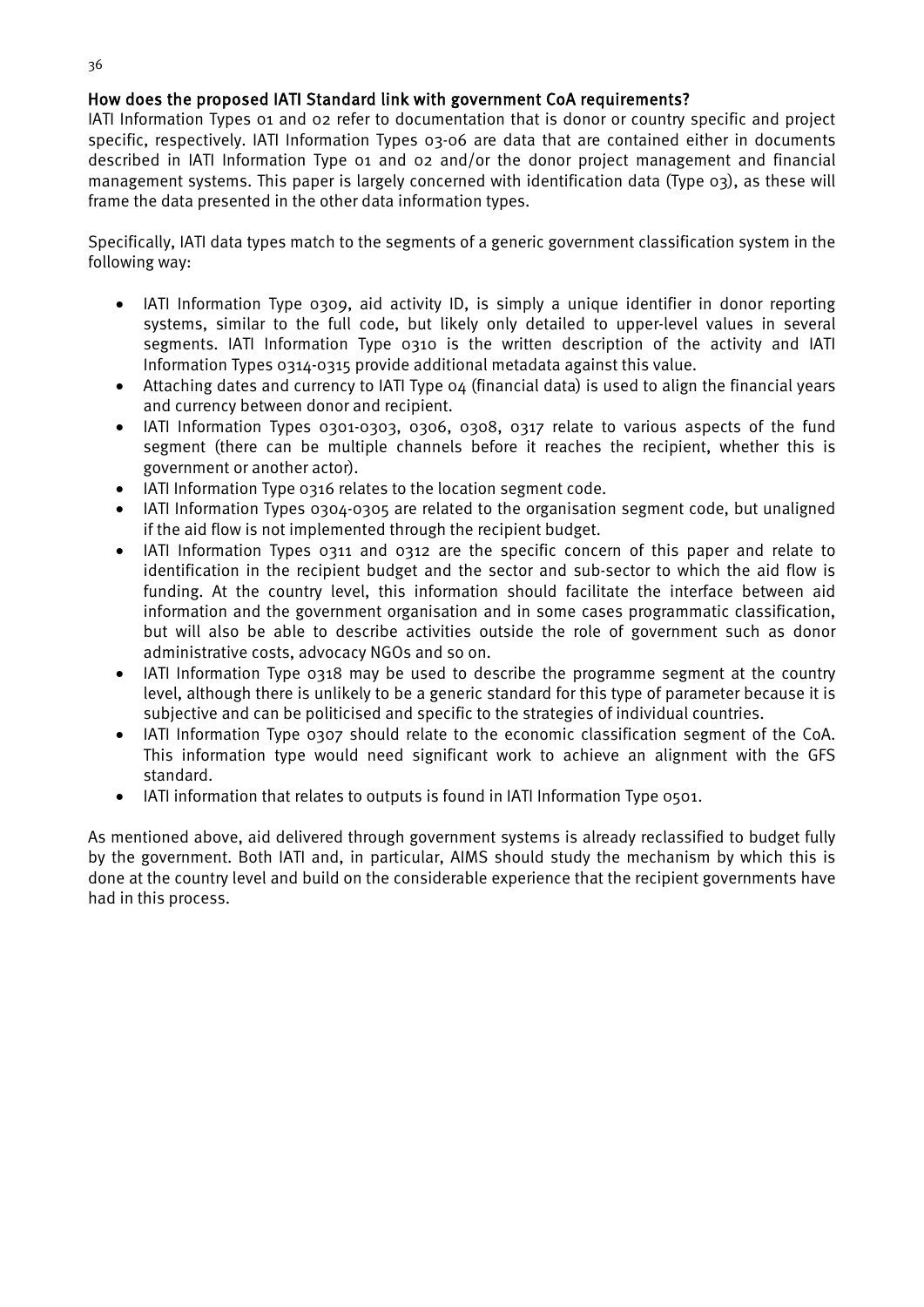#### How does the proposed IATI Standard link with government CoA requirements?

IATI Information Types 01 and 02 refer to documentation that is donor or country specific and project specific, respectively. IATI Information Types 03-06 are data that are contained either in documents described in IATI Information Type 01 and 02 and/or the donor project management and financial management systems. This paper is largely concerned with identification data (Type 03), as these will frame the data presented in the other data information types.

Specifically, IATI data types match to the segments of a generic government classification system in the following way:

- IATI Information Type 0309, aid activity ID, is simply a unique identifier in donor reporting systems, similar to the full code, but likely only detailed to upper-level values in several segments. IATI Information Type 0310 is the written description of the activity and IATI Information Types 0314-0315 provide additional metadata against this value.
- Attaching dates and currency to IATI Type 04 (financial data) is used to align the financial years and currency between donor and recipient.
- IATI Information Types 0301-0303, 0306, 0308, 0317 relate to various aspects of the fund segment (there can be multiple channels before it reaches the recipient, whether this is government or another actor).
- IATI Information Type 0316 relates to the location segment code.
- IATI Information Types 0304-0305 are related to the organisation segment code, but unaligned if the aid flow is not implemented through the recipient budget.
- IATI Information Types 0311 and 0312 are the specific concern of this paper and relate to identification in the recipient budget and the sector and sub-sector to which the aid flow is funding. At the country level, this information should facilitate the interface between aid information and the government organisation and in some cases programmatic classification, but will also be able to describe activities outside the role of government such as donor administrative costs, advocacy NGOs and so on.
- IATI Information Type 0318 may be used to describe the programme segment at the country level, although there is unlikely to be a generic standard for this type of parameter because it is subjective and can be politicised and specific to the strategies of individual countries.
- IATI Information Type 0307 should relate to the economic classification segment of the CoA. This information type would need significant work to achieve an alignment with the GFS standard.
- IATI information that relates to outputs is found in IATI Information Type 0501.

As mentioned above, aid delivered through government systems is already reclassified to budget fully by the government. Both IATI and, in particular, AIMS should study the mechanism by which this is done at the country level and build on the considerable experience that the recipient governments have had in this process.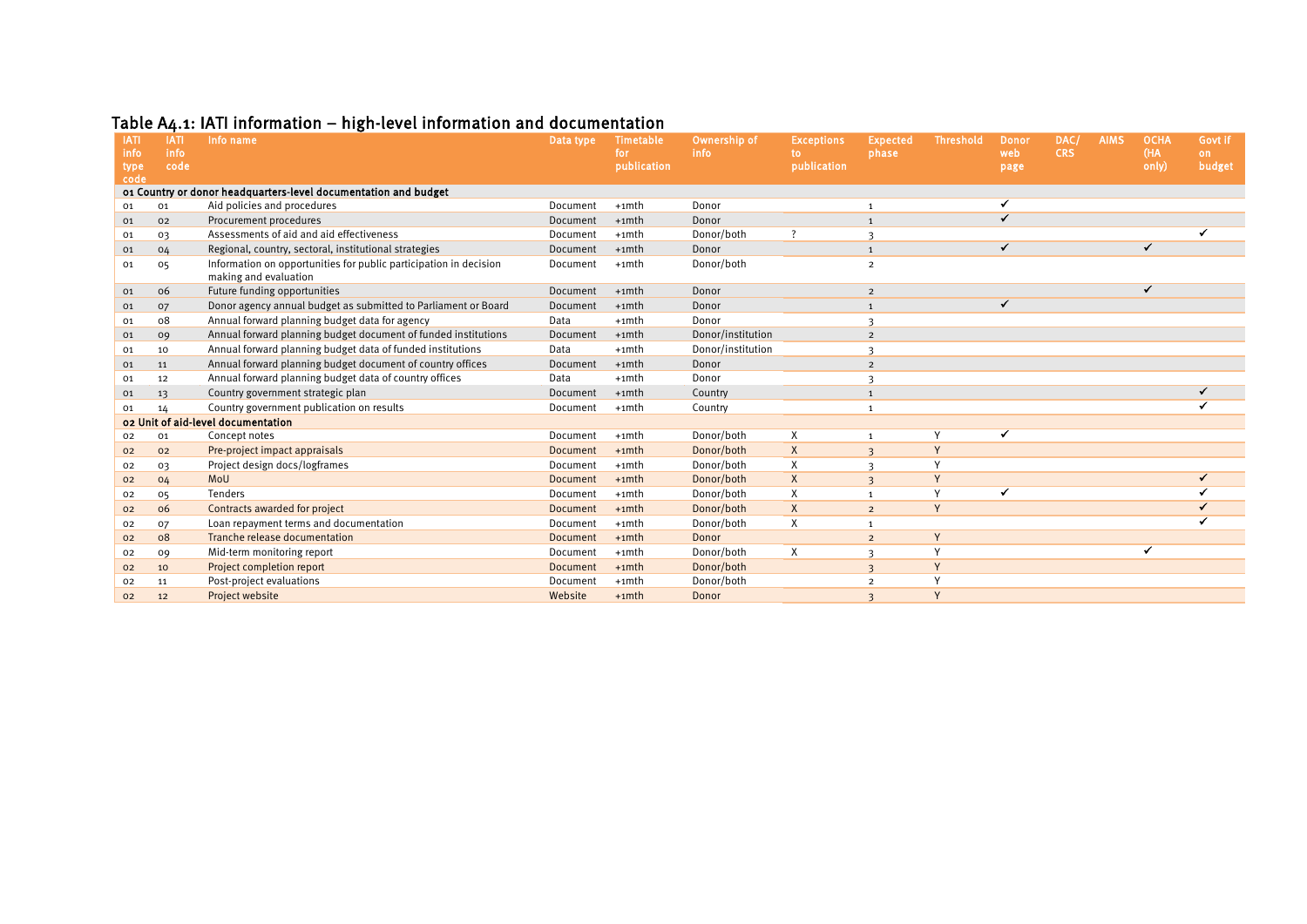|  | Table A4.1: IATI information – high-level information and documentation |  |
|--|-------------------------------------------------------------------------|--|
|--|-------------------------------------------------------------------------|--|

<span id="page-47-0"></span>

| Table A4.1: IATI information – high-level information and documentation |             |                                                                                            |                 |             |                   |                   |                         |                  |              |            |             |             |         |
|-------------------------------------------------------------------------|-------------|--------------------------------------------------------------------------------------------|-----------------|-------------|-------------------|-------------------|-------------------------|------------------|--------------|------------|-------------|-------------|---------|
| <b>IATI</b>                                                             | <b>IATI</b> | Info name                                                                                  | Data type       | Timetable   | Ownership of      | <b>Exceptions</b> | <b>Expected</b>         | <b>Threshold</b> | <b>Donor</b> | DAC/       | <b>AIMS</b> | <b>OCHA</b> | Govt if |
| info                                                                    | info        |                                                                                            |                 | for         | info              | to.               | phase                   |                  | web          | <b>CRS</b> |             | (HA         | on.     |
| <b>type</b><br>code                                                     | code        |                                                                                            |                 | publication |                   | publication       |                         |                  | page         |            |             | only)       | budget  |
|                                                                         |             | 01 Country or donor headquarters-level documentation and budget                            |                 |             |                   |                   |                         |                  |              |            |             |             |         |
| Aid policies and procedures<br>01<br>01                                 |             |                                                                                            | Document        | $+1$ mth    | Donor             |                   | $\mathbf{1}$            |                  |              |            |             |             |         |
| 01                                                                      | 02          | Procurement procedures                                                                     | Document        | $+1$ mth    | Donor             |                   | $\mathbf{1}$            |                  | ✓            |            |             |             |         |
| 01                                                                      | 03          | Assessments of aid and aid effectiveness                                                   | Document        | $+1$ mth    | Donor/both        | ?                 | 3                       |                  |              |            |             |             |         |
| 01                                                                      | 04          | Regional, country, sectoral, institutional strategies                                      | Document        | $+1$ mth    | Donor             |                   | $\mathbf{1}$            |                  | ✓            |            |             | ✓           |         |
| 01                                                                      | 05          | Information on opportunities for public participation in decision<br>making and evaluation | Document        | $+1$ mth    | Donor/both        |                   | $\overline{2}$          |                  |              |            |             |             |         |
| 01                                                                      | 06          | Future funding opportunities                                                               | Document        | $+1$ mth    | Donor             |                   | $\overline{2}$          |                  |              |            |             | ✔           |         |
| 01                                                                      | 07          | Donor agency annual budget as submitted to Parliament or Board                             | Document        | $+1$ mth    | Donor             |                   | $\mathbf{1}$            |                  | ✓            |            |             |             |         |
| 01                                                                      | 08          | Annual forward planning budget data for agency                                             | Data            | $+1$ mth    | Donor             |                   | $\mathbf{3}$            |                  |              |            |             |             |         |
| 01                                                                      | 09          | Annual forward planning budget document of funded institutions                             | Document        | $+1$ mth    | Donor/institution |                   | $\overline{2}$          |                  |              |            |             |             |         |
| 01                                                                      | 10          | Annual forward planning budget data of funded institutions                                 | Data            | $+1$ mth    | Donor/institution |                   | $\overline{\mathbf{3}}$ |                  |              |            |             |             |         |
| 01                                                                      | 11          | Annual forward planning budget document of country offices                                 | Document        | $+1$ mth    | Donor             |                   | $\overline{2}$          |                  |              |            |             |             |         |
| 01                                                                      | 12          | Annual forward planning budget data of country offices                                     | Data            | $+1$ mth    | Donor             |                   | 3                       |                  |              |            |             |             |         |
| 01                                                                      | 13          | Country government strategic plan                                                          | Document        | $+1$ mth    | Country           |                   | $\mathbf{1}$            |                  |              |            |             |             | ✓       |
| 01                                                                      | 14          | Country government publication on results                                                  | Document        | $+1$ mth    | Country           |                   | $\mathbf{1}$            |                  |              |            |             |             |         |
| o2 Unit of aid-level documentation                                      |             |                                                                                            |                 |             |                   |                   |                         |                  |              |            |             |             |         |
| 02                                                                      | 01          | Concept notes                                                                              | Document        | $+1$ mth    | Donor/both        | Χ                 | $\mathbf{1}$            | Y                |              |            |             |             |         |
| 02                                                                      | 02          | Pre-project impact appraisals                                                              | Document        | $+1$ mth    | Donor/both        | X                 | $\overline{3}$          | Y                |              |            |             |             |         |
| 02                                                                      | O3          | Project design docs/logframes                                                              | Document        | $+1$ mth    | Donor/both        | X                 | $\mathbf{R}$            | Y                |              |            |             |             |         |
| 02                                                                      | 04          | MoU                                                                                        | <b>Document</b> | $+1$ mth    | Donor/both        | X                 | $\overline{3}$          | Y                |              |            |             |             | ✓       |
| 02                                                                      | 05          | Tenders                                                                                    | Document        | $+1$ mth    | Donor/both        | X                 | $\mathbf{1}$            | Y                |              |            |             |             |         |
| 02                                                                      | 06          | Contracts awarded for project                                                              | <b>Document</b> | $+1$ mth    | Donor/both        | X                 | $\overline{2}$          | Y                |              |            |             |             |         |
| 02                                                                      | 07          | Loan repayment terms and documentation                                                     | Document        | $+1$ mth    | Donor/both        | Χ                 | $\mathbf{1}$            |                  |              |            |             |             |         |
| 02                                                                      | 08          | Tranche release documentation                                                              | Document        | $+1$ mth    | Donor             |                   | $\overline{2}$          | Y                |              |            |             |             |         |
| 02                                                                      | 09          | Mid-term monitoring report                                                                 | Document        | $+1$ mth    | Donor/both        | X                 | 3                       | Y                |              |            |             |             |         |
| 02                                                                      | 10          | Project completion report                                                                  | Document        | $+1$ mth    | Donor/both        |                   | $\overline{3}$          | Y                |              |            |             |             |         |
| 02                                                                      | 11          | Post-project evaluations                                                                   | Document        | $+1$ mth    | Donor/both        |                   | $\overline{2}$          | Y                |              |            |             |             |         |
| 02                                                                      | 12          | Project website                                                                            | Website         | $+1$ mth    | Donor             |                   | $\overline{3}$          | Y                |              |            |             |             |         |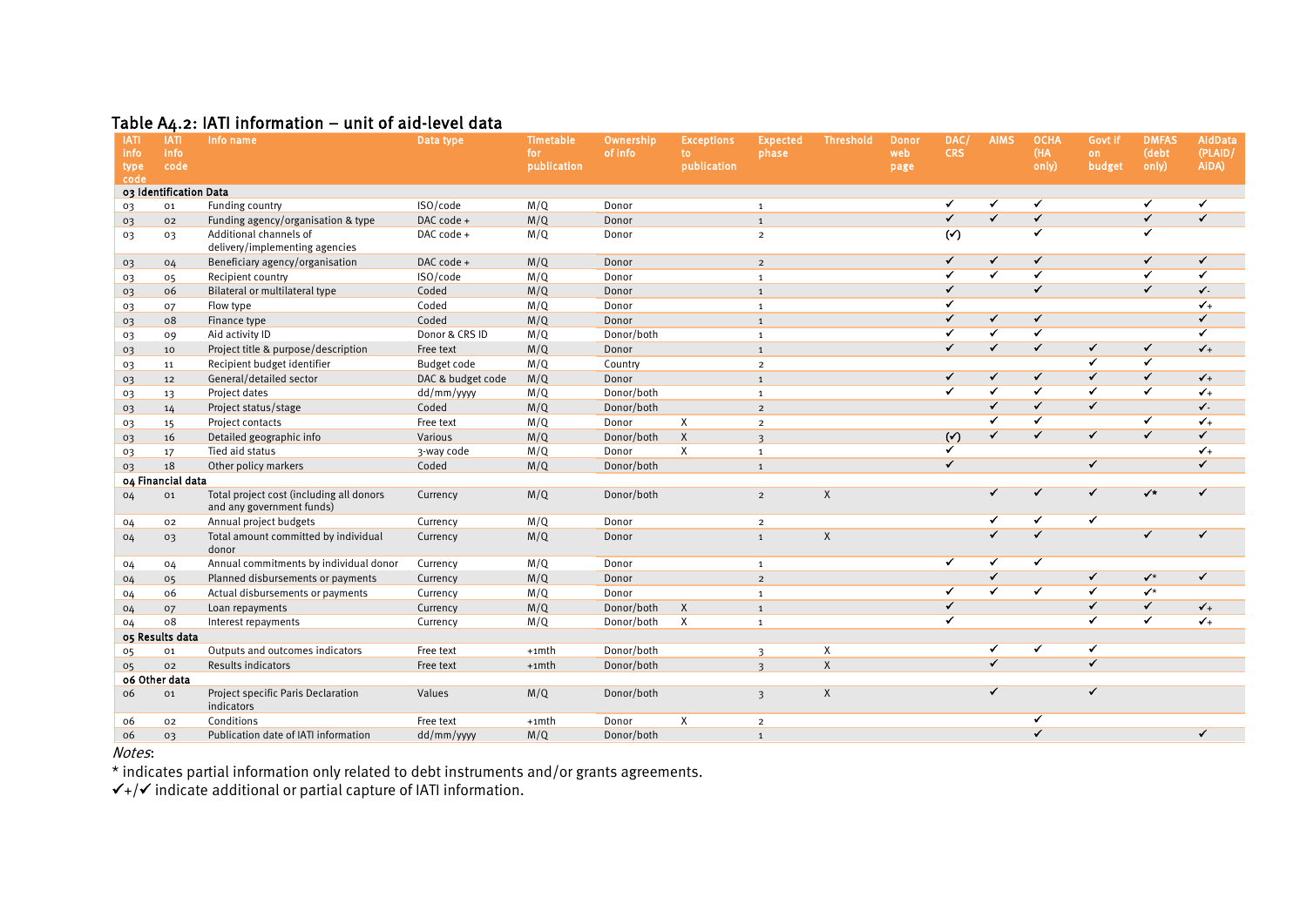#### Table  $A_4.2$ : IATI information – unit of aid-level data

| <b>IATI</b>            | <b>IATI</b>     | Info name                                                             | Data type         | <b>Timetable</b>   | Ownership  | <b>Exceptions</b>  | <b>Expected</b>         | <b>Threshold</b> | <b>Donor</b> | DAC/                  | <b>AIMS</b>              | <b>OCHA</b>             | Govt if                  | <b>DMFAS</b>             | AidData          |
|------------------------|-----------------|-----------------------------------------------------------------------|-------------------|--------------------|------------|--------------------|-------------------------|------------------|--------------|-----------------------|--------------------------|-------------------------|--------------------------|--------------------------|------------------|
| info<br>type           | info<br>code    |                                                                       |                   | for<br>publication | of info    | to.<br>publication | phase                   |                  | web<br>page  | <b>CRS</b>            |                          | (HA<br>only)            | on.<br>budget            | (debt<br>only)           | (PLAID/<br>AiDA) |
| code                   |                 |                                                                       |                   |                    |            |                    |                         |                  |              |                       |                          |                         |                          |                          |                  |
| 03 Identification Data |                 |                                                                       |                   |                    |            |                    |                         |                  |              |                       |                          |                         |                          |                          |                  |
| O3                     | 01              | Funding country                                                       | ISO/code          | M/Q                | Donor      |                    | $\mathbf{1}$            |                  |              | ✔                     | ✓                        | ✔                       |                          | ✔                        | ✓                |
| 03                     | 02              | Funding agency/organisation & type                                    | DAC code +        | M/Q                | Donor      |                    | $\mathbf{1}$            |                  |              | $\checkmark$          | $\overline{\checkmark}$  | ✓                       |                          | ✓                        | $\checkmark$     |
| 03                     | 03              | Additional channels of<br>delivery/implementing agencies              | DAC code +        | M/Q                | Donor      |                    | $\overline{2}$          |                  |              | $\overline{(\gamma)}$ |                          | ✓                       |                          | $\overline{\checkmark}$  |                  |
| 03                     | 04              | Beneficiary agency/organisation                                       | DAC code +        | M/Q                | Donor      |                    | $\overline{2}$          |                  |              | ✓                     | $\checkmark$             | ✓                       |                          | ✓                        | $\checkmark$     |
| 03                     | 05              | Recipient country                                                     | ISO/code          | M/Q                | Donor      |                    | $\mathbf{1}$            |                  |              | ✓                     | $\overline{\checkmark}$  | ✓                       |                          | ✓                        | ✓                |
| 03                     | 06              | Bilateral or multilateral type                                        | Coded             | M/Q                | Donor      |                    | $\mathbf{1}$            |                  |              | ✓                     |                          | ✓                       |                          | ✔                        | ✔-               |
| 03                     | 07              | Flow type                                                             | Coded             | M/Q                | Donor      |                    | $\mathbf{1}$            |                  |              | ✓                     |                          |                         |                          |                          | $\checkmark$     |
| 03                     | 08              | Finance type                                                          | Coded             | M/Q                | Donor      |                    | $\mathbf{1}$            |                  |              | $\checkmark$          | $\checkmark$             | ✓                       |                          |                          | $\checkmark$     |
| 03                     | 09              | Aid activity ID                                                       | Donor & CRS ID    | M/Q                | Donor/both |                    | $\mathbf{1}$            |                  |              |                       | $\overline{\checkmark}$  | ✓                       |                          |                          | ✓                |
| 03                     | 10              | Project title & purpose/description                                   | Free text         | M/Q                | Donor      |                    | $\mathbf{1}$            |                  |              | $\checkmark$          | $\checkmark$             | ✓                       | ✓                        | ✓                        | $\checkmark$     |
| 03                     | 11              | Recipient budget identifier                                           | Budget code       | M/Q                | Country    |                    | $\overline{2}$          |                  |              |                       |                          |                         | $\checkmark$             | ✔                        |                  |
| 03                     | 12              | General/detailed sector                                               | DAC & budget code | M/Q                | Donor      |                    | $\mathbf{1}$            |                  |              | ✓                     | ✓                        | ✓                       | $\checkmark$             | $\overline{\checkmark}$  | $\checkmark$     |
| 03                     | 13              | Project dates                                                         | dd/mm/yyyy        | M/Q                | Donor/both |                    | $\mathbf{1}$            |                  |              | ✓                     | $\overline{\checkmark}$  | ✓                       | $\overline{\checkmark}$  | ✓                        | $\checkmark$     |
| 03                     | 14              | Project status/stage                                                  | Coded             | M/Q                | Donor/both |                    | $\overline{2}$          |                  |              |                       | $\checkmark$             | $\checkmark$            | $\checkmark$             |                          | $\sqrt{2}$       |
| 03                     | 15              | Project contacts                                                      | Free text         | M/Q                | Donor      | X                  | $\overline{2}$          |                  |              |                       | ✓                        | ✓                       |                          | ✓                        | $\checkmark$     |
| 03                     | 16              | Detailed geographic info                                              | Various           | M/Q                | Donor/both | $\mathsf{X}$       | $\overline{\mathbf{3}}$ |                  |              | $(\checkmark)$        | ✓                        | ✓                       | ✓                        | ✓                        | $\checkmark$     |
| 03                     | 17              | Tied aid status                                                       | 3-way code        | M/Q                | Donor      | X                  | $\mathbf{1}$            |                  |              | ✔                     |                          |                         |                          |                          | $\sqrt{1}$       |
| 03                     | 18              | Other policy markers                                                  | Coded             | M/Q                | Donor/both |                    | $\overline{1}$          |                  |              | $\checkmark$          |                          |                         | $\checkmark$             |                          | $\checkmark$     |
| 04 Financial data      |                 |                                                                       |                   |                    |            |                    |                         |                  |              |                       |                          |                         |                          |                          |                  |
| 04                     | 01              | Total project cost (including all donors<br>and any government funds) | Currency          | M/Q                | Donor/both |                    | $\overline{2}$          | X                |              |                       | $\checkmark$             | ✔                       | $\checkmark$             | $\checkmark$             | ✓                |
| 04                     | 02              | Annual project budgets                                                | Currency          | M/Q                | Donor      |                    | $\overline{2}$          |                  |              |                       | ✓                        | ✓                       | ✓                        |                          |                  |
| 04                     | 03              | Total amount committed by individual<br>donor                         | Currency          | M/Q                | Donor      |                    | $\mathbf{1}$            | $\mathsf{X}$     |              |                       | $\overline{\mathcal{L}}$ | $\overline{\checkmark}$ |                          | ✓                        | ✓                |
| 04                     | 04              | Annual commitments by individual donor                                | Currency          | M/Q                | Donor      |                    | $\mathbf{1}$            |                  |              | ✔                     | ✓                        | ✔                       |                          |                          |                  |
| 04                     | 05              | Planned disbursements or payments                                     | Currency          | M/Q                | Donor      |                    | $\overline{2}$          |                  |              |                       | $\checkmark$             |                         | $\checkmark$             | $\checkmark$             | $\checkmark$     |
| 04                     | 06              | Actual disbursements or payments                                      | Currency          | M/Q                | Donor      |                    | 1                       |                  |              | ✔                     | $\overline{\checkmark}$  | ✔                       | ✔                        | $\checkmark$             |                  |
| 04                     | 07              | Loan repayments                                                       | Currency          | M/Q                | Donor/both | $\mathsf{X}$       | $\mathbf{1}$            |                  |              | ✓                     |                          |                         | $\overline{\checkmark}$  | $\overline{\mathcal{F}}$ | $\checkmark_+$   |
| 04                     | 08              | Interest repayments                                                   | Currency          | M/Q                | Donor/both | $\boldsymbol{X}$   | $\mathbf{1}$            |                  |              | ✔                     |                          |                         | $\overline{\checkmark}$  | $\overline{\checkmark}$  | $\checkmark$     |
|                        | 05 Results data |                                                                       |                   |                    |            |                    |                         |                  |              |                       |                          |                         |                          |                          |                  |
| 05                     | 01              | Outputs and outcomes indicators                                       | Free text         | $+1$ mth           | Donor/both |                    | $\overline{3}$          | Χ                |              |                       | ✔                        | ✓                       | ✔                        |                          |                  |
| 05                     | 02              | Results indicators                                                    | Free text         | $+1$ mth           | Donor/both |                    | $\mathbf{z}$            | $\mathsf{X}$     |              |                       | $\overline{\mathcal{F}}$ |                         | $\overline{\mathcal{F}}$ |                          |                  |
|                        | 06 Other data   |                                                                       |                   |                    |            |                    |                         |                  |              |                       |                          |                         |                          |                          |                  |
| 06                     | 01              | Project specific Paris Declaration<br>indicators                      | Values            | M/Q                | Donor/both |                    | $\overline{3}$          | $\mathsf{X}$     |              |                       | $\checkmark$             |                         |                          |                          |                  |
| 06                     | 02              | Conditions                                                            | Free text         | +1mth              | Donor      | X                  | $\overline{2}$          |                  |              |                       |                          | ✓                       |                          |                          |                  |
| 06                     | 03              | Publication date of IATI information                                  | dd/mm/yyyy        | M/Q                | Donor/both |                    | $\mathbf{1}$            |                  |              |                       |                          | ✓                       |                          |                          | ✓                |

<span id="page-48-0"></span>Notes:

\* indicates partial information only related to debt instruments and/or grants agreements.

 $\checkmark$ +/ $\checkmark$  indicate additional or partial capture of IATI information.